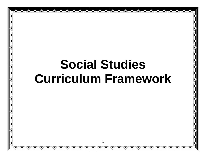# **Social Studies Curriculum Framework**

WAANAANA

1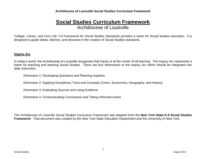# **Social Studies Curriculum Framework**  Archdiocese of Louisville

*College, Career, and Civic Life: C3 Framework for Social Studies Standards* provides a vision for Social Studies education. It is designed to guide states, districts, and dioceses in the creation of Social Studies standards.

#### **Inquiry Arc**

In today's world, the Archdiocese of Louisville recognizes that inquiry is at the center of all learning. The Inquiry Arc represents a frame for teaching and learning Social Studies. There are four dimensions to the Inquiry Arc which should be integrated into daily instruction.

Dimension 1: Developing Questions and Planning Inquiries

Dimension 2: Applying Disciplinary Tools and Concepts (Civics, Economics, Geography, and History)

Dimension 3: Evaluating Sources and Using Evidence

Dimension 4: Communicating Conclusions and Taking Informed Action

The Archdiocese of Louisville Social Studies Curriculum Frameowrk was adapted from the **New York State K-8 Social Studies Framework**. That document was created by the New York State Education Department and the University of New York.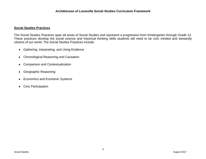#### **Social Studies Practices**

The Social Studies Practices span all areas of Social Studies and represent a progression from Kindergarten through Grade 12. These practices develop the social science and historical thinking skills students will need to be civic minded and stewardly citizens of our world. The Social Studies Practices include:

- Gathering, Interpreting, and Using Evidence
- Chronological Reasoning and Causation
- Comparison and Contextualization
- Geographic Reasoning
- Economics and Economic Systems
- Civic Participation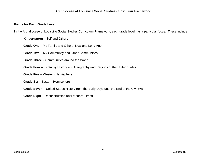#### **Focus for Each Grade Level**

In the Archdiocese of Louisville Social Studies Curriculum Framework, each grade level has a particular focus. These include:

**Kindergarten** – Self and Others

**Grade One** – My Family and Others, Now and Long Ago

**Grade Two** – My Community and Other Communities

**Grade Three** – Communities around the World

**Grade Four** – Kentucky History and Geography and Regions of the United States

**Grade Five** – Western Hemisphere

**Grade Six** – Eastern Hemisphere

**Grade Seven** – United States History from the Early Days until the End of the Civil War

**Grade Eight** – Reconstruction until Modern Times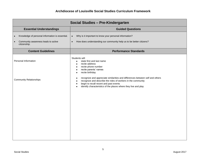|                                                     | Social Studies - Pre-Kindergarten                                                                                                                                                                                                                                       |
|-----------------------------------------------------|-------------------------------------------------------------------------------------------------------------------------------------------------------------------------------------------------------------------------------------------------------------------------|
| <b>Essential Understandings</b>                     | <b>Guided Questions</b>                                                                                                                                                                                                                                                 |
| Knowledge of personal information is essential.     | Why is it important to know your personal information?<br>$\bullet$                                                                                                                                                                                                     |
| Community awareness leads to active<br>citizenship. | How does understanding our community help us to be better citizens?<br>$\bullet$                                                                                                                                                                                        |
| <b>Content Guidelines</b>                           | <b>Performance Standards</b>                                                                                                                                                                                                                                            |
| Personal Information                                | Students will:<br>state first and last name<br>$\bullet$<br>recite address<br>$\bullet$<br>recite phone number<br>$\bullet$<br>recite parents' names<br>$\bullet$<br>recite birthday<br>$\bullet$                                                                       |
| <b>Community Relationships</b>                      | recognize and appreciate similarities and differences between self and others<br>recognize and describe the roles of workers in the community<br>begin to recall recent and past events<br>identify characteristics of the places where they live and play<br>$\bullet$ |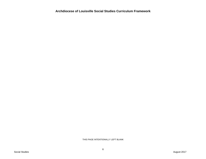THIS PAGE INTENTIONALLY LEFT BLANK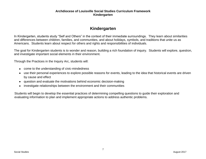# **Kindergarten**

In Kindergarten, students study "Self and Others" in the context of their immediate surroundings. They learn about similarities and differences between children, families, and communities, and about holidays, symbols, and traditions that unite us as Americans. Students learn about respect for others and rights and responsibilities of individuals.

The goal for Kindergarten students is to wonder and reason, building a rich foundation of inquiry. Students will explore, question, and investigate important social elements in their environment.

Through the Practices in the Inquiry Arc, students will:

- come to the understanding of civic-mindedness
- use their personal experiences to explore possible reasons for events, leading to the idea that historical events are driven by cause and effect
- question and evaluate the motivations behind economic decision-making
- investigate relationships between the environment and their communities  $\bullet$

Students will begin to develop the essential practices of determining compelling questions to guide their exploration and evaluating information to plan and implement appropriate actions to address authentic problems.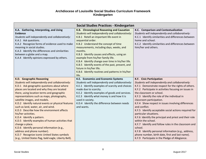| <b>Social Studies Practices - Kindergarten</b>        |                                                  |                                                        |
|-------------------------------------------------------|--------------------------------------------------|--------------------------------------------------------|
| K.A. Gathering, Interpreting, and Using               | K.B. Chronological Reasoning and Causation       | K.C. Comparison and Contextualization                  |
| <b>Evidence</b>                                       | Students will independently and collaboratively: | Students will independently and collaboratively:       |
| Students will independently and collaboratively:      | K.B.1 Retell an important life event in          | K.C.1 Identify similarities and differences between    |
| K.A.1 Ask questions.                                  | sequential order.                                | home and school.                                       |
| K.A.2 Recognize forms of evidence used to make        | K.B.2 Understand the concept of time             | K.C.2 Identify similarities and differences between    |
| meaning in social studies.                            | measurements, including days, weeks, and         | him/her and others.                                    |
| K.A.3 Identify the differences and similarities       | months.                                          |                                                        |
| between a globe and a map.                            | K.B.3 Identify causes and effects, using an      |                                                        |
| K.A.4 Identify opinions expressed by others.          | example from his/her family life.                |                                                        |
|                                                       | K.B.4 Identify change over time in his/her life. |                                                        |
|                                                       | K.B.5 Identify events of the past, present, and  |                                                        |
|                                                       | future in his/her life.                          |                                                        |
|                                                       | K.B.6 Identify routines and patterns in his/her  |                                                        |
|                                                       | life.                                            |                                                        |
| K.D. Geographic Reasoning                             | K.E. Economics and Economic Systems              | <b>K.F. Civic Participation</b>                        |
| Students will independently and collaboratively:      | Students will independently and collaboratively: | Students will independently and collaboratively:       |
| K.D.1 Ask geographic questions about where            | K.E.1 Identify examples of scarcity and choices  | K.F.1 Demonstrate respect for the rights of others.    |
| places are located and why they are located           | made due to scarcity.                            | K.F.2 Participate in activities focusing on issues in  |
| there, using location terms and geographic            | K.E.2 Identify examples of goods and services.   | the classroom or school.                               |
| representations such as maps, photographs,            | K.E.3 Identify what money is and how it is       | K.F.3 Identify the role of the individual in           |
| satellite images, and models.                         | used in society.                                 | classroom participation.                               |
| K.D.2 Identify natural events or physical features    | K.D.4 Identify the difference between needs      | K.F.4 Show respect in issues involving differences     |
| such as land, water, air, and wind.                   | and wants.                                       | and conflict.                                          |
| K.D.3 Describe how the environment affects            |                                                  | K.F.5 Identify acceptable social actions required for  |
| his/her activities.                                   |                                                  | particular situations.                                 |
| K.D.4 Identify a pattern.                             |                                                  | K.F.6 Identify the principal and priest and their role |
| K.D.5 Identify examples of human activities that      |                                                  | within the school.                                     |
| change a place.                                       |                                                  | K.F.7 Identify and follow rules in the classroom and   |
| K.D.6 Identify personal information (e.g.,            |                                                  | school.                                                |
| address and phone number).                            |                                                  | K.F.8 Identify personal information (e.g., address,    |
| K.D.7 Recognize iconic United States symbols          |                                                  | phone number, birth date, first and last name).        |
| (e.g., United States flag, bald eagle, Liberty Bell). |                                                  | K.F.9 Participate in the Pledge of Allegiance.         |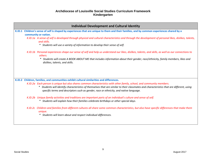|  | <b>Individual Development and Cultural Identity</b>                                                                                                                                                                                                                                                                                                                   |
|--|-----------------------------------------------------------------------------------------------------------------------------------------------------------------------------------------------------------------------------------------------------------------------------------------------------------------------------------------------------------------------|
|  | K.ID.1 Children's sense of self is shaped by experiences that are unique to them and their families, and by common experiences shared by a<br>community or nation.                                                                                                                                                                                                    |
|  | K.ID.1a A sense of self is developed through physical and cultural characteristics and through the development of personal likes, dislikes, talents,<br>and skills.                                                                                                                                                                                                   |
|  | * Students will use a variety of information to develop their sense of self.                                                                                                                                                                                                                                                                                          |
|  | K.ID.1b Personal experiences shape our sense of self and help us understand our likes, dislikes, talents, and skills, as well as our connections to<br>others.                                                                                                                                                                                                        |
|  | * Students will create A BOOK ABOUT ME that includes information about their gender, race/ethnicity, family members, likes and<br>dislikes, talents, and skills.                                                                                                                                                                                                      |
|  |                                                                                                                                                                                                                                                                                                                                                                       |
|  |                                                                                                                                                                                                                                                                                                                                                                       |
|  | K.ID.2 Children, families, and communities exhibit cultural similarities and differences.                                                                                                                                                                                                                                                                             |
|  | K.ID.2a Each person is unique but also shares common characteristics with other family, school, and community members.<br>Students will identify characteristics of themselves that are similar to their classmates and characteristics that are different, using<br>$\ast$<br>specific terms and descriptors such as gender, race or ethnicity, and native language. |
|  | K.ID.2b Unique family activities and traditions are important parts of an individual's culture and sense of self.<br>Students will explain how their families celebrate birthdays or other special days.                                                                                                                                                              |
|  | K.ID.2c Children and families from different cultures all share some common characteristics, but also have specific differences that make them<br>unique.                                                                                                                                                                                                             |
|  | * Students will learn about and respect individual differences.                                                                                                                                                                                                                                                                                                       |
|  |                                                                                                                                                                                                                                                                                                                                                                       |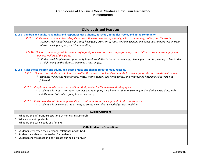|                                      | <b>Civic Ideals and Practices</b>                                                                                                                                                                                                                                                                                                                                                                                                             |  |  |
|--------------------------------------|-----------------------------------------------------------------------------------------------------------------------------------------------------------------------------------------------------------------------------------------------------------------------------------------------------------------------------------------------------------------------------------------------------------------------------------------------|--|--|
|                                      | K.Cl.1 Children and adults have rights and responsibilities at home, at school, in the classroom, and in the community.<br>K.Cl.1a Children have basic universal rights or protections as members of a family, school, community, nation, and the world.<br>* Students will identify basic rights they have (e.g., provision of food, clothing, shelter, and education, and protection from<br>abuse, bullying, neglect, and discrimination). |  |  |
|                                      | K.Cl.1b Children can be responsible members of a family or classroom and can perform important duties to promote the safety and<br>general welfare of the group.                                                                                                                                                                                                                                                                              |  |  |
|                                      | * Students will be given the opportunity to perform duties in the classroom (e.g., cleaning up a center, serving as line leader,<br>straightening up the library, serving as a messenger).                                                                                                                                                                                                                                                    |  |  |
|                                      | K.Cl.2 Rules affect children and adults, and people make and change rules for many reasons.<br>K.Cl.1c Children and adults must follow rules within the home, school, and community to provide for a safe and orderly environment.<br>* Students will discuss rules for fire, water, traffic, school, and home safety, and what would happen if rules were not<br>followed.                                                                   |  |  |
|                                      | K.Cl.1d People in authority make rules and laws that provide for the health and safety of all.<br>* Students will discuss classroom routines and rules (e.g., raise hand to ask or answer a question during circle time, walk<br>quietly in the halls when going to another area).                                                                                                                                                            |  |  |
|                                      | K.Cl.1e Children and adults have opportunities to contribute to the development of rules and/or laws.<br>* Students will be given an opportunity to create new rules as needed for class activities.                                                                                                                                                                                                                                          |  |  |
|                                      | <b>Guided Questions</b>                                                                                                                                                                                                                                                                                                                                                                                                                       |  |  |
|                                      | * What are the different expectations at home and at school?<br>* Why are rules important?<br>* What are the basic needs of a family?                                                                                                                                                                                                                                                                                                         |  |  |
| <b>Catholic Identity Connections</b> |                                                                                                                                                                                                                                                                                                                                                                                                                                               |  |  |
| $^{\ast}$<br>$\ast$                  | Students strengthen their personal relationship with God.<br>Students are able to turn to God for guidance.<br>Students show respect and participate during daily prayer.                                                                                                                                                                                                                                                                     |  |  |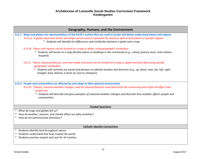| Geography, Humans, and the Environment                                                                                                                                                                                                                                                                                                                                     |  |  |
|----------------------------------------------------------------------------------------------------------------------------------------------------------------------------------------------------------------------------------------------------------------------------------------------------------------------------------------------------------------------------|--|--|
| Maps and globes are representations of the Earth's surface that are used to locate and better understand places and regions.<br>K.G.1<br>K.G.1a A globe represents Earth, and maps can be used to represent the world as well as local places or specific regions.<br>* Students will identify the differences and similarities between a globe and a map.                 |  |  |
| K.G.1b Places and regions can be located on a map or globe, using geographic vocabulary.<br>* Students will locate on a map familiar places or buildings in the community (e.g., school, grocery store, train station,<br>hospital).                                                                                                                                       |  |  |
| K.G.1c Places, physical features, and man-made structures can be located on a map or globe and described using specific<br>geographic vocabulary.                                                                                                                                                                                                                          |  |  |
| * Students will correctly use words and phrases to indicate location and direction (e.g., up, down, near, far, left, right,<br>straight, back, behind, in front of, next to, between).                                                                                                                                                                                     |  |  |
| K.G.2 People and communities are affected by and adapt to their physical environment.<br>K.G.2a Climate, seasonal weather changes, and the physical features associated with the community and region all affect how<br>people live.<br>Students will describe and give examples of seasonal weather changes and illustrate how weather affects people and<br>communities. |  |  |
| <b>Guided Questions</b>                                                                                                                                                                                                                                                                                                                                                    |  |  |
| * What do maps and globes tell us?<br>How do weather, seasons, and climate affect our daily activities?<br>How do we communicate directions?                                                                                                                                                                                                                               |  |  |
| <b>Catholic Identity Connections</b>                                                                                                                                                                                                                                                                                                                                       |  |  |
| Students identify God throughout nature.<br>$\ast$<br>Students understand that God created the world.<br>Students practice respect and care for all creation.                                                                                                                                                                                                              |  |  |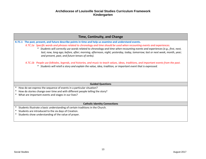| Time, Continuity, and Change                                                                                                                                                                                                                                                                                   |  |
|----------------------------------------------------------------------------------------------------------------------------------------------------------------------------------------------------------------------------------------------------------------------------------------------------------------|--|
| K.TC.1 The past, present, and future describe points in time and help us examine and understand events.                                                                                                                                                                                                        |  |
| K.TC.1a Specific words and phrases related to chronology and time should be used when recounting events and experiences.                                                                                                                                                                                       |  |
| * Students will correctly use words related to chronology and time when recounting events and experiences (e.g., first, next,<br>last; now, long ago; before, after; morning, afternoon, night; yesterday, today, tomorrow; last or next week, month, year;<br>and present, past, and future tenses of verbs). |  |
| K.TC.1b People use folktales, legends, oral histories, and music to teach values, ideas, traditions, and important events from the past.<br>Students will retell a story and explain the value, idea, tradition, or important event that is expressed.<br>∗                                                    |  |
|                                                                                                                                                                                                                                                                                                                |  |
| <b>Guided Questions</b>                                                                                                                                                                                                                                                                                        |  |
| How do we express the sequence of events in a particular situation?                                                                                                                                                                                                                                            |  |
| How do stories change over time and with different people telling the story?                                                                                                                                                                                                                                   |  |
| What are important events and stages in our lives?                                                                                                                                                                                                                                                             |  |
| <b>Catholic Identity Connections</b>                                                                                                                                                                                                                                                                           |  |
| Students illustrate a basic understanding of certain traditions in the Church.                                                                                                                                                                                                                                 |  |
| Students are introduced to the six days of Creation.                                                                                                                                                                                                                                                           |  |
| Students show understanding of the value of prayer.                                                                                                                                                                                                                                                            |  |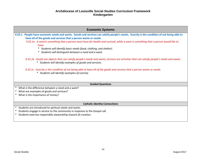| <b>Economic Systems</b>                                                                                                                                                                                                                                                                                                                                                                                                                                                                                                                                                                                                                                                                                                 |
|-------------------------------------------------------------------------------------------------------------------------------------------------------------------------------------------------------------------------------------------------------------------------------------------------------------------------------------------------------------------------------------------------------------------------------------------------------------------------------------------------------------------------------------------------------------------------------------------------------------------------------------------------------------------------------------------------------------------------|
| People have economic needs and wants. Goods and services can satisfy people's wants. Scarcity is the condition of not being able to<br><b>K.ES.1</b><br>have all of the goods and services that a person wants or needs.<br>K.ES.1a A need is something that a person must have for health and survival, while a want is something that a person would like to<br>have.<br>* Students will identify basic needs (food, clothing, and shelter).<br>* Students will distinguish between a need and a want.<br>K.ES.1b Goods are objects that can satisfy people's needs and wants; services are activities that can satisfy people's needs and wants.<br>Students will identify examples of goods and services.<br>$\ast$ |
| K.ES.1c Scarcity is the condition of not being able to have all of the goods and services that a person wants or needs.<br>* Students will identify examples of scarcity.                                                                                                                                                                                                                                                                                                                                                                                                                                                                                                                                               |
| <b>Guided Questions</b>                                                                                                                                                                                                                                                                                                                                                                                                                                                                                                                                                                                                                                                                                                 |
| * What is the difference between a need and a want?<br>What are examples of goods and services?<br>What is the importance of money?                                                                                                                                                                                                                                                                                                                                                                                                                                                                                                                                                                                     |
| <b>Catholic Identity Connections</b>                                                                                                                                                                                                                                                                                                                                                                                                                                                                                                                                                                                                                                                                                    |
| Students are introduced to spiritual needs and wants.<br>Students engage in service to the community in response to the Gospel call.<br>$\ast$<br>Students exercise responsible stewardship toward all creation.                                                                                                                                                                                                                                                                                                                                                                                                                                                                                                        |
|                                                                                                                                                                                                                                                                                                                                                                                                                                                                                                                                                                                                                                                                                                                         |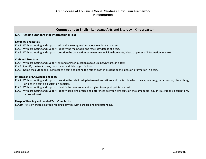# **Connections to English Language Arts and Literacy - Kindergarten**

#### **K.A. Reading Standards for Informational Text**

#### **Key Ideas and Details**

- K.A.1 With prompting and support, ask and answer questions about key details in a text.
- K.A.2 With prompting and support, identify the main topic and retell key details of a text.
- K.A.3 With prompting and support, describe the connection between two individuals, events, ideas, or pieces of information in a text.

#### **Craft and Structure**

- K.A.4 With prompting and support, ask and answer questions about unknown words in a text.
- K.A.5 Identify the front cover, back cover, and title page of a book.
- K.A.6 Name the author and illustrator of a text and define the role of each in presenting the ideas or information in a text.

#### **Integration of Knowledge and Ideas**

- K.A.7 With prompting and support, describe the relationship between illustrations and the text in which they appear (e.g., what person, place, thing, or idea in a text an illustration depicts).
- K.A.8 With prompting and support, identify the reasons an author gives to support points in a text.
- K.A.9 With prompting and support, identify basic similarities and differences between two texts on the same topic (e.g., in illustrations, descriptions, or procedures).

#### **Range of Reading and Level of Text Complexity**

K.A.10 Actively engage in group reading activities with purpose and understanding.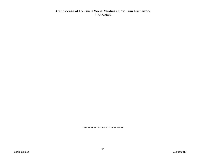THIS PAGE INTENTIONALLY LEFT BLANK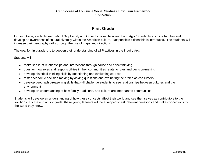# **First Grade**

In First Grade, students learn about "My Family and Other Families, Now and Long Ago." Students examine families and develop an awareness of cultural diversity within the American culture. Responsible citizenship is introduced. The students will increase their geography skills through the use of maps and directions.

The goal for first graders is to deepen their understanding of all Practices in the Inquiry Arc.

Students will:

- make sense of relationships and interactions through cause and effect thinking
- question how roles and responsibilities in their communities relate to rules and decision-making
- develop historical-thinking skills by questioning and evaluating sources
- foster economic decision-making by asking questions and evaluating their roles as consumers
- develop geographic-reasoning skills that will challenge students to see relationships between cultures and the environment
- develop an understanding of how family, traditions, and culture are important to communities

Students will develop an understanding of how these concepts affect their world and see themselves as contributors to the solutions. By the end of first grade, these young learners will be equipped to ask relevant questions and make connections to the world they know.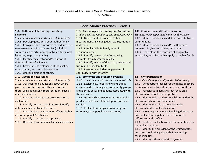| <b>Social Studies Practices - Grade 1</b>                                                                                                                                                                                                                                                                                                                                                                                                                                                                                                                                                      |                                                                                                                                                                                                                                                                                                                                                                                                                                                                                                                           |                                                                                                                                                                                                                                                                                                                                                                                                                                                                                                                                                                                                                                                                                                                                                                                                                                                                              |
|------------------------------------------------------------------------------------------------------------------------------------------------------------------------------------------------------------------------------------------------------------------------------------------------------------------------------------------------------------------------------------------------------------------------------------------------------------------------------------------------------------------------------------------------------------------------------------------------|---------------------------------------------------------------------------------------------------------------------------------------------------------------------------------------------------------------------------------------------------------------------------------------------------------------------------------------------------------------------------------------------------------------------------------------------------------------------------------------------------------------------------|------------------------------------------------------------------------------------------------------------------------------------------------------------------------------------------------------------------------------------------------------------------------------------------------------------------------------------------------------------------------------------------------------------------------------------------------------------------------------------------------------------------------------------------------------------------------------------------------------------------------------------------------------------------------------------------------------------------------------------------------------------------------------------------------------------------------------------------------------------------------------|
| 1.A. Gathering, Interpreting, and Using<br>Evidence<br>Students will independently and collaboratively:<br>1.A.1 Develop questions about his/her family.<br>1.A.2 Recognize different forms of evidence used<br>to make meaning in social studies (including<br>sources such as artm photographs, artifacts, oral<br>histories, maps, and graphs).<br>1.A.3 Identify the creator and/or author of<br>different forms of evidence.<br>1.A.4 Create an understanding of the past by<br>using primary and secondary sources.<br>1.A.5 Identify opinions of others.                                | 1.B. Chronological Reasoning and Causation<br>Students will independently and collaboratively:<br>1.B.1 Understand the concept of time<br>measurements, including days, weeks, months,<br>and years.<br>1.B.2 Retell a real-life family event in<br>sequential order.<br>1.B.3 Identify causes and effects, using<br>examples from his/her family life.<br>1.B.4 Identify events of the past, present, and<br>future in his/her family life.<br>1.B.5 Recognize and identify patterns of<br>continuity in his/her family. | 1.C. Comparison and Contextualization<br>Students will independently and collaboratively:<br>1.C.1 Identify similarities and differences between<br>communities.<br>1.C.2 Identify similarities and/or differences<br>between him/her and others, with detail.<br>1.C.3 Understand the concepts of geography,<br>economics, and history that apply to his/her family.                                                                                                                                                                                                                                                                                                                                                                                                                                                                                                        |
| 1.D. Geographic Reasoning<br>Students will independently and collaboratively:<br>1.D.1 Ask geographic questions about where<br>places are located and why they are located<br>there, using geographic representations such as<br>maps and models.<br>1.D.2 Describe where places are in relation to<br>each other.<br>1.D.3 Identify human-made features; identify<br>natural events or physical features.<br>1.D.4 Describe how environment affects his/her<br>and other people's activities.<br>1.D.5 Identify a pattern and a process.<br>1.D.6 Describe how human activities alter places. | 1.E. Economics and Economic Systems<br>Students will independently and collaboratively:<br>1.E.1 Explain how needs and wants affect<br>choices made by family and community groups,<br>and identify costs and benefits associated with<br>these choices.<br>1.E.2 Distinguish between a consumer and a<br>producer and their relationship to goods and<br>services.<br>1.E.3 Explain how people earn money and<br>other ways that people receive money.                                                                   | 1.F. Civic Participation<br>Students will independently and collaboratively:<br>1.F.1 Demonstrate respect for the rights of others<br>in discussions involving differences and conflicts.<br>1.F.2 Participate in activities that focus on a<br>classroom or school issue or problem.<br>1.F.3 Identify rights and responsibilities within the<br>classroom, school, and community.<br>1.F.4 Identify the role of the individual in<br>classroom and school participation.<br>1.F.5 Show respect in issues involving differences<br>and conflict; participate in the resolution of<br>differences and conflict.<br>1.F.6 Identify social actions that are acceptable for<br>particular situations.<br>1.F.7 Identify the president of the United States<br>and the school principal and their leadership<br>responsibilities.<br>1.F.8 Identify different political systems. |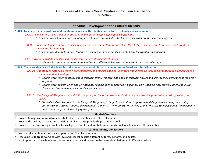| <b>Individual Development and Cultural Identity</b>                                                                                                                                                                                                                                                                         |  |  |
|-----------------------------------------------------------------------------------------------------------------------------------------------------------------------------------------------------------------------------------------------------------------------------------------------------------------------------|--|--|
| 1.ID.1 Language, beliefs, customs, and traditions help shape the identity and culture of a family and a community.                                                                                                                                                                                                          |  |  |
| 1.ID.1a Families are a basic unit of all societies, and different people define family differently.                                                                                                                                                                                                                         |  |  |
| * Students will listen to stories about different families and will identify characteristics that are the same and different.                                                                                                                                                                                               |  |  |
| 1.ID.1b People and families of diverse racial, religious, national, and ethnic groups share their beliefs, customs, and traditions, which creates a<br>multicultural community.                                                                                                                                             |  |  |
| * Students will identify traditions that are associated with their families, and tell why the tradition is important.                                                                                                                                                                                                       |  |  |
| 1.ID.1c Awareness of America's rich diversity fosters intercultural understanding.                                                                                                                                                                                                                                          |  |  |
| * Students will compare the cultural similarities and differences between various ethnic and cultural groups.                                                                                                                                                                                                               |  |  |
| 1.ID.2 There are significant individuals, historical events, and symbols that are important to American cultural identity.                                                                                                                                                                                                  |  |  |
| 1.ID.2a The study of historical events, historical figures, and folklore enables Americans with diverse cultural backgrounds to feel connected to a<br>common national heritage.                                                                                                                                            |  |  |
| * Students will listen to stories about historical events, folklore, and popular historical figures and identify the significance of the event<br>or person.                                                                                                                                                                |  |  |
| * Students will explain when and why national holidays such as Labor Day, Columbus Day, Thanksgiving, Martin Luther King Jr. Day,<br>Presidents' Day, and Independence Day are celebrated.                                                                                                                                  |  |  |
| 1.ID.2b The Pledge of Allegiance and patriotic songs play an important role in understanding and examining the nation's history, values, and<br>beliefs.                                                                                                                                                                    |  |  |
| * Students will be able to recite the Pledge of Allegiance, to begin to understand its purpose and its general meaning, and to sing<br>patriotic songs such as "America the Beautiful", "America" ("My Country 'Tis of Thee"), and "The Star Spangled Banner" and begin to<br>understand the general meaning of the lyrics. |  |  |
| <b>Guided Questions</b>                                                                                                                                                                                                                                                                                                     |  |  |
| How do family customs and traditions help shape the identity and culture of a family?                                                                                                                                                                                                                                       |  |  |
| How do the beliefs, customs, and traditions of diverse groups help shape communities?                                                                                                                                                                                                                                       |  |  |
| How does the study of significant historical figures, events, and symbols impact and enrich our American cultural identity?                                                                                                                                                                                                 |  |  |
| <b>Catholic Identity Connections</b>                                                                                                                                                                                                                                                                                        |  |  |
| We are called to honor the family as part of our Church community.<br>$\ast$                                                                                                                                                                                                                                                |  |  |
| Jesus asks us to treat everyone with love and respect despite different cultures, customs, and beliefs.                                                                                                                                                                                                                     |  |  |
| It is important that we honor and respect our country and recognize the cultural similarities and differences within.                                                                                                                                                                                                       |  |  |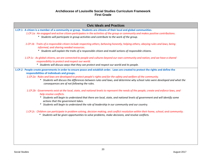|  | <b>Civic Ideals and Practices</b>                                                                                                                                                   |
|--|-------------------------------------------------------------------------------------------------------------------------------------------------------------------------------------|
|  | 1.CP.1 A citizen is a member of a community or group. Students are citizens of their local and global communities.                                                                  |
|  | 1.CP.1a An engaged and active citizen participates in the activities of the group or community and makes positive contributions.                                                    |
|  | * Students will participate in group activities and contribute to the work of the group.                                                                                            |
|  | 1.CP.1b Traits of a responsible citizen include respecting others, behaving honestly, helping others, obeying rules and laws, being<br>informed, and sharing needed resources.      |
|  | * Students will explain the traits of a responsible citizen and model actions of responsible citizens.                                                                              |
|  | 1.CP.1c As global citizens, we are connected to people and cultures beyond our own community and nation, and we have a shared                                                       |
|  | responsibility to protect and respect our world.                                                                                                                                    |
|  | * Students will discuss ways that they can protect and respect our world and its people.                                                                                            |
|  | 1.CP.2 People create governments in order to ensure peace and establish order. Laws are created to protect the rights and define the<br>responsibilities of individuals and groups. |
|  | 1.CP.2a Rules and laws are developed to protect people's rights and for the safety and welfare of the community.                                                                    |
|  | * Students will discuss the differences between rules and laws, and determine why school rules were developed and what the<br>consequences are of not following the rules.          |
|  | 1.CP.2b Governments exist at the local, state, and national levels to represent the needs of the people, create and enforce laws, and<br>help resolve conflicts.                    |
|  | * Students will begin to understand that there are local, state, and national levels of government and will identify some<br>actions that the government takes.                     |
|  | * Students will begin to understand the role of leadership in our community and our country.                                                                                        |
|  | 1.CP.2c Children can participate in problem solving, decision making, and conflict resolution within their home, school, and community.                                             |
|  | * Students will be given opportunities to solve problems, make decisions, and resolve conflicts.                                                                                    |
|  |                                                                                                                                                                                     |
|  |                                                                                                                                                                                     |
|  |                                                                                                                                                                                     |
|  |                                                                                                                                                                                     |
|  |                                                                                                                                                                                     |
|  |                                                                                                                                                                                     |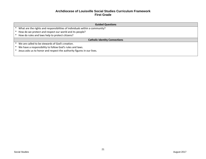|        | <b>Guided Questions</b>                                                       |  |  |
|--------|-------------------------------------------------------------------------------|--|--|
|        | * What are the rights and responsibilities of individuals within a community? |  |  |
|        | * How do we protect and respect our world and its people?                     |  |  |
| ∗      | How do rules and laws help to protect citizens?                               |  |  |
|        | <b>Catholic Identity Connections</b>                                          |  |  |
|        | We are called to be stewards of God's creation.                               |  |  |
| $\ast$ | We have a responsibility to follow God's rules and laws.                      |  |  |
|        | Jesus asks us to honor and respect the authority figures in our lives.        |  |  |
|        |                                                                               |  |  |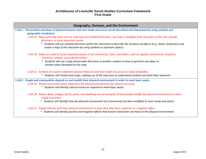| <b>Geography, Humans, and the Environment</b>                                                                                                                                                                                                                         |  |  |
|-----------------------------------------------------------------------------------------------------------------------------------------------------------------------------------------------------------------------------------------------------------------------|--|--|
| 1.GH.1 The location and place of physical features and man-made structures can be described and interpreted by using symbols and<br>geographic vocabulary.                                                                                                            |  |  |
| 1.GH.1a Maps and map tools, such as map keys and cardinal directions, can help us navigate from one place to the next, provide<br>directions, or trace important routes.                                                                                              |  |  |
| * Students will use cardinal directions within the classroom to describe the locations of objects (e.g., desks, bookcases) and<br>create a map of the classroom by using symbols to represent objects.                                                                |  |  |
| 1.GH.1b Maps are used to locate important places in the community, state, and nation, such as capitals, monuments, hospitals,<br>museums, schools, and cultural centers.                                                                                              |  |  |
| Students will use a map and provide directions to another student on how to get from one place to<br>another place identified on the map.                                                                                                                             |  |  |
| 1.GH.1c Symbols are used to represent physical features and man-made structures on maps and globes.<br>* Students will closely read maps, making use of the map keys to understand symbols and what they represent.                                                   |  |  |
| 1.GH.2 People and communities depend on and modify their physical environment in order to meet basic needs.                                                                                                                                                           |  |  |
| 1.GH.2a People and communities depend on the physical environment for natural resources.<br>* Students will identify natural resources required to meet basic needs.                                                                                                  |  |  |
| 1.GH.2b Roads, dams, bridges, farms, parks, and dwellings are all examples of how people modify the physical environment to meet<br>needs and wants.<br>Students will identify how the physical environment of a community has been modified to meet needs and wants. |  |  |
| 1.GH.2c People interact with their physical environment in ways that may have a positive or a negative effect.<br>Students will identify positive and negative effects that human interaction can have on the physical environment.                                   |  |  |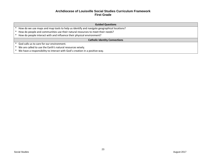| <b>Guided Questions</b>                                                                   |
|-------------------------------------------------------------------------------------------|
| How do we use maps and map tools to help us identify and navigate geographical locations? |
| How do people and communities use their natural resources to meet their needs?            |
| How do people interact with and influence their physical environment?                     |
| <b>Catholic Identity Connections</b>                                                      |
| * God calls us to care for our environment.                                               |
| We are called to use the Earth's natural resources wisely.                                |
| We have a responsibility to interact with God's creation in a positive way.               |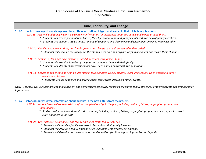|              | Time, Continuity, and Change                                                                                                                                                                                                                      |
|--------------|---------------------------------------------------------------------------------------------------------------------------------------------------------------------------------------------------------------------------------------------------|
|              | 1.TC.1 Families have a past and change over time. There are different types of documents that relate family histories.<br>1.TC.1a Personal and family history is a source of information for individuals about the people and places around them. |
|              | * Students will create personal time lines of their life, school year, and family events with the help of family members.                                                                                                                         |
|              | * Students will demonstrate an understanding of sequence and chronology and share their timelines with each other.                                                                                                                                |
|              |                                                                                                                                                                                                                                                   |
|              | 1.TC.1b Families change over time, and family growth and change can be documented and recorded.                                                                                                                                                   |
|              | * Students will examine the changes in their family over time and explore ways to document and record these changes.                                                                                                                              |
|              | 1.TC.1c Families of long ago have similarities and differences with families today.                                                                                                                                                               |
|              | * Students will examine families of the past and compare them with their family.                                                                                                                                                                  |
|              | * Students will identify characteristics that have been passed on through the generations.                                                                                                                                                        |
|              | 1.TC.1d Sequence and chronology can be identified in terms of days, weeks, months, years, and seasons when describing family<br>events and histories.                                                                                             |
|              | * Students will use sequence and chronological terms when describing family events.                                                                                                                                                               |
| information. | NOTE: Teachers will use their professional judgment and demonstrate sensitivity regarding the varied family structures of their students and availability of                                                                                      |
|              | 1.TC.2 Historical sources reveal information about how life in the past differs from the present.                                                                                                                                                 |
|              | 1.TC.2a Various historical sources exist to inform people about life in the past, including artifacts, letters, maps, photographs, and<br>newspapers.                                                                                             |
|              | * Students will examine various historical sources, including artifacts, letters, maps, photographs, and newspapers in order to                                                                                                                   |
|              | learn about life in the past.                                                                                                                                                                                                                     |
|              | 1.TC.2b Oral histories, biographies, and family time lines relate family histories.                                                                                                                                                               |
|              | * Students will interview family members to learn about their family histories.                                                                                                                                                                   |
|              | * Students will develop a family timeline as an extension of their personal timeline.                                                                                                                                                             |
|              | * Students will describe the main characters and qualities after listening to biographies and legends.                                                                                                                                            |
|              |                                                                                                                                                                                                                                                   |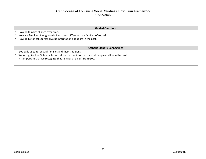| <b>Guided Questions</b>                                                                          |
|--------------------------------------------------------------------------------------------------|
|                                                                                                  |
| * How do families change over time?                                                              |
| How are families of long ago similar to and different than families of today?                    |
| How do historical sources give us information about life in the past?                            |
|                                                                                                  |
|                                                                                                  |
| <b>Catholic Identity Connections</b>                                                             |
| * God calls us to respect all families and their traditions.                                     |
| We recognize the Bible as a historical source that informs us about people and life in the past. |
| It is important that we recognize that families are a gift from God.                             |
|                                                                                                  |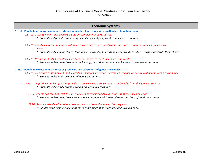| <b>Economic Systems</b>                                                                                                              |
|--------------------------------------------------------------------------------------------------------------------------------------|
| 1.ES.1 People have many economic needs and wants, but limited resources with which to obtain them.                                   |
| 1.ES.1a Scarcity means that people's wants exceed their limited resources.                                                           |
| * Students will provide examples of scarcity by identifying wants that exceed resources.                                             |
| 1.ES.1b Families and communities must make choices due to needs and wants and scarce resources; these choices involve<br>costs.      |
| * Students will examine choices that families make due to needs and wants and identify costs associated with these choices.          |
| 1.ES.1c People use tools, technologies, and other resources to meet their needs and wants.                                           |
| * Students will examine how tools, technology, and other resources can be used to meet needs and wants.                              |
| 1.ES.2 People make economic choices as producers and consumers of goods and services.                                                |
| 1.ES.2a Goods are consumable, tangible products; services are actions performed by a person or group of people with a certain skill. |
| * Students will identify examples of goods and services.                                                                             |
| 1.ES.2b A producer makes goods or provides a service, while a consumer uses or benefits from the goods or services.                  |
| Students will identify examples of a producer and a consumer.<br>$\ast$                                                              |
| 1.ES.2c People and families work to earn money to purchase goods and services that they need or want.                                |
| * Students will examine how earning money through work is related to the purchase of goods and services.                             |
| 1.ES.2d People make decisions about how to spend and save the money that they earn.                                                  |
| * Students will examine decisions that people make about spending and saving money.                                                  |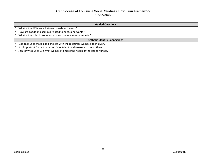| <b>Guided Questions</b>                                                       |  |  |
|-------------------------------------------------------------------------------|--|--|
| What is the difference between needs and wants?                               |  |  |
| How are goods and services related to needs and wants?                        |  |  |
| What is the role of producers and consumers in a community?                   |  |  |
| <b>Catholic Identity Connections</b>                                          |  |  |
| God calls us to make good choices with the resources we have been given.      |  |  |
| It is important for us to use our time, talent, and treasure to help others.  |  |  |
| Jesus invites us to use what we have to meet the needs of the less fortunate. |  |  |
|                                                                               |  |  |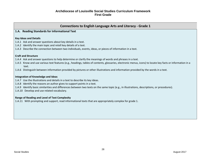| <b>Connections to English Language Arts and Literacy - Grade 1</b>                                                                                                                            |
|-----------------------------------------------------------------------------------------------------------------------------------------------------------------------------------------------|
| 1.A. Reading Standards for Informational Text                                                                                                                                                 |
| <b>Key Ideas and Details</b>                                                                                                                                                                  |
| 1.A.1 Ask and answer questions about key details in a text.                                                                                                                                   |
| 1.A.2 Identify the main topic and retell key details of a text.                                                                                                                               |
| 1.A.3 Describe the connection between two individuals, events, ideas, or pieces of information in a text.                                                                                     |
| <b>Craft and Structure</b>                                                                                                                                                                    |
| 1.A.4 Ask and answer questions to help determine or clarify the meanings of words and phrases in a text.                                                                                      |
| 1.A.5 Know and use various text features (e.g., headings, tables of contents, glossaries, electronic menus, icons) to locate key facts or information in a<br>text.                           |
| 1.A.6 Distinguish between information provided by pictures or other illustrations and information provided by the words in a text.                                                            |
| Integration of Knowledge and Ideas                                                                                                                                                            |
| 1.A.7 Use the illustrations and details in a text to describe its key ideas.                                                                                                                  |
| 1.A.8 Identify the reasons an author gives to support points in a text.                                                                                                                       |
| Identify basic similarities and differences between two texts on the same topic (e.g., in illustrations, descriptions, or procedures).<br>1.A.9<br>1.A.10 Develop and use related vocabulary. |
|                                                                                                                                                                                               |

#### **Range of Reading and Level of Text Complexity**

1.A.11 With prompting and support, read informational texts that are appropriately complex for grade 1.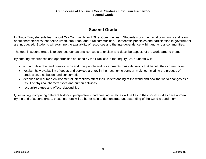# **Second Grade**

In Grade Two, students learn about "My Community and Other Communities". Students study their local community and learn about characteristics that define urban, suburban, and rural communities. Democratic principles and participation in government are introduced. Students will examine the availability of resources and the interdependence within and across communities.

The goal in second grade is to connect foundational concepts to explain and describe aspects of the world around them.

By creating experiences and opportunities enriched by the Practices in the Inquiry Arc, students will:

- explain, describe, and question why and how people and governments make decisions that benefit their communities
- explain how availability of goods and services are key in their economic decision making, including the process of production, distribution, and consumption
- describe how human-environmental interactions affect their understanding of the world and how the world changes as a result of physical characteristics and human activities
- recognize cause and effect relationships

Questioning, comparing different historical perspectives, and creating timelines will be key in their social studies development. By the end of second grade, these learners will be better able to demonstrate understanding of the world around them.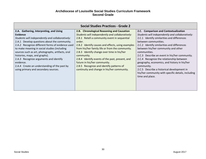| Social Studies Practices - Grade 2                                                                                                                                                                                                                                                                                                                                                                                                                                                               |                                                                                                                                                                                                                                                                                                                                                                                                                                                                                                            |                                                                                                                                                                                                                                                                                                                                                                                                                                                                                                                                                          |
|--------------------------------------------------------------------------------------------------------------------------------------------------------------------------------------------------------------------------------------------------------------------------------------------------------------------------------------------------------------------------------------------------------------------------------------------------------------------------------------------------|------------------------------------------------------------------------------------------------------------------------------------------------------------------------------------------------------------------------------------------------------------------------------------------------------------------------------------------------------------------------------------------------------------------------------------------------------------------------------------------------------------|----------------------------------------------------------------------------------------------------------------------------------------------------------------------------------------------------------------------------------------------------------------------------------------------------------------------------------------------------------------------------------------------------------------------------------------------------------------------------------------------------------------------------------------------------------|
| 2.A. Gathering, Interpreting, and Using<br>Evidence<br>Students will independently and collaboratively:<br>2.A.1 Develop questions about the community.<br>2.A.2 Recognize different forms of evidence used<br>to make meaning in social studies (including<br>sources such as art, photographs, artifacts, oral<br>histories, maps, and graphs).<br>2.A.3 Recognize arguments and identify<br>evidence.<br>2.A.4 Create an understanding of the past by<br>using primary and secondary sources. | 2.B. Chronological Reasoning and Causation<br>Students will independently and collaboratively:<br>2.B.1 Retell a community event in sequential<br>order.<br>2.B.2 Identify causes and effects, using examples<br>from his/her family life or from the community.<br>2.B.3 Identify change over time in his/her<br>community.<br>2.B.4 Identify events of the past, present, and<br>future in his/her community.<br>2.B.5 Recognize and identify patterns of<br>continuity and change in his/her community. | 2.C. Comparison and Contextualization<br>Students will independently and collaboratively:<br>2.C.1 Identify similarities and differences<br>between communities.<br>2.C.2 Identify similarities and differences<br>between his/her community and other<br>communities.<br>2.C.3 Describe an event in his/her community.<br>2.C.4 Recognize the relationship between<br>geography, economics, and history in his/her<br>community.<br>2.C.5 Describe a historical development in<br>his/her community with specific details, including<br>time and place. |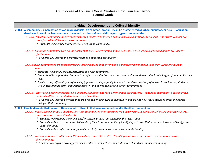| <b>Individual Development and Cultural Identity</b>                                                                                                                                                                                                                                                                                                                                                                                                                                                                                                                                                                                                      |
|----------------------------------------------------------------------------------------------------------------------------------------------------------------------------------------------------------------------------------------------------------------------------------------------------------------------------------------------------------------------------------------------------------------------------------------------------------------------------------------------------------------------------------------------------------------------------------------------------------------------------------------------------------|
| 2.ID.1 A community is a population of various individuals in a common location. It can be characterized as urban, suburban, or rural. Population<br>density and use of the land are some characteristics that define and distinguish types of communities.<br>2.ID.1a An urban community, or city, is characterized by dense population and land occupied primarily by buildings and structures that are<br>used for residential and business purposes.<br>* Students will identify characteristics of an urban community                                                                                                                                |
| 2.ID.1b Suburban communities are on the outskirts of cities, where human population is less dense, and buildings and homes are spaced<br>farther apart.<br>* Students will identify the characteristics of a suburban community.                                                                                                                                                                                                                                                                                                                                                                                                                         |
| 2.ID.1c Rural communities are characterized by large expanses of open land and significantly lower populations than urban or suburban<br>areas.<br>* Students will identify the characteristics of a rural community.<br>* Students will compare the characteristics of urban, suburban, and rural communities and determine in which type of community they<br>live.<br>* By discussing different types of housing (apartment, single-family house, etc.) and the proximity of houses to each other, students<br>will understand the term "population density" and how it applies to different communities.                                             |
| 2.ID.1d Activities available for people living in urban, suburban, and rural communities are different. The type of community a person grows<br>up in will affect a person's development and identity.<br>* Students will identify activities that are available in each type of community, and discuss how those activities affect the people<br>living in that community.                                                                                                                                                                                                                                                                              |
| 2.ID.2 People share similarities and differences with others in their own community and with other communities.<br>2.ID.2a People living in urban, suburban, and rural communities embrace traditions and celebrate holidays that reflect both diverse cultures<br>and a common community identity.<br>Students will examine the ethnic and/or cultural groups represented in their classroom.<br>* Students will explore the cultural diversity of their local community by identifying activities that have been introduced by different<br>cultural groups.<br>Students will identify community events that help promote a common community identity. |
| 2.ID.2b A community is strengthened by the diversity of its members; ideas, talents, perspectives, and cultures can be shared across<br>the community.<br>* Students will explore how different ideas, talents, perspectives, and culture are shared across their community.                                                                                                                                                                                                                                                                                                                                                                             |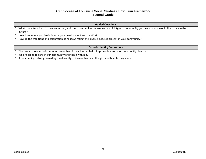#### **Guided Questions**

- \* What characteristics of urban, suburban, and rural communites determine in which type of community you live now and would like to live in the future?
- \* How does where you live influence your development and identity?
- \* How do the traditions and celebration of holidays reflect the diverse cultures present in your community?

#### **Catholic Identity Connections**

- \* The care and respect of community members for each other helps to promote a common community identity.
- \* We are called to care of our community and those within it.
- \* A community is strengthened by the diversity of its members and the gifts and talents they share.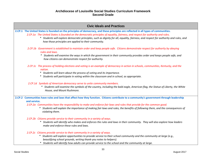|              | <b>Civic Ideals and Practices</b>                                                                                                                                                            |
|--------------|----------------------------------------------------------------------------------------------------------------------------------------------------------------------------------------------|
|              | 2.CP.1 The United States is founded on the principles of democracy, and these principles are reflected in all types of communities.                                                          |
|              | 2.CP.1a The United States is founded on the democratic principles of equality, fairness, and respect for authority and rules.                                                                |
|              | * Students will explore democratic principles, such as dignity for all, equality, fairness, and respect for authority and rules, and<br>how those principles are applied to their community. |
|              | 2.CP.1b Government is established to maintain order and keep people safe. Citizens demonstrate respect for authority by obeying<br>rules and laws.                                           |
|              | * Students will examine the ways in which the government in their community provides order and keeps people safe, and<br>how citizens can demonstrate respect for authority.                 |
|              | 2.CP.1c The process of holding elections and voting is an example of democracy in action in schools, communities, Kentucky, and the<br>nation.                                               |
|              | * Students will learn about the process of voting and its importance.                                                                                                                        |
|              | * Students will participate in voting within the classroom and in school, as appropriate.                                                                                                    |
|              | 2.CP.1d Symbols of American democracy serve to unite community members.                                                                                                                      |
|              | * Students will examine the symbols of the country, including the bald eagle, American flag, the Statue of Liberty, the White<br>House, and Mount Rushmore.                                  |
| and service. | 2.CP.2 Communities have rules and laws that affect how they function. Citizens contribute to a community's government through leadership                                                     |
|              | 2.CP.2a Communities have the responsibility to make and enforce fair laws and rules that provide for the common good.                                                                        |
|              | * Students will explain the importance of making fair laws and rules, the benefits of following them, and the consequences of<br>violating them.                                             |
|              | 2.CP.2b Citizens provide service to their community in a variety of ways.                                                                                                                    |
|              | * Students will identify who makes and enforces the rules and laws in their community. They will also explore how leaders<br>make and enforce these rules and laws.                          |
|              | 2.CP.2c Citizens provide service to their community in a variety of ways.                                                                                                                    |
|              | * Students will explore opportunities to provide service to their school community and the community at large (e.g.,                                                                         |
|              | beautifying school grounds, writing thank-you notes to helpers).                                                                                                                             |
|              | * Students will identify how adults can provide service to the school and the community at large.                                                                                            |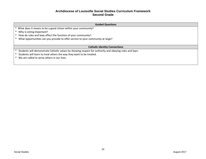| <b>Guided Questions</b>                                                                                |  |  |
|--------------------------------------------------------------------------------------------------------|--|--|
| * What does it means to be a good citizen within your community?                                       |  |  |
| Why is voting important?                                                                               |  |  |
| How do rules and laws effect the function of your community?<br>$\ast$                                 |  |  |
| What opportunities can you provide to offer service to your community at large?<br>$\ast$              |  |  |
|                                                                                                        |  |  |
| <b>Catholic Identity Connections</b>                                                                   |  |  |
| Students will demonstrate Catholic values by showing respect for authority and obeying rules and laws. |  |  |
| Students will learn to treat others the way they want to be treated.<br>∗                              |  |  |
| * We are called to serve others in our lives.                                                          |  |  |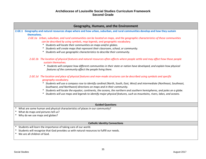| Geography, Humans, and the Environment                                                                                                                                                           |  |  |
|--------------------------------------------------------------------------------------------------------------------------------------------------------------------------------------------------|--|--|
| 2.GE.1 Geography and natural resources shape where and how urban, suburban, and rural communities develop and how they sustain                                                                   |  |  |
| themselves.                                                                                                                                                                                      |  |  |
| 2.GE.1a Urban, suburban, and rural communities can be located on maps, and the geographic characteristics of these communities                                                                   |  |  |
| can be described by using symbols, map legends, and geographic vocabulary.                                                                                                                       |  |  |
| Students will locate their communities on maps and/or globes.                                                                                                                                    |  |  |
| * Students will create maps that represent their classroom, school, or community.                                                                                                                |  |  |
| Students will use geographic characteristics to describe their community.                                                                                                                        |  |  |
| 2.GE.1b The location of physical features and natural resources often affects where people settle and may affect how those people<br>sustain themselves.                                         |  |  |
| * Students will compare how different communities in their state or nation have developed, and explain how physical<br>features of the community affect the people living there.                 |  |  |
| 2.GE.1d The location and place of physical features and man-made structures can be described using symbols and specific<br>geography vocabulary.                                                 |  |  |
| Students will use a compass rose to identify cardinal (North, South, East, West) and intermediate (Northeast, Southeast,<br>Southwest, and Northwest) directions on maps and in their community. |  |  |
| * Students will locate the equator, continents, the oceans, the northern and southern hemispheres, and poles on a globe.                                                                         |  |  |
| Students will use maps and legends to identify major physical features, such as mountains, rivers, lakes, and oceans.                                                                            |  |  |
|                                                                                                                                                                                                  |  |  |
| <b>Guided Questions</b>                                                                                                                                                                          |  |  |
| What are some human and physical characteristics of places in our community?                                                                                                                     |  |  |
| What do maps and pictures tell us?                                                                                                                                                               |  |  |
| * Why do we use maps and globes?                                                                                                                                                                 |  |  |
| <b>Catholic Identity Connections</b>                                                                                                                                                             |  |  |
| Students will learn the importance of taking care of our world.                                                                                                                                  |  |  |
| Students will recognize that God provides us with natural resources to fulfill our needs.                                                                                                        |  |  |
| We are all children of God.                                                                                                                                                                      |  |  |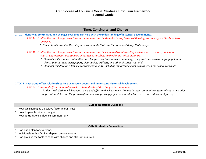| Time, Continuity, and Change                                                                                                                                                                                                                                                                                                                                                                                                                          |
|-------------------------------------------------------------------------------------------------------------------------------------------------------------------------------------------------------------------------------------------------------------------------------------------------------------------------------------------------------------------------------------------------------------------------------------------------------|
| 2.TC.1 Identifying continuities and changes over time can help with the understanding of historical developments.                                                                                                                                                                                                                                                                                                                                     |
| 2.TC.1a Continuities and changes over time in communities can be described using historical thinking, vocabulary, and tools such as<br>timelines.                                                                                                                                                                                                                                                                                                     |
| * Students will examine the things in a community that stay the same and things that change.                                                                                                                                                                                                                                                                                                                                                          |
| 2.TC.1b Continuities and changes over time in communities can be examined by interpreting evidence such as maps, population                                                                                                                                                                                                                                                                                                                           |
| charts, photographs, newspapers, biographies, artifacts, and other historical materials.                                                                                                                                                                                                                                                                                                                                                              |
| * Students will examine continuities and changes over time in their community, using evidence such as maps, population                                                                                                                                                                                                                                                                                                                                |
| charts, photographs, newspapers, biographies, artifacts, and other historical materials.                                                                                                                                                                                                                                                                                                                                                              |
| * Students will develop a tim line for their community, including important events such as when the school was built.                                                                                                                                                                                                                                                                                                                                 |
| 2.TCC.2 Cause-and-effect relationships help us recount events and understand historical development.<br>2.TC.2a Cause-and-effect relationships help us to understand the changes in communities.<br>* Students will distinguish between cause and effect and will examine changes in their community in terms of cause and effect<br>(e.g., automobiles and the growth of the suburbs, growing population in suburban areas, and reduction of farms). |
| <b>Guided Questions Questions</b>                                                                                                                                                                                                                                                                                                                                                                                                                     |
| How can sharing be a positive factor in our lives?                                                                                                                                                                                                                                                                                                                                                                                                    |
| How do people initiate change?                                                                                                                                                                                                                                                                                                                                                                                                                        |
| How do traditions influence communities?                                                                                                                                                                                                                                                                                                                                                                                                              |
|                                                                                                                                                                                                                                                                                                                                                                                                                                                       |
| <b>Catholic Identity Connections</b>                                                                                                                                                                                                                                                                                                                                                                                                                  |
| God has a plan for everyone.                                                                                                                                                                                                                                                                                                                                                                                                                          |
| Individuals within families depend on one another.                                                                                                                                                                                                                                                                                                                                                                                                    |
| God gives us the tools to cope with change and stress in our lives.                                                                                                                                                                                                                                                                                                                                                                                   |
|                                                                                                                                                                                                                                                                                                                                                                                                                                                       |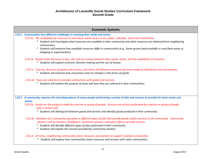| <b>Economic Systems</b>                                                                                                                                                                                                                                                                                                                                                                           |  |
|---------------------------------------------------------------------------------------------------------------------------------------------------------------------------------------------------------------------------------------------------------------------------------------------------------------------------------------------------------------------------------------------------|--|
| 2.ES.1 Communities face different challenges in meeting their needs and wants.                                                                                                                                                                                                                                                                                                                    |  |
| 2.ES.1a The availability of resources to meet basic needs varies across urban, suburban, and rural communities.<br>* Students will investigate what resources are available in their community and what resources are obtained from neighboring<br>communities.                                                                                                                                   |  |
| Students will examine how available resources differ in communities (e.g., home-grown food available in rural farm areas vs.<br>$^{\ast}$<br>shopping in supermarkets).                                                                                                                                                                                                                           |  |
| 2.ES.1b People make decisions to buy, sell, and use money based on their needs, wants, and the availability of resources.<br>* Students will explore economic decision making and the use of money.                                                                                                                                                                                               |  |
| 2.ES.1c Scarcity, the price of goods and services, and choice all influence economic decisions made by individuals and communities.<br>* Students will examine how consumers react to changes in the prices of goods.                                                                                                                                                                             |  |
| 2.ES.1d Taxes are collected to provide communities with goods and services.<br>* Students will explore the purpose of taxes and how they are collected in their communities.                                                                                                                                                                                                                      |  |
| 2.ES.2 A community requires the interdependence of many people performing a variety of jobs and services to provide for basic needs and<br>wants.                                                                                                                                                                                                                                                 |  |
| Goods are the products made by a person or group of people. Services are actions performed by a person or group of people<br>2.ES.2a<br>with a certian skill.                                                                                                                                                                                                                                     |  |
| * Students will distinguish between goods and services and identify goods produced in their community.                                                                                                                                                                                                                                                                                            |  |
| 2.ES.2b Members of a community specialize in different types of jobs that provide goods and/or services to the community. Community<br>workers such as teachers, firefighters, sanitation workers, and police officers provide services.<br>* Students will identify different types of jobs performed in their community.<br>* Students will explain the services provided by community workers. |  |
| 2.ES.2c At times, neighboring communities share resources and workers to support multiple communities.<br>* Students will explore how communities share resources and services with other communities.                                                                                                                                                                                            |  |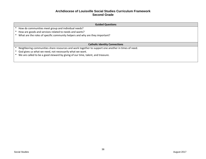|   | <b>Guided Questions</b>                                                                            |
|---|----------------------------------------------------------------------------------------------------|
|   | How do communities meet group and individual needs?                                                |
|   | How are goods and services related to needs and wants?                                             |
| ∗ | What are the roles of specific community helpers and why are they important?                       |
|   |                                                                                                    |
|   |                                                                                                    |
|   | <b>Catholic Identity Connections</b>                                                               |
|   | Neighboring communities share resources and work together to support one another in times of need. |
| ∗ | God gives us what we need, not necessarily what we want.                                           |
| ∗ | We are called to be a good steward by giving of our time, talent, and treasure.                    |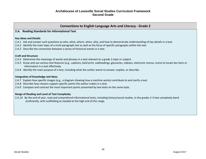# **Connections to English Language Arts and Literacy - Grade 2**

#### **2.A. Reading Standards for Informational Text**

#### **Key Ideas and Details**

- 2.A.1 Ask and answer such questions as who, what, where, when, why, and how to demonstrate understanding of key details in a text.
- 2.A.2 Identify the main topic of a multi-paragraph text as well as the focus of specific paragraphs within the text.
- 2.A.3 Describe the connection between a series of historical events in a text.

#### **Craft and Structure**

- 2.A.4 Determine the meanings of words and phrases in a text relevant to a grade 2 topic or subject.
- 2.A.5 Know and use various text features (e.g., captions, bold print, subheadings, glossaries, indexes, electronic menus, icons) to locate key facts or information in a text effectively.
- 2.A.6 Identify the main purpose of a text, including what the author wants to answer, explain, or describe.

#### **Integration of Knowledge and Ideas**

- 2.A.7 Explain how specific images (e.g., a diagram showing how a machine works) contribute to and clarify a text.
- 2.A.8 Describe how reasons support specific points the author makes in a text.
- 2.A.9 Compare and contrast the most important points presented by two texts on the same topic.

### **Range of Reading and Level of Text Complexity**

2.A.10 By the end of year, read and comprehend informational texts, including history/social studies, in the grades 2-3 text complexity band proficiently, with scaffolding as needed at the high end of the range.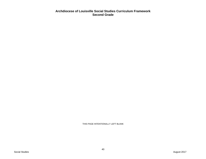THIS PAGE INTENTIONALLY LEFT BLANK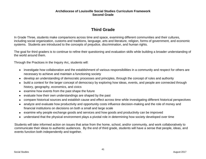# **Third Grade**

In Grade Three, students make comparisons across time and space, examining different communities and their cultures, including social organization, customs and traditions, language, arts and literature, religion, forms of government, and economic systems. Students are introduced to the concepts of prejudice, discrimination, and human rights.

The goal for third graders is to continue to refine their questioning and evaluation skills while building a broader understanding of the world around them.

Through the Practices in the Inquiry Arc, students will:

- investigate how collaboration and the establishment of various responsibilities in a community and respect for others are necessary to achieve and maintain a functioning society
- develop an understanding of democratic processes and principles, through the concept of rules and authority
- build a context for the larger concept of democracy by exploring how ideas, events, and people are connected through history, geography, economics, and civics
- examine how events from the past shape the future
- evaluate how their own understandings are shaped by the past
- compare historical sources and establish cause and effect across time while investigating different historical perspectives
- analyze and evaluate how productivity and opportunity costs influence decision-making and the role of money and financial institutions on decisions on both a small and large scale
- examine why people exchange goods and services and how goods and productivity can be improved
- understand that the physical environment plays a pivotal role in determining how society developed over time

Students will take informed action on issues that arise from the home, school, and/or community, and work collaboratively to communicate their ideas to authentic audiences. By the end of third grade, students will have a sense that people, ideas, and events function both independently and together.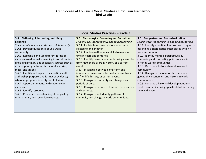| <b>Social Studies Practices - Grade 3</b>                                                                                                                                                                                                                                                                                                                                                                                                                                                                                                                                                                                                                                                                                   |                                                                                                                                                                                                                                                                                                                                                                                                                                                                                                                                                                                                                                                                                                                                                    |                                                                                                                                                                                                                                                                                                                                                                                                                                                                                                                                                                                                                                                  |
|-----------------------------------------------------------------------------------------------------------------------------------------------------------------------------------------------------------------------------------------------------------------------------------------------------------------------------------------------------------------------------------------------------------------------------------------------------------------------------------------------------------------------------------------------------------------------------------------------------------------------------------------------------------------------------------------------------------------------------|----------------------------------------------------------------------------------------------------------------------------------------------------------------------------------------------------------------------------------------------------------------------------------------------------------------------------------------------------------------------------------------------------------------------------------------------------------------------------------------------------------------------------------------------------------------------------------------------------------------------------------------------------------------------------------------------------------------------------------------------------|--------------------------------------------------------------------------------------------------------------------------------------------------------------------------------------------------------------------------------------------------------------------------------------------------------------------------------------------------------------------------------------------------------------------------------------------------------------------------------------------------------------------------------------------------------------------------------------------------------------------------------------------------|
| 3.A. Gathering, Interpreting, and Using<br>Evidence<br>Students will independently and collaboratively:<br>3.A.1 Develop questions about a world<br>community.<br>3.A.2 Recognize and use different forms of<br>evidence used to make meaning in social studies<br>(including primary and secondary sources such as<br>art and photographs, artifacts, oral histories,<br>maps, and graphs).<br>3.A.3 Identify and explain the creation and/or<br>authorship, purpose, and format of evidence;<br>where appropriate, identify point of view.<br>3.A.4 Support arguments with rationale or<br>evidence.<br>3.A.5 Identify resources.<br>3.A.6 Create an understanding of the past by<br>using primary and secondary sources. | 3.B. Chronological Reasoning and Causation<br>Students will independently and collaboratively:<br>3.B.1 Explain how three or more events are<br>related to one another.<br>3.B.2 Employ mathematical skills to measure<br>time in years and centuries.<br>3.B.3 Identify causes and effects, using examples<br>from his/her life or from history or a current<br>event.<br>3.B.4 Distinguish between long-term and<br>immediate causes and effects of an event from<br>his/her life, history, or current events.<br>3.B.5 Recognize continuity and change over<br>periods of time.<br>3.B.6 Recognize periods of time such as decades<br>and centuries.<br>3.B.7 Recognize and identify patterns of<br>continuity and change in world communities. | 3.C. Comparison and Contextualization<br>Students will independently and collaboratively:<br>3.C.1 Identify a continent and/or world region by<br>describing a characteristic that places within it<br>have in common.<br>3.C.2 Identify multiple perspectives by<br>comparing and contrasting points of view in<br>differing world communities.<br>3.C.3 Describe a historical event in a world<br>community.<br>3.C.4 Recognize the relationship between<br>geography, economics, and history in world<br>communities.<br>3.C.5 Describe a historical development in a<br>world community, using specific detail, including<br>time and place. |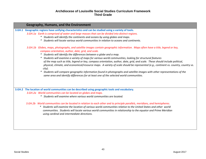| <b>Geography, Humans, and the Environment</b>                                                                                                                                                                                                                                                                                                                                                                                                                                                                                                                                                                                                                                                                                                                                                                                                                                              |
|--------------------------------------------------------------------------------------------------------------------------------------------------------------------------------------------------------------------------------------------------------------------------------------------------------------------------------------------------------------------------------------------------------------------------------------------------------------------------------------------------------------------------------------------------------------------------------------------------------------------------------------------------------------------------------------------------------------------------------------------------------------------------------------------------------------------------------------------------------------------------------------------|
| 3.GH.1 Geographic regions have unifying characteristics and can be studied using a variety of tools.<br>3.GH.1a Earth is comprised of water and large masses that can be divided into distinct regions.<br>* Students will identify the continents and oceans by using globes and maps.<br>* Students will locate various world communities in relation to oceans and continents.                                                                                                                                                                                                                                                                                                                                                                                                                                                                                                          |
| 3.GH.1b Globes, maps, photographs, and satellite images contain geographic information. Maps often have a title, legend or key,<br>compass orientation, author, date, grid, and scale.<br>* Students will identify the differences between a globe and a map.<br>* Students will examine a variety of maps for various world communities, looking for structural features<br>of the map such as title, legend or key, compass orientation, author, date, grid, and scale. These should include political,<br>physical, climate, and economical/resource maps. A variety of scale should be represented (e.g., continent vs. country, country vs.<br>city).<br>Students will compare geographic information found in photographs and satellite images with other representations of the<br>$\ast$<br>same area and identify differences for at least one of the selected world communities. |
| 3.GH.2 The location of world communities can be described using geographic tools and vocabulary.<br>3.GH.2a World communities can be located on globes and maps.<br>* Students will examine where various world communities are located.<br>3.GH.2b World communities can be located in relation to each other and to principle parallels, meridians, and hemispheres.<br>* Students will examine the location of various world communities relative to the United States and other world<br>communities. Students will locate various world communities in relationship to the equator and Prime Meridian<br>using cardinal and intermediate directions.                                                                                                                                                                                                                                  |
|                                                                                                                                                                                                                                                                                                                                                                                                                                                                                                                                                                                                                                                                                                                                                                                                                                                                                            |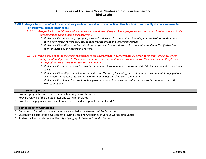|                                      | 3.GH.3 Geographic factors often influence where people settle and form communities. People adapt to and modify their environment in<br>different ways to meet their needs.                                                                                                                                |
|--------------------------------------|-----------------------------------------------------------------------------------------------------------------------------------------------------------------------------------------------------------------------------------------------------------------------------------------------------------|
|                                      | 3.GH.3a Geographic factors influence where people settle and their lifestyle. Some geographic factors make a location more suitable<br>for settlement, while others act as deterrents.                                                                                                                    |
|                                      | Students will examine the geographic factors of various world communities, including physical features and climate,<br>noting how certain factors are likely to support settlement and larger populations.                                                                                                |
| ∗                                    | Students will investigate the lifestyle of the people who live in various world communities and how the lifestyle has<br>been influenced by the geographic factors.                                                                                                                                       |
|                                      | 3.GH.3b People make adaptations and modifications to the environment. Advancements in science, technology, and industry can<br>bring about modifications to the environment and can have unintended consequences on the environment. People have<br>attempted to take actions to protect the environment. |
|                                      | * Students will examine how various world communities have adapted to and/or modified their environment to meet their<br>needs.                                                                                                                                                                           |
| ∗                                    | Students will investigate how human activities and the use of technology have altered the environment, bringing about<br>unintended consequences for various world communities and their own community.                                                                                                   |
|                                      | Students will explore actions that are being taken to protect the environment in various world communities and their<br>own community.                                                                                                                                                                    |
| <b>Guided Questions</b>              |                                                                                                                                                                                                                                                                                                           |
| $\ast$                               | How are geographic tools used to understand regions of the world?                                                                                                                                                                                                                                         |
|                                      | How are regions of the United States and world interrelated?                                                                                                                                                                                                                                              |
|                                      | How does the physical environment impact where and how people live and work?                                                                                                                                                                                                                              |
| <b>Catholic Identity Connections</b> |                                                                                                                                                                                                                                                                                                           |
| $\ast$                               | According to Catholic social teachings, we are called to be stewards of God's creation.                                                                                                                                                                                                                   |
|                                      | Students will explore the development of Catholicism and Christianity in various world communities.                                                                                                                                                                                                       |
|                                      | Students will acknowledge the diversity of geographic features from God's creation.                                                                                                                                                                                                                       |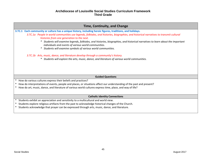| <b>Time, Continuity, and Change</b>                                                                                                                                                     |  |  |
|-----------------------------------------------------------------------------------------------------------------------------------------------------------------------------------------|--|--|
| 3.TC.1 Each community or culture has a unique history, including heroic figures, traditions, and holidays.                                                                              |  |  |
| 3.TC.1a People in world communities use legends, folktales, oral histories, biographies, and historical narratives to transmit cultural                                                 |  |  |
| histories from one generation to the next.                                                                                                                                              |  |  |
| * Students will examine legends, folktales, oral histories, biographies, and historical narratives to learn about the important<br>individuals and events of various world communities. |  |  |
| Students will examine symbols of various world communities.<br>$\ast$                                                                                                                   |  |  |
|                                                                                                                                                                                         |  |  |
| 3.TC.1b Arts, music, dance, and literature develop through a community's history.                                                                                                       |  |  |
| * Students will explore the arts, music, dance, and literature of various world communities.                                                                                            |  |  |
|                                                                                                                                                                                         |  |  |
| <b>Guided Questions</b>                                                                                                                                                                 |  |  |
| How do various cultures express their beliefs and practices?                                                                                                                            |  |  |
| How do interpretations of events, people and places, or situations affect our understanding of the past and present?                                                                    |  |  |
| How do art, music, dance, and literature of various world cultures express time, place, and way of life?                                                                                |  |  |
|                                                                                                                                                                                         |  |  |
| <b>Catholic Identity Connections</b>                                                                                                                                                    |  |  |
| Students exhibit an appreciation and sensitivity to a multicultural and world view.                                                                                                     |  |  |
| Students explore religious artifacts from the past to acknowledge historical changes of the Church.                                                                                     |  |  |
| Students acknowledge that prayer can be expressed through arts, music, dance, and literature.                                                                                           |  |  |
|                                                                                                                                                                                         |  |  |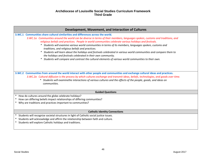| Development, Movement, and Interaction of Cultures                                                                                                                                                                                                                                                                                                                                                                                                                                                                                                                                                                                                                                                                                                                                            |
|-----------------------------------------------------------------------------------------------------------------------------------------------------------------------------------------------------------------------------------------------------------------------------------------------------------------------------------------------------------------------------------------------------------------------------------------------------------------------------------------------------------------------------------------------------------------------------------------------------------------------------------------------------------------------------------------------------------------------------------------------------------------------------------------------|
| Communities share cultural similarities and differences across the world.<br>3.WC.1<br>3.WC.1a Communities around the world can be diverse in terms of their members, languages spoken, customs and traditions, and<br>religious beliefs and practices. People in world communities celebrate various holidays and festivals.<br>* Students will examine various world communities in terms of its members, languages spoken, customs and<br>traditions, and religious beliefs and practices.<br>* Students will learn about the holidays and festivals celebrated in various world communities and compare them to<br>the holidays and festivals celebrated in their own community.<br>* Students will compare and contrast the cultural elements of various world communities to their own. |
| 3.WC.2 Communities from around the world interact with other people and communities and exchange cultural ideas and practices.<br>3.WC.2a Cultural diffusion is the process by which cultures exchange and transmit ideas, beliefs, technologies, and goods over time.<br>Students will examinethe interactions of various cultures and the effects of the people, goods, and ideas on<br>communities.                                                                                                                                                                                                                                                                                                                                                                                        |
| <b>Guided Questions</b>                                                                                                                                                                                                                                                                                                                                                                                                                                                                                                                                                                                                                                                                                                                                                                       |
| How do cultures around the globe celebrate holidays?<br>How can differing beliefs impact relationships of differing communities?<br>Why are traditions and practices important to communities?                                                                                                                                                                                                                                                                                                                                                                                                                                                                                                                                                                                                |
| <b>Catholic Identity Connections</b>                                                                                                                                                                                                                                                                                                                                                                                                                                                                                                                                                                                                                                                                                                                                                          |
| Students will recognize societal structures in light of Catholic social justice issues.<br>Students will acknowledge and affirm the relationship between faith and culture.<br>Students will explore Catholic holidays and traditions.                                                                                                                                                                                                                                                                                                                                                                                                                                                                                                                                                        |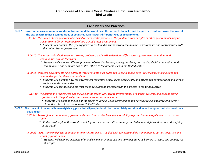| <b>Civic Ideals and Practices</b>                                                                                                                                                                                                         |
|-------------------------------------------------------------------------------------------------------------------------------------------------------------------------------------------------------------------------------------------|
| 3.CP.1 Governments in communities and countries around the world have the authority to make and the power to enforce laws. The role of<br>the citizen within these communities or countries varies across different types of governments. |
| 3.CP.1a The United States government is based on democratic principles. The fundamental principles of other governments may be<br>similar to or different from those of the United States government.                                     |
| * Students will examine the types of government found in various world communities and compare and contrast these with<br>the United States government.                                                                                   |
| 3.CP.1b The process of selecting leaders, solving problems, and making decisions differs across governments in nations and<br>communities around the world.                                                                               |
| Students will examine different processes of selecting leaders, solving problems, and making decisions in nations and<br>communities, and compare and contrast them to the process used in the United States.                             |
| 3.CP.1c Different governments have different ways of maintaining order and keeping people safe. This includes making rules and<br>laws and enforcing these rules and laws.                                                                |
| * Students will examine how the government maintains order, keeps people safe, and makes and enforces rules and laws in<br>various world communities.                                                                                     |
| * Students will compare and contrast those government processes with the process in the United States.                                                                                                                                    |
| 3.CP.1d The definition of citizenship and the role of the citizen vary across different types of political systems, and citizens play a<br>greater role in the political process in some countries than in others.                        |
| Students will examine the role of the citizen in various world communities and how this role is similar to or different<br>from the role a citizen plays in the United States.                                                            |
| 3.CP.2 The concept of universal human rights suggests that all people should be treated fairly and should have the opportunity to meet their<br>basic needs.                                                                              |
| 3.CP.2a Across global communities, governments and citizens alike have a responsibility to protect human rights and to treat others<br>fairly.                                                                                            |
| * Students will explore the extent to which governments and citizens have protected human rights and treated others fairly<br>in the world.                                                                                               |
| 3.CP.2b Across time and place, communities and cultures have struggled with prejudice and discrimination as barriers to justice and<br>equality for all people.                                                                           |
| * Students will examine instances of prejudice and discrimination and how they serve as barriers to justice and equality for<br>all people.                                                                                               |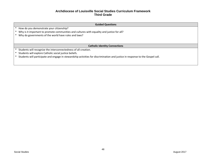| <b>Guided Questions</b>                                                                                                       |
|-------------------------------------------------------------------------------------------------------------------------------|
| * How do you demonstrate your citizenship?                                                                                    |
| Why is it important to promote communities and cultures with equality and justice for all?                                    |
| Why do governments of the world have rules and laws?                                                                          |
|                                                                                                                               |
|                                                                                                                               |
| <b>Catholic Identity Connections</b>                                                                                          |
| Students will recognize the interconnectedness of all creation.                                                               |
| Students will explore Catholic social justice beliefs.                                                                        |
| Students will participate and engage in stewardship activities for discrimination and justice in response to the Gospel call. |
|                                                                                                                               |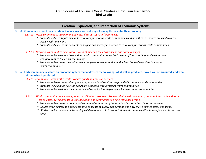| <b>Creation, Expansion, and Interaction of Economic Systems</b>                                                                                        |  |
|--------------------------------------------------------------------------------------------------------------------------------------------------------|--|
| 3.ES.1 Communities meet their needs and wants in a variety of ways, forming the basis for their economy.                                               |  |
| 3.ES.1a World communities use human and natural resources in different ways.                                                                           |  |
| * Students will investigate available resources for various world communities and how these resources are used to meet<br>basic needs and wants.       |  |
| Students will explore the concepts of surplus and scarcity in relation to resources for various world communities.                                     |  |
| 3.ES.1b People in communities have various ways of meeting their basic needs and earning wages.                                                        |  |
| * Students will investigate how various world communities meet basic needs of food, clothing, and shelter, and<br>compare that to their own community. |  |
| * Students will examine the various ways people earn wages and how this has changed over time in various<br>world communities.                         |  |
| 3.ES.2 Each community develops an economic system that addresses the following: what will be produced, how it will be produced, and who                |  |
| will get what is produced.                                                                                                                             |  |
| 3.ES.2a Communities around the world produce goods and provide services.                                                                               |  |
| * Students will determine what goods are produced and services are provided in various world communities.                                              |  |
| * Students will examine how the goods are produced within various world communities.                                                                   |  |
| * Students will investigate the importance of trade for interdependence between world communities.                                                     |  |
| 3.ES.2b World communities have needs, wants, and limited resources. To meet their needs and wants, communities trade with others.                      |  |
| Technological developments in transportation and communication have influenced trade.                                                                  |  |
| * Students will examine various world communities in terms of imported and exported products and services.                                             |  |
| Students will explore the basic economic concepts of supply and demand and how they influence prices and trade.                                        |  |
| Students will examine how technological developments in transportation and communication have influenced trade over<br>time.                           |  |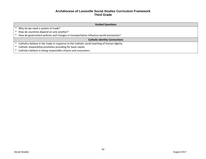| <b>Guided Questions</b>                                                                         |
|-------------------------------------------------------------------------------------------------|
| * Why do we need a system of trade?                                                             |
| How do countries depend on one another?                                                         |
| How do government policies and changes in transportation influence world economies?             |
| <b>Catholic Identity Connections</b>                                                            |
| * Catholics believe in fair trade in response to the Catholic social teaching of human dignity. |
| * Catholic stewardship promotes providing for basic needs.                                      |
| * Catholics believe in being responsible citizens and consumers.                                |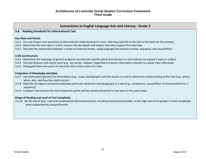# **Connections to English Language Arts and Literacy - Grade 3**

#### **3.A. Reading Standards for Informational Text**

#### **Key Ideas and Details**

- 3.A.1 Ask and answer such questions to demonstrate understanding of a text, referring explicitly to the text as the basis for the answers.
- 3.A.2 Determine the main idea in a text; recount the key details and explain how they support the main idea.
- 3.A.3 Describe the relationship between a series of historical events, using language that pertains to time, sequence, and cause/effect.

#### **Craft and Structure**

- 3.A.4 Determine the meanings of general academic and domain-specific words and phrases in a text relevant to a grade 3 topic or subject.
- 3.A.5 Use text features and search tools (e.g., key words, sidebars, hyperlinks) to locate information relevant to a given topic effectively.
- 3.A.6 Distinguish their own point of view from that of the author of a text.

#### **Integration of Knowledge and Ideas**

- 3.A.7 Use information gained from illustrations (e.g., maps, photographs) and the words in a text to determine understanding of the text (e.g., where, when, why, and how key events occur).
- 3.A.8 Describe the logical connections between particular sentences and paragraphs in a text (e.g., comparison, cause/effect, first/second/third in a sequence).
- 3.A.9 Compare and contrast the most important points and key details presented in two texts on the same topic.

#### **Range of Reading and Level of Text Complexity**

3.A.10 By the end of year, read and comprehend informational texts, including history/social studies, at the high end of the grades 2-3 text complexity band independently and proficiently.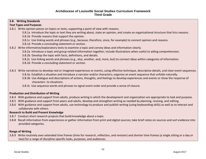# **3.B. Writing Standards Text Types and Purposes** 3.B.1 Write opinion pieces on topics or texts, supporting a point of view with reasons. 3.B.1a Introduce the topic or text they are writing about, state an opinion, and create an organizational structure that lists reasons. 3.B.1b Provide reasons that support the opinion. 3.B.1c Use linking words and phrases (e.g., because, therefore, since, for example) to connect opinion and reasons. 3.B.1d Provide a concluding statement or section. 3.B.2 Write informative/explanatory texts to examine a topic and convey ideas and information clearly. 3.B.2a Introduce a topic and group related information together; include illustrations when useful to aiding comprehension. 3.B.2b Develop the topic with facts, definitions, and details. 3.B.2c Use linking words and phrases (e.g., also, another, and, more, but) to connect ideas within categories of information. 3.B.2d Provide a concluding statement or section. 3.B.3 Write narratives to develop real or imagined experiences or events, using effective technique, descriptive details, and clear event sequences. 3.B.3a Establish a situation and introduce a narrator and/or characters; organize an event sequence that unfolds naturally. 3.B.3b Use dialogue and descriptions of actions, thoughts, and feelings to develop experiences and events or show the response of characters to situations. 3.B.3c Use sequence words and phrases to signal event order and provide a sense of closure. **Production and Distribution of Writing**

### 3.B.4 With guidance and support from adults, produce writing in which the development and organization are appropriate to task and purpose.

- 3.B.5 With guidance and support from peers and adults, develop and strengthen writing as needed by planning, revising, and editing.
- 3.B.6 With guidance and support from adults, use technology to produce and publish writing (using keyboarding skills) as well as to interact and collaborate with others.

### **Research to Build and Present Knowledge**

- 3.B.7 Conduct short research projects that build knowledge about a topic.
- 3.B.8 Recall information from experiences or gather information from print and digital sources; take brief notes on sources and sort evidence into provided categories.

### **Range of Writing**

3.B.9 Write routinely over extended time frames (time for research, reflection, and revision) and shorter time frames (a single sitting or a day or two) for a range of discipline-specific tasks, purposes, and audiences.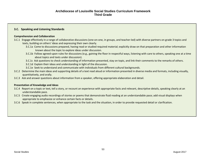### **3.C. Speaking and Listening Standards**

#### **Comprehension and Collaboration**

- 3.C.1 Engage effectively in a range of collaborative discussions (one-on-one, in groups, and teacher-led) with diverse partners on grade 3 topics and texts, building on others' ideas and expressing their own clearly.
	- 3.C.1a Come to discussions prepared, having read or studied required material; explicitly draw on that preparation and other information known about the topic to explore ideas under discussion.
	- 3.C.1b Follow agreed-upon rules for discussions (e.g., gaining the floor in respectful ways, listening with care to others, speaking one at a time about topics and texts under discussion).
	- 3.C.1c Ask questions to check understanding of information presented, stay on topic, and link their comments to the remarks of others.
	- 3.C.1d Explain their ideas and understanding in light of the discussion.
	- 3.C.1e Seek to understand and communicate with individuals from different cultural backgrounds.
- 3.C.2 Determine the main ideas and supporting details of a text read aloud or information presented in diverse media and formats, including visually, quantitatively, and orally.
- 3.C.3 Ask and answer questions about information from a speaker, offering appropriate elaboration and detail.

#### **Presentation of Knowledge and Ideas**

- 3.C.4 Report on a topic or text, tell a story, or recount an experience with appropriate facts and relevant, descriptive details, speaking clearly at an understandable pace.
- 3.C.5 Create engaging audio recordings of stories or poems that demonstrate fluid reading at an understandable pace; add visual displays when appropriate to emphasize or enhance certain facts or details.
- 3.C.6 Speak in complete sentences, when appropriate to the task and the situation, in order to provide requested detail or clarification.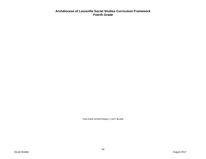THIS PAGE INTENTIONALLY LEFT BLANK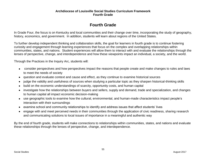# **Fourth Grade**

In Grade Four, the focus is on Kentucky and local communities and their change over time, incorporating the study of geography, history, economics, and government. In addition, students will learn about regions of the United States.

To further develop independent thinking and collaboration skills, the goal for learners in fourth grade is to continue fostering curiosity and engagement through learning experiences that focus on the complex and overlapping relationships within communities, states, and nations. Student experiences will allow them to interact with and evaluate the relationships through the lenses of perspective, change, and interdependence and how these viewpoints impact an individual, a society, and the world.

Through the Practices in the Inquiry Arc, students will:

- consider perspectives and how perspectives impact the reasons that people create and make changes to rules and laws to meet the needs of society
- question and evaluate context and cause and effect, as they continue to examine historical sources
- judge the validity and usefulness of sources when studying a particular topic as they sharpen historical-thinking skills
- build on the economic understandings of scarcity, opportunity costs, and human capital
- investigate how the relationships between buyers and sellers, supply and demand, trade and specialization, and changes to human capital all impact economic decision-making
- use geographic tools to examine how the cultural, environmental, and human-made characteristics impact people's interaction with their surroundings
- examine school and community relationships to identify and address issues that affect students' lives
- engage with and meet perceived needs in their communities through the application of civic readiness, sharing research and communicating solutions to local issues of importance in a meaningful and authentic way

By the end of fourth grade, students will make connections to relationships within communities, states, and nations and evaluate these relationships through the lenses of perspective, change, and interdependence.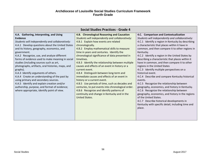| <b>Social Studies Practices - Grade 4</b>         |                                                    |                                                   |
|---------------------------------------------------|----------------------------------------------------|---------------------------------------------------|
| 4.A. Gathering, Interpreting, and Using           | 4.B. Chronological Reasoning and Causation         | 4.C. Comparison and Contextualization             |
| Evidence                                          | Students will independently and collaboratively:   | Students will independently and collaboratively:  |
| Students will independently and collaboratively:  | 4.B.1 Explain how events are related               | 4.C.1 Identify a region in Kentucky by describing |
| 4.A.1 Develop questions about the United States   | chronologically.                                   | a characteristic that places within it have in    |
| and its history, geography, economics, and        | 4.B.2 Employ mathematical skills to measure        | common, and then compare it to other regions in   |
| government.                                       | time in years and centuries. Identify the          | Kentucky.                                         |
| 4.A.2 Recognize, use, and analyze different       | chronological significance of data presented in    | 4.C.2 Identify a region in the United States by   |
| forms of evidence used to make meaning in social  | timelines.                                         | describing a characteristic that places within it |
| studies (including sources such as art,           | 4.B.3 Identify the relationship between multiple   | have in common, and then compare it to other      |
| photographs, artifacts, oral histories, maps, and | causes and effects of an event in history or a     | regions in the United States                      |
| graphs).                                          | current event.                                     | 4.C.3 Identify multiple perspectives on a         |
| 4.A.3 Identify arguments of others.               | 4.B.4 Distinguish between long-term and            | historical event.                                 |
| 4.A.4 Create an understanding of the past by      | immediate causes and effects of an event in        | 4.C.4 Describe and compare Kentucky historical    |
| using primary and secondary sources.              | history or a current event.                        | events.                                           |
| 4.A.5 Identify and explain creation and/or        | 4.B.5 Use periods of time, such as decades and     | 4.C.5 Recognize the relationship between          |
| authorship, purpose, and format of evidence;      | centuries, to put events into chronological order. | geography, economics, and history in Kentucky.    |
| where appropriate, identify point of view.        | 4.B.6 Recognize and identify patterns of           | 4.C.6 Recognize the relationship between          |
|                                                   | continuity and change in Kentucky and in the       | geography, economics, and history in the regions  |
|                                                   | <b>United States.</b>                              | of the United States.                             |
|                                                   |                                                    | 4.C.7 Describe historical developments in         |
|                                                   |                                                    | Kentucky with specific detail, including time and |
|                                                   |                                                    | place.                                            |
|                                                   |                                                    |                                                   |
|                                                   |                                                    |                                                   |
|                                                   |                                                    |                                                   |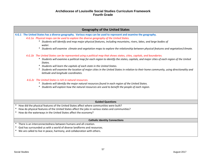| <b>Geography of the United States</b>                                                                                                              |  |  |  |
|----------------------------------------------------------------------------------------------------------------------------------------------------|--|--|--|
| 4.G.1 The United States has a diverse geography. Various maps can be used to represent and examine the geography.                                  |  |  |  |
| 4.G.1a Physical maps can be used to explore the diverse geography of the United States.                                                            |  |  |  |
| * Students will identify and map major physical features, including mountains, rivers, lakes, and large bodies of<br>water.                        |  |  |  |
| * Students will examine climate and vegetation maps to explore the relationship between physical features and vegetation/climate.                  |  |  |  |
| 4.G.1b The United States can be represented using a political map that shows states, cities, capitals, and boundaries.                             |  |  |  |
| * Students will examine a political map for each region to identify the states, capitals, and major cities of each region of the United<br>States. |  |  |  |
| * Students will learn the capitals of each state in the United States.                                                                             |  |  |  |
| * Students will examine the location of major cities in the United States in relation to their home community, using directionality and            |  |  |  |
| latitude and longitude coordinates.                                                                                                                |  |  |  |
| 4.G.2c The United States is rich in natural resources.                                                                                             |  |  |  |
| * Students will identify the major natural resources found in each region of the United States.                                                    |  |  |  |
| * Students will explore how the natural resources are used to benefit the people of each region.                                                   |  |  |  |
|                                                                                                                                                    |  |  |  |
| <b>Guided Questions</b>                                                                                                                            |  |  |  |
| How did the physical features of the United States affect where communities were built?                                                            |  |  |  |
| How do physical features of the United States affect the jobs in various states and communities?                                                   |  |  |  |
| How do the waterways in the United States affect the economy?                                                                                      |  |  |  |
| <b>Catholic Identity Connections</b>                                                                                                               |  |  |  |
| * There is an interconnectedness between humans and all creation.                                                                                  |  |  |  |
| God has surrounded us with a world of diverse landforms and resources.                                                                             |  |  |  |
| We are called to live in peace, harmony, and collaboration with others.                                                                            |  |  |  |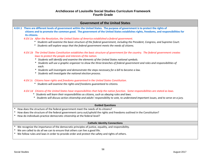|                                                                                                                                                                                                                                                                                         | <b>Government of the United States</b>                                                                                                                                                                                                                                                                                                                                      |  |  |  |
|-----------------------------------------------------------------------------------------------------------------------------------------------------------------------------------------------------------------------------------------------------------------------------------------|-----------------------------------------------------------------------------------------------------------------------------------------------------------------------------------------------------------------------------------------------------------------------------------------------------------------------------------------------------------------------------|--|--|--|
| 4.GV.1 There are different levels of government within the United States. The purpose of government is to protect the rights of<br>citizens and to promote the common good. The government of the United States establishes rights, freedoms, and responsibilities for<br>its citizens. |                                                                                                                                                                                                                                                                                                                                                                             |  |  |  |
|                                                                                                                                                                                                                                                                                         | 4.GV.1a After the Revolution, the United States of America established a federal government.<br>* Students will examine the basic structure of the federal government, including the President, Congress, and Supreme Court.<br>* Students will explore ways that the federal government meets the needs of citizens.                                                       |  |  |  |
|                                                                                                                                                                                                                                                                                         | 4.GV.1b The United States Constitution establishes the basic structure of government for the country. The federal government creates<br>laws to protect the people and interests of the nation.                                                                                                                                                                             |  |  |  |
|                                                                                                                                                                                                                                                                                         | Students will identify and examine the elements of the United States national symbols.<br>Students will use a graphic organizer to show the three branches of federal government and roles and responsibilities of<br>each.                                                                                                                                                 |  |  |  |
|                                                                                                                                                                                                                                                                                         | * Students will investigate and demonstrate the steps necessary for a bill to become a law.<br>* Students will investigate the national election process.                                                                                                                                                                                                                   |  |  |  |
|                                                                                                                                                                                                                                                                                         | 4.GV.1c Citizens have rights and freedoms guaranteed in the United States Constitution.<br>* Students will examine the rights and freedoms quaranteed to citizens.                                                                                                                                                                                                          |  |  |  |
|                                                                                                                                                                                                                                                                                         | 4.GV.1d Citizens of the United States have responsibilities that help the nation function. Some responsibilities are stated as laws.<br>* Students will learn their responsibilities as citizens, such as obeying rules and laws.<br>* Students will discuss active citizenship and adults' responsibility to vote, to understand important issues, and to serve on a jury. |  |  |  |
|                                                                                                                                                                                                                                                                                         | <b>Guided Questions</b>                                                                                                                                                                                                                                                                                                                                                     |  |  |  |
| $\ast$<br>$\ast$                                                                                                                                                                                                                                                                        | How does the structure of the federal government meet the needs of its citizens?<br>How does the structure of the federal government carry out/uphold the rights and freedoms outlined in the Constitution?<br>* How do individuals practice democratic citizenship at the federal level?                                                                                   |  |  |  |
|                                                                                                                                                                                                                                                                                         | <b>Catholic Identity Connections</b>                                                                                                                                                                                                                                                                                                                                        |  |  |  |
|                                                                                                                                                                                                                                                                                         | * We recognize the importance of the democratic principles of justice, equality, and responsibility.<br>* We are called to do all we can to ensure that others can live a good life.<br>* We follow rules and laws in order to provide order and protect the safety and rights of others.                                                                                   |  |  |  |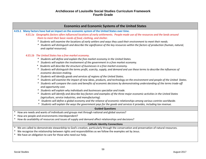| <b>Economics and Economic Systems of the United States</b>                                                                                                                                                                                                                                                                                                                                                                                                                                                                                                                                                                                                                                                                                                                                                                                                                                                                                                                                                                                                                                                                                                                                                                                                                                                                                                                         |  |  |
|------------------------------------------------------------------------------------------------------------------------------------------------------------------------------------------------------------------------------------------------------------------------------------------------------------------------------------------------------------------------------------------------------------------------------------------------------------------------------------------------------------------------------------------------------------------------------------------------------------------------------------------------------------------------------------------------------------------------------------------------------------------------------------------------------------------------------------------------------------------------------------------------------------------------------------------------------------------------------------------------------------------------------------------------------------------------------------------------------------------------------------------------------------------------------------------------------------------------------------------------------------------------------------------------------------------------------------------------------------------------------------|--|--|
| 4.ES.1 Many factors have had an impact on the economic system of the United States over time.<br>4.ES.1a Geographic factors often influenced locations of early settlements. People made use of the resources and the lands around<br>them to meet their basic needs of food, clothing, and shelter.<br>* Students will examine the locations of early settlers and ways they used their environment to meet their needs.<br>Students will distinguish and describe the significance of the key resources within the factors of production (human, natural,<br>and capital resources).                                                                                                                                                                                                                                                                                                                                                                                                                                                                                                                                                                                                                                                                                                                                                                                             |  |  |
| 4.ES.1b The United States has a free market economy.<br>* Students will define and explain the free market economy in the United States.<br>* Students will explain the involvement of the government in a free market economy.<br>* Students will describe the structure of businesses in a free market economy.<br>* Students will distinguish the terms profit, scarcity, supply, and demand and use these terms to describe the influences of<br>economic decision-making.<br>* Students will identify goods and services of regions of the United States.<br>* Students will examine the impact of new ideas, products, and technology on the environment and people of the United States.<br>Students will compare the costs and benefits of economic decisions by demonstrating understanding of the terms trade-off<br>and opportunity cost.<br>* Students will explain why individuals and businesses specialize and trade.<br>* Students will identify and describe key factors and examples of the three major economic activities in the United States<br>(agriculture, service industries, and manufacturing).<br>* Students will define a global economy and the reliance of economic relationships among various contries worldwide.<br>Students will explain the ways the government pays for the goods and services it provides, including tax revenue.<br>$\ast$ |  |  |
| <b>Guided Questions</b>                                                                                                                                                                                                                                                                                                                                                                                                                                                                                                                                                                                                                                                                                                                                                                                                                                                                                                                                                                                                                                                                                                                                                                                                                                                                                                                                                            |  |  |
| How are needs and wants of individuals and groups met through national and global sources?<br>How are people and environments interdependent?<br>How do availability of resources and issues of supply and demand affect relationships and decisions?                                                                                                                                                                                                                                                                                                                                                                                                                                                                                                                                                                                                                                                                                                                                                                                                                                                                                                                                                                                                                                                                                                                              |  |  |
| <b>Catholic Identity Connections</b><br>* We are called to demonstrate stewardship to God's creation, particularly through the conservation and preservation of natural resources.                                                                                                                                                                                                                                                                                                                                                                                                                                                                                                                                                                                                                                                                                                                                                                                                                                                                                                                                                                                                                                                                                                                                                                                                 |  |  |
| * We recognize the relationship between rights and responsibilities as we follow the examples set by Jesus.<br>* We have an obligation to care for those who need our help.                                                                                                                                                                                                                                                                                                                                                                                                                                                                                                                                                                                                                                                                                                                                                                                                                                                                                                                                                                                                                                                                                                                                                                                                        |  |  |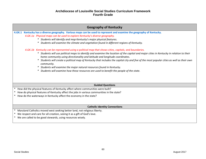| <b>Geography of Kentucky</b>                                                                                                                                                                                                                                                                                                                                                                                                                                                                                                                                                                                                                                                                                                                                                                                                                                                                                                                                                                                                                         |
|------------------------------------------------------------------------------------------------------------------------------------------------------------------------------------------------------------------------------------------------------------------------------------------------------------------------------------------------------------------------------------------------------------------------------------------------------------------------------------------------------------------------------------------------------------------------------------------------------------------------------------------------------------------------------------------------------------------------------------------------------------------------------------------------------------------------------------------------------------------------------------------------------------------------------------------------------------------------------------------------------------------------------------------------------|
| Kentucky has a diverse geography. Various maps can be used to represent and examine the geography of Kentucky.<br>4.GK.1<br>4.GK.1a Physical maps can be used to explore Kentucky's diverse geography.<br>* Students will identify and map Kentucky's major physical features.<br>Students will examine the climate and vegetation found in different regions of Kentucky.<br>∗<br>4.GK.1b Kentucky can be represented using a political map that shows cities, capitals, and boundaries.<br>* Students will use political maps to identify and examine the location of the capital and major cities in Kentucky in relation to their<br>home community using directionality and latitude and longitude coordinates.<br>Students will create a political map of Kentucky that includes the capital city and five of the most popular cities as well as their own<br>community.<br>* Students will examine the major natural resources found in Kentucky.<br>* Students will examine how these resources are used to benefit the people of the state. |
| <b>Guided Questions</b>                                                                                                                                                                                                                                                                                                                                                                                                                                                                                                                                                                                                                                                                                                                                                                                                                                                                                                                                                                                                                              |
| How did the physical features of Kentucky affect where communities were built?                                                                                                                                                                                                                                                                                                                                                                                                                                                                                                                                                                                                                                                                                                                                                                                                                                                                                                                                                                       |
| How do physical features of Kentucky affect the jobs in various communities in the state?                                                                                                                                                                                                                                                                                                                                                                                                                                                                                                                                                                                                                                                                                                                                                                                                                                                                                                                                                            |
| How do the waterways in Kentucky affect the economy in the state?                                                                                                                                                                                                                                                                                                                                                                                                                                                                                                                                                                                                                                                                                                                                                                                                                                                                                                                                                                                    |
| <b>Catholic Identity Connections</b>                                                                                                                                                                                                                                                                                                                                                                                                                                                                                                                                                                                                                                                                                                                                                                                                                                                                                                                                                                                                                 |
| Maryland Catholics moved west seeking better land, not religious liberty.                                                                                                                                                                                                                                                                                                                                                                                                                                                                                                                                                                                                                                                                                                                                                                                                                                                                                                                                                                            |
| * We respect and care for all creation, seeing it as a gift of God's love.                                                                                                                                                                                                                                                                                                                                                                                                                                                                                                                                                                                                                                                                                                                                                                                                                                                                                                                                                                           |
| * We are called to be good stewards, using resources wisely.                                                                                                                                                                                                                                                                                                                                                                                                                                                                                                                                                                                                                                                                                                                                                                                                                                                                                                                                                                                         |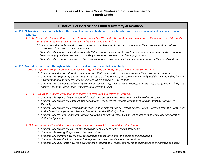| <b>Historical Perspective and Cultural Diversity of Kentucky</b> |                                                                                                                                                                                                                                                                                                                                                                                                                                                                                                                                                                                                                                                                                                                                                        |  |
|------------------------------------------------------------------|--------------------------------------------------------------------------------------------------------------------------------------------------------------------------------------------------------------------------------------------------------------------------------------------------------------------------------------------------------------------------------------------------------------------------------------------------------------------------------------------------------------------------------------------------------------------------------------------------------------------------------------------------------------------------------------------------------------------------------------------------------|--|
|                                                                  | 4.HP.1 Native American groups inhabited the region that became Kentucky. They interacted with the environment and developed unique<br>cultures.                                                                                                                                                                                                                                                                                                                                                                                                                                                                                                                                                                                                        |  |
|                                                                  | 4.HP.1a Geographic factors often influenced locations of early settlements. Native Americans made use of the resources and the lands<br>around them to meet their basic needs of food, clothing, and shelter.                                                                                                                                                                                                                                                                                                                                                                                                                                                                                                                                          |  |
|                                                                  | * Students will identify Native American groups that inhabited Kentucky and describe how these groups used the natural<br>resources of the area to meet their needs.                                                                                                                                                                                                                                                                                                                                                                                                                                                                                                                                                                                   |  |
|                                                                  | * Students will examine the locations of early Native American groups in Kentucky in relation to geographic features, noting<br>how certain physical features were more likely to support settlement and larger populations.                                                                                                                                                                                                                                                                                                                                                                                                                                                                                                                           |  |
|                                                                  | * Students will investigate how Native Americans adapted to and modified their environment to meet their needs and wants.                                                                                                                                                                                                                                                                                                                                                                                                                                                                                                                                                                                                                              |  |
|                                                                  | 4.HP.2 Many different groups throughout history have explored and/or settled in Kentucky.<br>4.HP.2a Different groups throughout Kentucky history, including Catholics, have explored and/or settled here.<br>* Students will identify different European groups that explored the region and discover their reasons for exploring.<br>* Students will use primary and secondary sources to explore the early settlements in Kentucky and discover how the physical<br>environment and natural resources influenced where settlements were built.<br>* Students will research significant figures in Kentucky history, such as Daniel Boone, James Harrod, George Rogers Clark, Isaac<br>Shelby, Abraham Lincoln, John Lancaster, and Jefferson Davis. |  |
|                                                                  | 4.HP.2b Groups of Catholics left Maryland in search of better lives and settled in Kentucky.<br>Students will explore the settlement of Catholics in Kentucky in the areas near the village of Bardstown.<br>Students will explore the establishment of churches, monasteries, schools, orphanages, and hospitals by Catholics in<br>Kentucky.<br>* Students will explore the creation of the Diocese of Bardstown, the first inland diocese, which stretched from the Great Lakes<br>to the Deep South, from the Allegheny Mountains to the Mississippi River.<br>* Students will research significant Catholic figures in Kentucky history, such as Bishop Benedict Joseph Flaget and Mother<br>Catherine Spalding.                                  |  |
|                                                                  | 4.HP.3 As the population of the state grew, Kentucky became the 15th state of the United States.<br>* Students will explore the causes that led to the people of Kentucky seeking statehood.<br>* Students will identify the process to become a state.<br>* Students will examine how the new government was set up to meet the needs of the population.<br>Students will examine how the population grew and new cities developed in the state.<br>Students will investigate how the development of steamboats, roads, and railroads contributed to the growth as a state.                                                                                                                                                                           |  |
|                                                                  | $\sim$                                                                                                                                                                                                                                                                                                                                                                                                                                                                                                                                                                                                                                                                                                                                                 |  |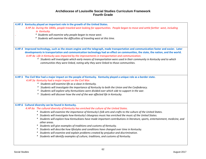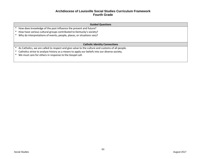|        | <b>Guided Questions</b>                                                                           |  |  |
|--------|---------------------------------------------------------------------------------------------------|--|--|
|        | How does knowledge of the past influence the present and future?                                  |  |  |
|        | How have various cultural groups contributed to Kentucky's society?                               |  |  |
| $\ast$ | Why do interpretations of events, people, places, or situations vary?                             |  |  |
|        |                                                                                                   |  |  |
|        | <b>Catholic Identity Connections</b>                                                              |  |  |
|        | * As Catholics, we are called to respect and give value to the culture and customs of all people. |  |  |
| $\ast$ | Catholics strive to analyze history as a means to apply our beliefs into our diverse society.     |  |  |
| ∗      | We must care for others in response to the Gospel call.                                           |  |  |
|        |                                                                                                   |  |  |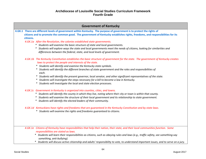| <b>Government of Kentucky</b>                                                                                                                                                                                                                                                                                                                                                                                                                                                                                                                                                                                                                                              |  |
|----------------------------------------------------------------------------------------------------------------------------------------------------------------------------------------------------------------------------------------------------------------------------------------------------------------------------------------------------------------------------------------------------------------------------------------------------------------------------------------------------------------------------------------------------------------------------------------------------------------------------------------------------------------------------|--|
| 4.GK.1 There are different levels of government within Kentucky. The purpose of government is to protect the rights of<br>citizens and to promote the common good. The government of Kentucky establishes rights, freedoms, and responsibilities for its<br>citizens.                                                                                                                                                                                                                                                                                                                                                                                                      |  |
| 4.GK.1a After the Revolution, the colonies established state governments.<br>* Students will examine the basic structure of state and local governments.<br>Students will explore ways the state and local governments meet the needs of citizens, looking for similarities and<br>$\ast$<br>differences between the federal, state, and local levels of government.                                                                                                                                                                                                                                                                                                       |  |
| 4.GK.1b The Kentucky Constitution establishes the basic structure of government for the state. The government of Kentucky creates<br>laws to protect the people and interests of the state.<br>* Students will identify and examine the Kentucky state symbols.<br>* Students will identify the different branches of state government and the roles and responsibilities of<br>each.<br>Students will identify the present governor, local senator, and other significant representatives of the state.<br>* Students will investigate the steps necessary for a bill to become a law in Kentucky.<br>* Students will investigate the local and state election processes. |  |
| 4.GK.1c Government in Kentucky is organized into counties, cities, and towns.<br>* Students will identify the county in which they live, noting where their city or town is within that county.<br>* Students will examine the structure of their local government and its relationship to state government.<br>Students will identify the elected leaders of their community.<br>∗                                                                                                                                                                                                                                                                                        |  |
| 4.GK.1d Kentuckians have rights and freedoms that are guaranteed in the Kentucky Constitution and by state laws.<br>* Students will examine the rights and freedoms guaranteed to citizens.                                                                                                                                                                                                                                                                                                                                                                                                                                                                                |  |
| 4.GK.1e Citizens of Kentucky have responsibilities that help their nation, their state, and their local communities function. Some<br>responsibilities are stated as laws.<br>* Students will learn their responsibilities as citizens, such as obeying rules and laws (e.g., traffic safety, see something-say<br>something, anti-bullying).<br>* Students will discuss active citizenship and adults' responsibility to vote, to understand important issues, and to serve on a jury.                                                                                                                                                                                    |  |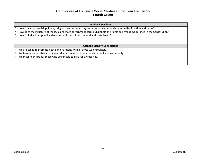# **Guided Questions** \* How do various social, political, religious, and economic systems help societies and communities function and thrive? \* How does the structure of the local and state government carry out/uphold the rights and freedoms outlined in the Constitution? \* How do individuals practice democratic citizenship at the local and state levels? **Catholic Identity Connections** \* We are called to promote peace and harmony with all those we encounter.

- \* We have a responsibility to be a productive member of our family, school, and community.
- \* We must help care for those who are unable to care for themselves.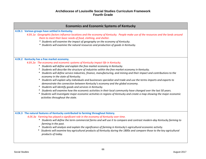| <b>Economics and Economic Systems of Kentucky</b> |                                                                                                                                                                                                                                                                                                                                                                                                                                                                                                                                                                                                                                                                                                                                                                                                                                                                                                                                                                                                                                      |  |
|---------------------------------------------------|--------------------------------------------------------------------------------------------------------------------------------------------------------------------------------------------------------------------------------------------------------------------------------------------------------------------------------------------------------------------------------------------------------------------------------------------------------------------------------------------------------------------------------------------------------------------------------------------------------------------------------------------------------------------------------------------------------------------------------------------------------------------------------------------------------------------------------------------------------------------------------------------------------------------------------------------------------------------------------------------------------------------------------------|--|
|                                                   | 4.EK.1 Various groups have settled in Kentucky.<br>4.EK.1a Geographic factors influence locations and the economy of Kentucky. People make use of the resources and the lands around<br>them to meet their basic needs of food, clothing, and shelter.<br>* Students will examine the impact of geography on the economy of Kentucky.<br>* Students will examine the natural resources and production of goods in Kentucky.                                                                                                                                                                                                                                                                                                                                                                                                                                                                                                                                                                                                          |  |
|                                                   | 4.EK.2 Kentucky has a free market economy.<br>4.EK.2a The economy and economic systems of Kentucky impact life in Kentucky.<br>* Students will define and explain the free market economy in Kentucky.<br>* Students will describe the structure of industries within the free market economy in Kentucky.<br>* Students will define service industries, finance, manufacturing, and mining and their impact and contributions to the<br>economy in the state of Kentucky.<br>* Students will explain why individuals and businesses specialize and trade and use the terms imports and exports to<br>demonstrate the connection between Kentucky's economy and the global economy.<br>* Students will identify goods and services in Kentucky.<br>* Students will examine how the economic activities in their local community have changed over the last 50 years.<br>* Students will investigate major economic activities in regions of Kentucky and create a map showing the major economic<br>activities throughout the state. |  |
|                                                   | 4.EK.3 The natural features of Kentucky contributed to farming throughout history.<br>4.EK.3a Farming has played a significant role in the economy of Kentucky over time.<br>* Students will define the term commercial farms and will use it to compare and contrast modern-day Kentucky farming to<br>farming in the past.<br>* Students will analyze and explain the significance of farming in Kentucky's agricultural economic activity.<br>* Students will examine key agricultural products of Kentucky during the 1800s and compare those to the key agricultural<br>products of today.                                                                                                                                                                                                                                                                                                                                                                                                                                      |  |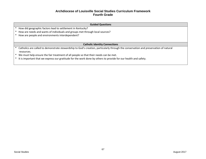|                                      | <b>Guided Questions</b>                                                                                                                |  |  |
|--------------------------------------|----------------------------------------------------------------------------------------------------------------------------------------|--|--|
| ∗                                    | How did geographic factors lead to settlement in Kentucky?                                                                             |  |  |
| ∗                                    | How are needs and wants of individuals and groups met through local sources?                                                           |  |  |
| $\ast$                               | How are people and environments interdependent?                                                                                        |  |  |
|                                      |                                                                                                                                        |  |  |
| <b>Catholic Identity Connections</b> |                                                                                                                                        |  |  |
|                                      |                                                                                                                                        |  |  |
|                                      | * Catholics are called to demonstrate stewardship to God's creation, particularly through the conservation and preservation of natural |  |  |
|                                      | resources.                                                                                                                             |  |  |
|                                      | * We must help ensure the fair treatment of all people so that their needs can be met.                                                 |  |  |
|                                      | * It is important that we express our gratitude for the work done by others to provide for our health and safety.                      |  |  |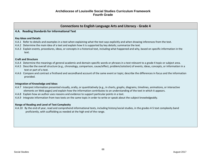## **Connections to English Language Arts and Literacy - Grade 4**

#### **4.A. Reading Standards for Informational Text**

#### **Key Ideas and Details**

- 4.A.1 Refer to details and examples in a text when explaining what the text says explicitly and when drawing inferences from the text.
- 4.A.2 Determine the main idea of a text and explain how it is supported by key details; summarize the text.
- 4.A.3 Explain events, procedures, ideas, or concepts in a historical text, including what happened and why, based on specific information in the text.

#### **Craft and Structure**

- 4.A.4 Determine the meanings of general academic and domain-specific words or phrases in a text relevant to a grade 4 topic or subject area.
- 4.A.5 Describe the overall structure (e.g., chronology, comparison, cause/effect, problem/solution) of events, ideas, concepts, or information in a text or part of a text.
- 4.A.6 Compare and contrast a firsthand and secondhand account of the same event or topic; describe the differences in focus and the information provided.

#### **Integration of Knowledge and Ideas**

- 4.A.7 Interpret information presented visually, orally, or quantitatively (e.g., in charts, graphs, diagrams, timelines, animations, or interactive elements on Web pages) and explain how the information contributes to an understanding of the text in which it appears.
- 4.A.8 Explain how an author uses reasons and evidence to support particular points in a text.
- 4.A.9 Integrate information from two texts on the same topic in order to write or speak about the subject knowledgeably.

#### **Range of Reading and Level of Text Complexity**

4.A.10 By the end of year, read and comprehend informational texts, including history/social studies, in the grades 4-5 text complexity band proficiently, with scaffolding as needed at the high end of the range.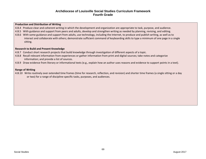#### **Production and Distribution of Writing**

- 4.B.4 Produce clear and coherent writing in which the development and organization are appropriate to task, purpose, and audience.
- 4.B.5 With guidance and support from peers and adults, develop and strengthen writing as needed by planning, revising, and editing.
- 4.B.6 With some guidance and support from adults, use technology, including the Internet, to produce and publish writing, as well as to interact and collaborate with others; demonstrate sufficient command of keyboarding skills to type a minimum of one page in a single sitting.

#### **Research to Build and Present Knowledge**

- 4.B.7 Conduct short research projects that build knowledge through investigation of different aspects of a topic.
- 4.B.8 Recall relevant information from experiences or gather information from print and digital sources; take notes and categorize information; and provide a list of sources.
- 4.B.9 Draw evidence from literary or informational texts (e.g., explain how an author uses reasons and evidence to support points in a text).

#### **Range of Writing**

4.B.10 Write routinely over extended time frames (time for research, reflection, and revision) and shorter time frames (a single sitting or a day or two) for a range of discipline-specific tasks, purposes, and audiences.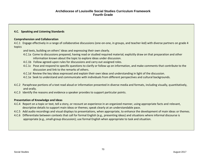#### **4.C. Speaking and Listening Standards**

#### **Comprehension and Collaboration**

4.C.1 Engage effectively in a range of collaborative discussions (one-on-one, in groups, and teacher-led) with diverse partners on grade 4 topics

and texts, building on others' ideas and expressing their own clearly.

- 4.C.1a Come to discussions prepared, having read or studied required material; explicitly draw on that preparation and other information known about the topic to explore ideas under discussion.
- 4.C.1b Follow agreed-upon rules for discussions and carry out assigned roles.
- 4.C.1c Pose and respond to specific questions to clarify or follow up on information, and make comments that contribute to the discussion and link to the remarks of others.
- 4.C.1d Review the key ideas expressed and explain their own ideas and understanding in light of the discussion.
- 4.C.1e Seek to understand and communicate with individuals from different perspectives and cultural backgrounds.
- 4.C.2 Paraphrase portions of a text read aloud or information presented in diverse media and formats, including visually, quantitatively, and orally.
- 4.C.3 Identify the reasons and evidence a speaker provides to support particular points.

### **Presentation of Knowledge and Ideas**

- 4.C.4 Report on a topic or text, tell a story, or recount an experience in an organized manner, using appropriate facts and relevant, descriptive details to support main ideas or themes; speak clearly at an understandable pace.
- 4.C.5 Add audio recordings and visual displays to presentations, when appropriate, to enhance the development of main ideas or themes.
- 4.C.6 Differentiate between contexts that call for formal English (e.g., presenting ideas) and situations where informal discourse is appropriate (e.g., small-group discussion); use formal English when appropriate to task and situation.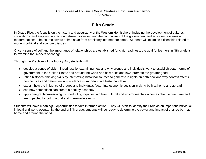# **Fifth Grade**

In Grade Five, the focus is on the history and geography of the Western Hemisphere, including the development of cultures, civilizations, and empires; interaction between societies; and the comparison of the government and economic systems of modern nations. The course covers a time span from prehistory into modern times. Students will examine citizenship related to modern political and economic issues.

Once a sense of self and the importance of relationships are established for civic-readiness, the goal for learners in fifth grade is to examine the impacts of change.

Through the Practices of the Inquiry Arc, students will:

- develop a sense of civic-mindedness by examining how and why groups and individuals work to establish better forms of government in the United States and around the world and how rules and laws promote the greater good
- refine historical-thinking skills by interpreting historical sources to generate insights on both how and why context affects perspectives and determine why evidence is important in a historical claim
- explain how the influence of groups and individuals factor into economic decision-making both at home and abroad
- see how competition can create a healthy economy
- apply geographic-reasoning by conducting inquiries into how cultural and environmental outcomes change over time and are impacted by both natural and man-made events

Students will have meaningful opportunities to take informed action. They will start to identify their role as an important individual in local and world events. By the end of fifth grade, students will be ready to determine the power and impact of change both at home and around the world.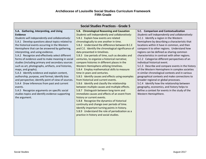| <b>Social Studies Practices - Grade 5</b>                                                                        |                                                                                                                                                                                                                     |                                                                         |  |
|------------------------------------------------------------------------------------------------------------------|---------------------------------------------------------------------------------------------------------------------------------------------------------------------------------------------------------------------|-------------------------------------------------------------------------|--|
| 5.A. Gathering, Interpreting, and Using                                                                          | 5.B. Chronological Reasoning and Causation                                                                                                                                                                          | 5.C. Comparison and Contextualization                                   |  |
| Evidence                                                                                                         | Students will independently and collaboratively:                                                                                                                                                                    | Students will independently and collaboratively:                        |  |
| Students will independently and collaboratively:                                                                 | 5.B.1 Explain how events are related                                                                                                                                                                                | 5.C.1 Identify a region in the Western                                  |  |
| 5.A.1 Develop questions about topics related to                                                                  | chronologically to one another in time.                                                                                                                                                                             | Hemisphere by describing a characteristic that                          |  |
| the historical events occurring in the Western                                                                   | 5.B.2 Understand the difference between B.C.E                                                                                                                                                                       | locations within it have in common, and then                            |  |
| Hemisphere that can be answered by gathering,                                                                    | and C.E. Identify the chronological significance of                                                                                                                                                                 | compare it to other regions. Understand how                             |  |
| interpreting, and using evidence.                                                                                | data presented in timelines.                                                                                                                                                                                        | regions can be defined as sharing common                                |  |
| 5.A.2 Recognize and effectively select different                                                                 | 5.B.3 Use periods of time, such as decades and                                                                                                                                                                      | characteristics in contrast with other regions.                         |  |
| forms of evidence used to make meaning in social                                                                 | centuries, to organize a historical narrative;                                                                                                                                                                      | 5.C.2 Categorize different perspectives of an                           |  |
| studies (including primary and secondary sources                                                                 | compare histories in different places in the                                                                                                                                                                        | individual historical event.                                            |  |
| such as art, photographs, artifacts, oral histories,                                                             | Western Hemisphere utilizing timelines.                                                                                                                                                                             | 5.C.3 Describe and compare events in the history                        |  |
| maps, and graphs).                                                                                               | 5.B.4 Employ mathematical skills to measure                                                                                                                                                                         | of the Western Hemisphere in complex societies                          |  |
| 5.A.3 Identify evidence and explain content,                                                                     | time in years and centuries.                                                                                                                                                                                        | in similar chronological contexts and in various                        |  |
| authorship, purpose, and format; identify bias                                                                   | 5.B.5 Identify causes and effects using examples                                                                                                                                                                    | geographical contexts and make connections to                           |  |
| and perspective; identify point of view of sources.                                                              | from historical and current events.                                                                                                                                                                                 | broader regional or global processes.                                   |  |
| 5.A.4 Draw inferences from past and current                                                                      | 5.B.6 Identify and classify the relationship                                                                                                                                                                        | 5.C.4 Identify how the relationship between                             |  |
| events.                                                                                                          | between multiple causes and multiple effects.                                                                                                                                                                       | geography, economics, and history helps to                              |  |
| 5.A.5 Recognize arguments on specific social<br>studies topics and identify evidence supporting<br>the argument. | 5.B.7 Distinguish between long-term and<br>immediate causes and effects of an event from<br>history or current events.<br>5.B.8 Recognize the dynamics of historical<br>continuity and change over periods of time. | define a context for events in the study of the<br>Western Hemisphhere. |  |
|                                                                                                                  | Identify important turning points in history.<br>5.B.9 Understand the role of periodization as a<br>practice in history and social studies.                                                                         |                                                                         |  |
|                                                                                                                  |                                                                                                                                                                                                                     |                                                                         |  |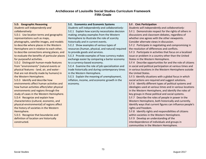| 5.D. Geographic Reasoning                     | 5.E. Economics and Economic Systems               | <b>5.F. Civic Participation</b>                            |
|-----------------------------------------------|---------------------------------------------------|------------------------------------------------------------|
| Students will independently and               | Students will independently and collaboratively:  | Students will independently and collaboratively:           |
| collaboratively:                              | 5.E.1 Explain how scarcity necessitates decision  | 5.F.1 Demonstrate respect for the rights of others in      |
| 5.D.1 Use location terms and geographic       | making; employ examples from the Western          | discussions and classroom debates, regardless of           |
| representations such as maps,                 | Hemisphere to illustrate the role of scarcity     | whether one agrees with the other viewpoints.              |
| photographs, satellite images, and models     | historically and in current events.               | Consider alternate views in discussion.                    |
| to describe where places in the Western       | 5.E.2 Show examples of various types of           | 5.F.2 Participate in negotiating and compromising in       |
| Hemisphere are in relation to each other,     | resources (human, physical, and natural) required | the resolution of differences and conflicts.               |
| to describe connections among places, and     | to provide goods and services.                    | 5.F.3 Participate in activities that focus on a localized  |
| to evaluate the benefits of particular places | 5.E.3 Provide examples of how currency makes      | issue or problem in a country other than the United        |
| for purposeful activities.                    | exchange easier by comparing a barter economy     | States in the Western Hemisphere.                          |
| 5.D.2 Distinguish human-made features         | to a currency-based economy.                      | 5.F.4 Describe opportunities for and the role of citizens  |
| from "environments" (natural events or        | 5.E.4 Examine the role of job specialization and  | in social and political participation at various times and |
| physical features - land, air, and water -    | trade historically and during contemporary times  | in various locations in the Western Hemisphere outside     |
| that are not directly made by humans) in      | in the Western Hemisphere.                        | the United States.                                         |
| the Western Hemisphere.                       | 5.E.5 Explain the meaning of unemployment,        | 5.F.5 Identify situations with a global focus in which     |
| 5.D.3 Identify and describe how               | inflation, income, and economic growth in the     | social actions are required and suggest solutions.         |
| environments affect human activities and      | economy.                                          | 5.F.6 Identify different types of political systems and    |
| how human activities affect/alter physical    |                                                   | ideologies used at various times and in various locations  |
| environments and regions through the          |                                                   | in the Western Hemisphere, and identify the roles of       |
| study of cases in the Western Hemisphere.     |                                                   | key groups in those political and social systems.          |
| 5.D.4 Recognize and explain how               |                                                   | 5.F.7 Describe the roles of people in power in the         |
| characteristics (cultural, economic, and      |                                                   | Western Hemisphere, both historically and currently.       |
| physical-environmental) of regions affect     |                                                   | Identify ways that current figures can influence people's  |
| the history of societies in the Western       |                                                   | rights and freedom.                                        |
| Hemisphere.                                   |                                                   | 5.F.8 Identify rights and responsibilities of citizens     |
| 5.D.5 Recognize that boundaries and           |                                                   | within societies in the Western Hemisphere.                |
| definition of location are historically       |                                                   | 5.F.9 Develop an understanding of the                      |
| constructed.                                  |                                                   | interdependence of individuals and groups in               |
|                                               |                                                   | communities in the Western Hemisphere.                     |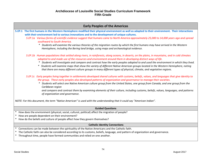| <b>Early Peoples of the Americas</b>                                                                                                                                                                                                                                                                                                                                                                                        |
|-----------------------------------------------------------------------------------------------------------------------------------------------------------------------------------------------------------------------------------------------------------------------------------------------------------------------------------------------------------------------------------------------------------------------------|
| 5.EP.1 The first humans in the Western Hemisphere modified their physical environment as well as adapted to their environment. Their interactions<br>with their environment led to various innovations and to the development of unique cultures.                                                                                                                                                                           |
| 5.EP.1a Various forms of scientific evidence suggest that humans came to North America approximately 25,000 to 14,000 years ago and spread<br>southward to South America.                                                                                                                                                                                                                                                   |
| * Students will examine the various theories of the migration routes by which the first humans may have arrived in the Western<br>Hemisphere, including the Bering land bridge, using maps and archaeological evidence.                                                                                                                                                                                                     |
| 5.EP.1b Human populations that settled along rivers, in rainforests, along oceans, in deserts, on the plains, in mountains, and in cold climates<br>adapted to and made use of the resources and environment around them in developing distinct ways of life.                                                                                                                                                               |
| Students will investigate and compare and contrast how the early peoples adapted to and used the environment in which they lived.<br>Students will examine maps that show the variety of different Native American groups located in the Western Hemisphere, noting<br>$^{\ast}$<br>that there are many different culture groups in many different types of physical, climate, and vegetative regions.                      |
| 5.EP.1c Early peoples living together in settlements developed shared cultures with customs, beliefs, values, and languages that give identity to<br>the group. These early peoples also developed patterns of organization and governance to manage their societies.<br>* Students will select one Native American culture group from the United States, one group from Canada, and one group from the<br>Caribbean region |
| and compare and contrast them by examining elements of their culture, including customs, beliefs, values, languages, and patterns<br>of organization and governance.                                                                                                                                                                                                                                                        |
| NOTE: For this document, the term "Native American" is used with the understanding that it could say "American Indian".                                                                                                                                                                                                                                                                                                     |
| <b>Guided Questions</b>                                                                                                                                                                                                                                                                                                                                                                                                     |
| How does the environment (physical, social, cultural, political) affect the migration of people?                                                                                                                                                                                                                                                                                                                            |
| How are people dependent on their environment?<br>How do the beliefs and culture of people affect how they govern themselves?                                                                                                                                                                                                                                                                                               |
|                                                                                                                                                                                                                                                                                                                                                                                                                             |
| <b>Catholic Identity Connections</b>                                                                                                                                                                                                                                                                                                                                                                                        |
| Connections can be made between the spirituality of the Native Americans and the Catholic faith.                                                                                                                                                                                                                                                                                                                            |
| The Catholic faith can also be considered according to its customs, beliefs, language, and pattern of organization and governance.<br>* Throughout time, people have formed communities and relied on one another.                                                                                                                                                                                                          |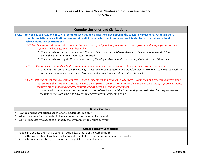| <b>Complex Societies and Civilizations</b>                                                                                                                                                                                                                                                                                                                                                                                                                                                                                                                                        |
|-----------------------------------------------------------------------------------------------------------------------------------------------------------------------------------------------------------------------------------------------------------------------------------------------------------------------------------------------------------------------------------------------------------------------------------------------------------------------------------------------------------------------------------------------------------------------------------|
| Between 1100 B.C.E. and 1500 C.E., complex societies and civilizations developed in the Western Hemisphere. Although these<br>5.CS.1<br>complex societies and civilizations have certain defining characteristics in common, each is also known for unique cultural<br>achievements and contributions.<br>5.CS.1a Civilizations share certain common characteristics of religion, job specialization, cities, government, language and writing                                                                                                                                    |
| systems, technology, and social hierarchy.<br>* Students will locate the complex societies and civilizations of the Mayas, Aztecs, and Incas on a map and determine<br>when these societies and civilizations occurred.<br>* Students will investigate the characteristics of the Mayas, Aztecs, and Incas, noting similarities and differences.                                                                                                                                                                                                                                  |
| 5.CS.1b Complex societies and civilizations adapted to and modified their environment to meet the needs of their people.<br>* Students will compare how the Mayas, Aztecs, and Incas adapted to and modified their environment to meet the needs of<br>the people, examining the clothing, farming, shelter, and transportation systems for each.                                                                                                                                                                                                                                 |
| 5.CS.1c Political states can take different forms, such as city-states and empires. A city-state is comprised of a city with a government<br>that controls the surrounding territory, while an empire is a political organization developed when a single, supreme authority<br>conquers other geographic and/or cultural regions beyond its initial settlements.<br>* Students will compare and contrast political states of the Maya and the Aztec, noting the territories that they controlled,<br>the type of rule each had, and how the ruler attempted to unify the people. |
| <b>Guided Questions</b>                                                                                                                                                                                                                                                                                                                                                                                                                                                                                                                                                           |
| How do ancient civilizations contribute to modern day society?<br>What characteristics of a leader influence the success or demise of a society?<br>Why is it necessary to adapt to or modify the environment to ensure survival?                                                                                                                                                                                                                                                                                                                                                 |
| <b>Catholic Identity Connections</b>                                                                                                                                                                                                                                                                                                                                                                                                                                                                                                                                              |
| People in a society often share common beliefs (e.g., those of the Catholic faith).<br>People throughout time have been called to find ways to live in harmony and support one another.<br>People have a responsibility to care for the marginialized and vulnerable.                                                                                                                                                                                                                                                                                                             |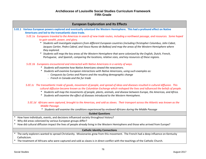| <b>European Exploration and Its Effects</b>                                                                                                                                                                                                                     |  |
|-----------------------------------------------------------------------------------------------------------------------------------------------------------------------------------------------------------------------------------------------------------------|--|
| 5.EE.1 Various European powers explored and eventually colonized the Western Hemisphere. This had a profound effect on Native                                                                                                                                   |  |
| Americans and led to the transatlantic slave trade.                                                                                                                                                                                                             |  |
| 5.EE.1a Europeans traveled to the Americas in search of new trade routes, including a northwest passage, and resources. Some hoped<br>to gain wealth, power, and glory.                                                                                         |  |
| * Students will investigate explorers from different European countries (including Christopher Columbus, John Cabot,                                                                                                                                            |  |
| Jacques Cartier, Pedro Cabral, and Vasco Nunez de Balboa) and map the areas of the Western Hemisphere where<br>they explored.                                                                                                                                   |  |
| * Students will map the key areas of the Western Hemisphere that were colonized by the English, Dutch, French,                                                                                                                                                  |  |
| Portuguese, and Spanish, comparing the locations, relative sizes, and key resources of these regions.                                                                                                                                                           |  |
| 5.EE.1b Europeans encountered and interacted with Native Americans in a variety of ways.                                                                                                                                                                        |  |
| * Students will examine how Native Americans viewed the newcomers.                                                                                                                                                                                              |  |
| * Students will examine European interactions with Native Americans, using such examples as:                                                                                                                                                                    |  |
| - Conquests by Cortez and Pizarro and the resulting demographic change                                                                                                                                                                                          |  |
| - French in Canada and the fur trade                                                                                                                                                                                                                            |  |
| 5.EE.1c The transatlantic trade of goods, movement of people, and spread of ideas and diseases resulted in cultural diffusion. This<br>cultural diffusion became known as the Columbian Exchange which reshaped the lives and influenced the beliefs of people. |  |
| * Students will map the movements of people, plants, animals, and disease between Europe, the Americas, and Africa.<br>* Students will examine the effect of diseases introduced to the Western Hemisphere.                                                     |  |
|                                                                                                                                                                                                                                                                 |  |
| 5.EE.1d Africans were captured, brought to the Americas, and sold as slaves. Their transport across the Atlantic was known as the<br>Middle Passage.                                                                                                            |  |
| * Students will examine the conditions experienced by enslaved Africans during the Middle Passage                                                                                                                                                               |  |
| <b>Guided Questions</b>                                                                                                                                                                                                                                         |  |
| How have individuals, events, and decisions influenced society throughout history?                                                                                                                                                                              |  |
| Why did areas colonized by various European groups differ?                                                                                                                                                                                                      |  |
| How did cultural diffusion impact the lives of people already living in the Western Hemisphere and those who arrived from Europe?                                                                                                                               |  |
| <b>Catholic Identity Connections</b>                                                                                                                                                                                                                            |  |
| The early explorers wanted to spread Christianity. Missionaries grew from this movement. The French had a deep influence on Kentucky                                                                                                                            |  |
| Catholicism.                                                                                                                                                                                                                                                    |  |

\* The treatment of Africans who were captured and sold as slaves is in direct conflict with the teachings of the Catholic Church.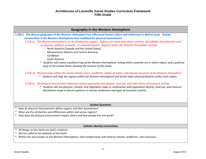| <b>Geography in the Western Hemisphere</b>                                                                                                                                                                             |
|------------------------------------------------------------------------------------------------------------------------------------------------------------------------------------------------------------------------|
| 5.GW.1 The diverse geography of the Western Hemisphere has influenced human culture and settlement in distinct ways. Human<br>communities in the Western Hemisphere have modified the physical environment.            |
| 5.GW.1a The Western Hemisphere can be divided into regions. Regions are areas that share common, identifiable characteristics such                                                                                     |
| as physical, political, economic, or cultural features. Regions within the Western Hemisphere include:<br>- North America (Canada and the United States)                                                               |
| - Mesoamerica (Mexico and Central America)                                                                                                                                                                             |
| - Caribbean                                                                                                                                                                                                            |
| - South America                                                                                                                                                                                                        |
| Students will create a political map of the Western Hemisphere, noting which countries are in which region, and a political<br>$\ast$<br>map of the United States showing the location of the states.                  |
| 5. GW. 1b Physical maps reflect the varied climate zones, landforms, bodies of water, and natural resources of the Western Hemisphere.                                                                                 |
| * Students will map the regions within the Western Hemisphere and locate major physical features within each region.                                                                                                   |
| 5.GW.1c The physical environment influences human population distribution, land use, and other forms of economic activity.                                                                                             |
| * Students will use physical, climate, and vegetation maps in combination with population density, land use, and resource<br>distribution maps to discern patterns in human settlement and types of economic activity. |
|                                                                                                                                                                                                                        |
| <b>Guided Questions</b>                                                                                                                                                                                                |
| How do physical characteristics define regions and their boundaries?                                                                                                                                                   |
| What are the similarities and differences within and across regions?                                                                                                                                                   |
| How does the physical environment impact where and how people live and work?                                                                                                                                           |
| <b>Catholic Identity Connections</b>                                                                                                                                                                                   |
| All things on this Earth are God's creations.                                                                                                                                                                          |
| We are called to be stewards of the Earth.                                                                                                                                                                             |

\* Within the area known as the Western Hemisphere, God created lands with diverse climate, landforms, and resources.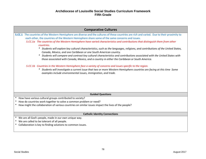| <b>Comparative Cultures</b>                                                                                                                                                                                                                                                                                                                                                                                                                                                                                                                                                                                                                                                                                                                                                                                                                                                                                                                                                                                                                                                                                                                   |
|-----------------------------------------------------------------------------------------------------------------------------------------------------------------------------------------------------------------------------------------------------------------------------------------------------------------------------------------------------------------------------------------------------------------------------------------------------------------------------------------------------------------------------------------------------------------------------------------------------------------------------------------------------------------------------------------------------------------------------------------------------------------------------------------------------------------------------------------------------------------------------------------------------------------------------------------------------------------------------------------------------------------------------------------------------------------------------------------------------------------------------------------------|
| 5.CC.1 The countries of the Western Hemisphere are diverse and the cultures of these countries are rich and varied. Due to their proximity to<br>each other, the countries of the Western Hemisphere share some of the same concerns and issues.<br>5.CC.1a The countries of the Western Hemisphere have varied characteristics and contributions that distinguish them from other<br>countries.<br>* Students will explore key cultural characteristics, such as the languages, religions, and contributions of the United States,<br>Canada, Mexico, and one Caribbean or one South American country.<br>Students will compare and contrast key cultural characteristics and contributions associated with the United States with<br>those associated with Canada, Mexico, and a country in either the Caribbean or South America.<br>5.CC.1b Countries in the Western Hemisphere face a variety of concerns and issues specific to the region.<br>* Students will investigate a current issue that two or more Western Hemisphere countries are facing at this time Some<br>examples include environmental issues, immigration, and trade. |
|                                                                                                                                                                                                                                                                                                                                                                                                                                                                                                                                                                                                                                                                                                                                                                                                                                                                                                                                                                                                                                                                                                                                               |
| <b>Guided Questions</b>                                                                                                                                                                                                                                                                                                                                                                                                                                                                                                                                                                                                                                                                                                                                                                                                                                                                                                                                                                                                                                                                                                                       |
| * How have various cultural groups contributed to society?                                                                                                                                                                                                                                                                                                                                                                                                                                                                                                                                                                                                                                                                                                                                                                                                                                                                                                                                                                                                                                                                                    |
| How do countries work together to solve a common problem or need?                                                                                                                                                                                                                                                                                                                                                                                                                                                                                                                                                                                                                                                                                                                                                                                                                                                                                                                                                                                                                                                                             |
| How might the collaboration of various countries on similar issues impact the lives of the people?                                                                                                                                                                                                                                                                                                                                                                                                                                                                                                                                                                                                                                                                                                                                                                                                                                                                                                                                                                                                                                            |
| <b>Catholic Identity Connections</b>                                                                                                                                                                                                                                                                                                                                                                                                                                                                                                                                                                                                                                                                                                                                                                                                                                                                                                                                                                                                                                                                                                          |
| * We are all God's people, made in our own unique way.                                                                                                                                                                                                                                                                                                                                                                                                                                                                                                                                                                                                                                                                                                                                                                                                                                                                                                                                                                                                                                                                                        |
| * We are called to be tolerant of all people.                                                                                                                                                                                                                                                                                                                                                                                                                                                                                                                                                                                                                                                                                                                                                                                                                                                                                                                                                                                                                                                                                                 |
| Collaboration is key to finding solutions to common issues.                                                                                                                                                                                                                                                                                                                                                                                                                                                                                                                                                                                                                                                                                                                                                                                                                                                                                                                                                                                                                                                                                   |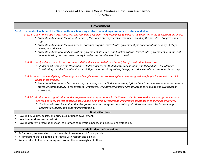| Government                                                                                                                                                                                                                                                                    |
|-------------------------------------------------------------------------------------------------------------------------------------------------------------------------------------------------------------------------------------------------------------------------------|
| 5.G.1 The political systems of the Western Hemisphere vary in structure and organization across time and place.                                                                                                                                                               |
| 5.G.1a Government structures, functions, and founding documents vary from place to place in the countries of the Western Hemisphere.                                                                                                                                          |
| * Students will examine the basic structure of the United States federal government, including the president, Congress, and the<br>courts.                                                                                                                                    |
| * Students will examine the foundational documents of the United States government for evidence of the country's beliefs,<br>values, and principles.                                                                                                                          |
| * Students will compare and contrast the government structures and functions of the United States government with those of                                                                                                                                                    |
| Canada, Mexico, and one other country in either the Caribbean or South America.                                                                                                                                                                                               |
| 5.G.1b Legal, political, and historic documents define the values, beliefs, and principles of constitutional democracy.                                                                                                                                                       |
| * Students will examine the Declaration of Independence, the United States Constitution and Bill of Rights, the Mexican<br>Constitution, and the Canadian Charter of Rights in terms of key values, beliefs, and principles of constitutional democracy.                      |
| 5.G.1c Across time and place, different groups of people in the Western Hemisphere have struggled and fought for equality and civil<br>rights or sovereignty.                                                                                                                 |
| * Students will examine at least one group of people, such as Native Americans, African Americans, women, or another cultural,<br>ethnic, or racial minority in the Western Hemisphere, who have struggled or are struggling for equality and civil rights or<br>sovereignty. |
| 5.G.1d Multinational organizations and non-governmental organizations in the Western Hemisphere seek to encourage cooperation                                                                                                                                                 |
| between nations, protect human rights, support economic development, and provide assistance in challenging situations.                                                                                                                                                        |
| Students will examine multinational organizations and non-governmental organizations and their roles in promoting<br>$\ast$<br>cooperation, peace, and cultural understanding.                                                                                                |
|                                                                                                                                                                                                                                                                               |
| <b>Guided Questions</b><br>How do key values, beliefs, and principles influence government?<br>$\ast$                                                                                                                                                                         |
| How do minorities seek equality?                                                                                                                                                                                                                                              |
| How do different organizations work to promote cooperation, peace, and cultural understanding?                                                                                                                                                                                |
| <b>Catholic Identity Connections</b>                                                                                                                                                                                                                                          |
| As Catholics, we are called to be stewards of peace to all of God's people.                                                                                                                                                                                                   |
| It is important that all people are treated with respect and dignity.                                                                                                                                                                                                         |
| * We are called to live in harmony and protect the human rights of others.                                                                                                                                                                                                    |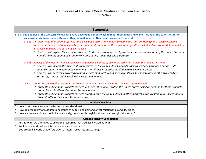| <b>Economics</b>                                                                                                                                                                                                                                                                                                                                                                                                                                                                                                                                               |
|----------------------------------------------------------------------------------------------------------------------------------------------------------------------------------------------------------------------------------------------------------------------------------------------------------------------------------------------------------------------------------------------------------------------------------------------------------------------------------------------------------------------------------------------------------------|
| 5.E.1 The peoples of the Western Hemisphere have developed various ways to meet their needs and wants. Many of the countries of the<br>Western Hemisphere trade with each other, as well as with other countries around the world.                                                                                                                                                                                                                                                                                                                             |
| 5.E.1a Different types of economic systems have developed across time and place within the Western Hemisphere. These economic<br>systems, including traditional, market, and command, address the three economic questions: what will be produced, how will it be<br>produced, and who will get what is produced.                                                                                                                                                                                                                                              |
| * Students will explore the characteristics of a traditional economy used by the Inuit, the market economy of the United States or<br>Canada, and the command economy of Cuba, noting similarities and differences.                                                                                                                                                                                                                                                                                                                                            |
| 5.E.1b Peoples of the Western Hemisphere have engaged in a variety of economic activities to meet their needs and wants.<br>* Students will identify the major natural resources of the United States, Canada, Mexico, and one Caribbean or one South<br>American country to determine major industries of those countries in relation to available resources.<br>* Students will determine why certain products are manufactured in particular places, taking into account the availability of<br>resources, transportation availability, costs, and markets. |
| 5.E.1c Countries trade with other countries to meet economic needs and wants. They are interdependent.<br>Students will examine products that are imported into markets within the United States based on demand for these products,<br>noting how this affects the United States economy.<br>Students will examine products that are exported from the United States to other markets in the Western Hemisphere, noting<br>$\ast$<br>how this affects the United States economy.                                                                              |
| <b>Guided Questions</b>                                                                                                                                                                                                                                                                                                                                                                                                                                                                                                                                        |
| How does the environment affect economic decisions?<br>How do availability of resources and issues of supply and demand affect relationships and decisions?<br>How are wants and needs of individuals and groups met through local, national, and global sources?                                                                                                                                                                                                                                                                                              |
| <b>Catholic Identity Connections</b>                                                                                                                                                                                                                                                                                                                                                                                                                                                                                                                           |
| As Catholics, we are called to share the resources that God has blessed us with.                                                                                                                                                                                                                                                                                                                                                                                                                                                                               |
| We live in a world where interdependency is essential.<br>God created a world that offers diverse natural resources and settings.                                                                                                                                                                                                                                                                                                                                                                                                                              |
|                                                                                                                                                                                                                                                                                                                                                                                                                                                                                                                                                                |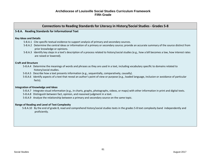### **Connections to Reading Standards for Literacy in History/Social Studies - Grades 5-8**

### **5-8.A. Reading Standards for Informational Text**

#### **Key Ideas and Details**

- 5-8.A.1 Cite specific textual evidence to support analysis of primary and secondary sources.
- 5-8.A.2 Determine the central ideas or information of a primary or secondary source; provide an accurate summary of the source distinct from prior knowledge or opinions.
- 5-8.A.3 Identify key steps in a text's description of a process related to history/social studies (e.g., how a bill becomes a law, how interest rates are raised or lowered).

### **Craft and Structure**

- 5-8.A.4 Determine the meanings of words and phrases as they are used in a text, including vocabulary specific to domains related to history/social studies.
- 5-8.A.5 Describe how a text presents information (e.g., sequentially, comparatively, causally).
- 5-8.A.6 Identify aspects of a text that reveal an author's point of view or purpose (e.g., loaded language, inclusion or avoidance of particular facts).

### **Integration of Knowledge and Ideas**

- 5-8.A.7 Integrate visual information (e.g., in charts, graphs, photographs, videos, or maps) with other information in print and digital texts.
- 5-8.A.8 Distinguish between fact, opinion, and reasoned judgment in a text.
- 5-8.A.9 Analyze the relationship between a primary and secondary source on the same topic.

### **Range of Reading and Level of Text Complexity**

 5-8.A.10 By the end of grade 8, read and comprehend history/social studies texts in the grades 5-8 text complexity band independently and proficiently.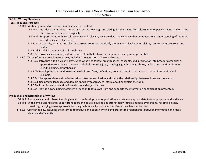### **5-8.B. Writing Standards**

### **Text Types and Purposes**

- 5-8.B.1 Write arguments focused on discipline-specific content.
	- 5-8.B.1a Introduce claims about a topic or issue, acknowledge and distinguish the claims from alternate or opposing claims, and organize the reasons and evidence logically.
	- 5-8.B.1b Support claims with logical reasoning and relevant, accurate data and evidence that demonstrate an understanding of the topic or text, using credible sources.
	- 5-8.B.1c Use words, phrases, and clauses to create cohesion and clarify the relationships between claims, counterclaims, reasons, and evidence.
	- 5-8.B.1d Establish and maintain a formal style.
	- 5-8.B.1e Provide a concluding statement or section that follows and supports the argument presented.
- 5-8.B.2 Write informative/explanatory texts, including the narration of historical events.
	- 5-8.B.2a Introduce a topic, clearly previewing what is to follow; organize ideas, concepts, and information into broader categories as appropriate to achieving purpose; include formatting (e.g., headings), graphics (e.g., charts, tables), and multimedia when useful to aiding comprehension.
	- 5-8.B.2b Develop the topic with relevant, well-chosen facts, definitions, concrete details, quotations, or other information and examples.
	- 5-8.B.2c Use appropriate and varied transitions to create cohesion and clarify the relationships between ideas and concepts.
	- 5-8.B.2d Use precise language and domain-specific vocabulary to inform about or explain the topic.
	- 5-8.B.2e Establish and maintain a formal style and objective tone.
	- 5-8.B.2f Provide a concluding statement or section that follows from and supports the information or explanation presented.

### **Production and Distribution of Writing**

- 5-8.B.3 Produce clear and coherent writing in which the development, organization, and style are appropriate to task, purpose, and audience.
- 5-8.B.4 With some guidance and support from peers and adults, develop and strengthen writing as needed by planning, revising, editing, rewriting, or trying a new approach, focusing on how well purpose and audience have been addressed.
- 5-8.B.5 Use technology, including the Internet, to produce and publish writing and present the relationships between information and ideas clearly and efficiently.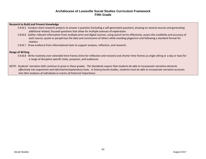#### **Research to Build and Present Knowledge**

- 5-8.B.5 Conduct short research projects to answer a question (including a self-generated question), drawing on several sources and generating additional related, focused questions that allow for multiple avenues of exploration.
- 5-8.B.6 Gather relevant information from multiple print and digital sources, using search terms effectively; assess the credibility and accuracy of each source; quote or paraphrase the data and conclusions of others while avoiding plagiarism and following a standard format for citation.
- 5-8.B.7 Draw evidence from informational texts to support analysis, reflection, and research.

### **Range of Writing**

- 5-8.B.8 Write routinely over extended time frames (time for reflection and revision) and shorter time frames (a single sitting or a day or two) for a range of discipline-specific tasks, purposes, and audiences.
- *NOTE: Students' narrative skills continue to grow in these grades. The Standards require that students be able to incorporate narrative elements effectively into arguments and informative/explanatory texts. In history/social studies, students must be able to incorporate narrative accounts into their analyses of individuals or events of historical importance.*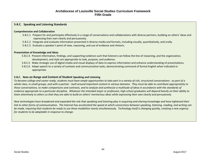### **5-8.C. Speaking and Listening Standards**

#### **Comprehension and Collaboration**

- 5-8.C.1 Prepare for and participate effectively in a range of conversations and collaborations with diverse partners, building on others' ideas and expressing their own clearly and persuasively.
- 5-8.C.2 Integrate and evaluate information presented in diverse media and formats, including visually, quantitatively, and orally.
- 5-8.C.3 Evaluate a speaker's point of view, reasoning, and use of evidence and rhetoric.

### **Presentation of Knowledge and Ideas**

- 5-8.C.4 Present information, findings, and supporting evidence such that listeners can follow the line of reasoning, and the organization, development, and style are appropriate to task, purpose, and audience.
- 5-8.C.5 Make strategic use of digital media and visual displays of data to express information and enhance understanding of presentations.
- 5-8.C.6 Adapt speech to a variety of contexts and communicative tasks, demonstrating command of formal English when indicated or appropriate.

### **5-8.C. Note on Range and Content of Student Speaking and Listening**

*To become college and career ready, students must have ample opportunities to take part in a variety of rich, structured conversations - as part of a whole class, in small groups, and with a partner - built around important content in various domains. They must be able to contribute appropriately to these conversations, to make comparisons and contrasts, and to analyze and synthesize a multitude of ideas in accordance with the standards of evidence appropriate to a particular discipline. Whatever the intended major or profession, high school graduates will depend heavily on their ability to listen attentively to others so that they are able to build on others' meritorious ideas while expressing their own clearly and persuasively.*

*New technologies have broadened and expanded the role that speaking and listening play in acquiring and sharing knowledge and have tightened their link to other forms of communication. The Internet has accelerated the speed at which connections between speaking, listening, reading, and writing can be made, requiring that students be ready to use these modalities nearly simultaneously. Technology itself is changing quickly, creating a new urgency for students to be adaptable in response to change.*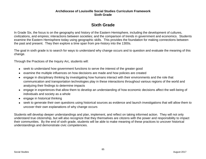# **Sixth Grade**

In Grade Six, the focus is on the geography and history of the Eastern Hemisphere, including the development of cultures, civilizations, and empires; interactions between societies; and the comparison of trends in government and economics. Students examine the Eastern Hemisphere today using geographic skills. This provides the foundation for making connections between the past and present. They then explore a time span from pre-history into the 1300s.

The goal in sixth grade is to search for ways to understand why change occurs and to question and evaluate the meaning of this change.

Through the Practices of the Inquiry Arc, students will:

- seek to understand how government functions to serve the interest of the greater good
- examine the multiple influences on how decisions are made and how policies are created
- engage in disciplinary thinking by investigating how humans interact with their environments and the role that communication and transportation technologies play in these interactions throughout various regions of the world and analyzing their findings to determine impacts
- engage in experiences that allow them to develop an understanding of how economic decisions affect the well-being of individuals and society as a whole
- engage in historical thinking
- seek to generate their own questions using historical sources as evidence and launch investigations that will allow them to uncover their own explanations of why change occurs

Students will develop deeper understandings and plan, implement, and reflect on taking informed action. They will not only understand true citizenship, but will also recognize that they themselves are citizens with the power and responsibility to impact their communities. By the end of sixth grade, students will be able to make meaning of these practices to uncover historical understandings and demonstrate civic competencies.

85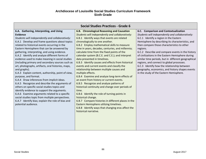|                                                                                                                                                                                                                                                                                                                                                                                                                                                                                                                                                                                                                                                                                                                                                                                                                                                                                                                                                                                                           | Social Studies Practices - Grade 6                                                                                                                                                                                                                                                                                                                                                                                                                                                                                                                                                                                                                                                                                                                                                                                                                                                                                                                                                                                                                     |                                                                                                                                                                                                                                                                                                                                                                                                                                                                                                                                                                                                               |
|-----------------------------------------------------------------------------------------------------------------------------------------------------------------------------------------------------------------------------------------------------------------------------------------------------------------------------------------------------------------------------------------------------------------------------------------------------------------------------------------------------------------------------------------------------------------------------------------------------------------------------------------------------------------------------------------------------------------------------------------------------------------------------------------------------------------------------------------------------------------------------------------------------------------------------------------------------------------------------------------------------------|--------------------------------------------------------------------------------------------------------------------------------------------------------------------------------------------------------------------------------------------------------------------------------------------------------------------------------------------------------------------------------------------------------------------------------------------------------------------------------------------------------------------------------------------------------------------------------------------------------------------------------------------------------------------------------------------------------------------------------------------------------------------------------------------------------------------------------------------------------------------------------------------------------------------------------------------------------------------------------------------------------------------------------------------------------|---------------------------------------------------------------------------------------------------------------------------------------------------------------------------------------------------------------------------------------------------------------------------------------------------------------------------------------------------------------------------------------------------------------------------------------------------------------------------------------------------------------------------------------------------------------------------------------------------------------|
| 6.A. Gathering, Interpreting, and Using<br><b>Evidence</b><br>Students will independently and collaboratively:<br>6.A.1 Develop and frame questions about topics<br>related to historical events occurring in the<br>Eastern Hemisphere that can be answered by<br>gathering, interpreting, and using evidence.<br>6.A.2 Identify and analyze different forms of<br>evidence used to make meaning in social studies<br>(including primary and secondary sources such as<br>art, photographs, artifacts, oral histories, maps,<br>and graphs).<br>6.A.3 Explain content, authorship, point of view,<br>purpose, and format.<br>6.A.4 Draw inferences from implicit ideas.<br>6.A.5 Recognize and describe the arguments of<br>others on specific social studies topics and<br>identify evidence to support the arguments.<br>6.A.6 Examine arguments related to a specific<br>social studies topic from multiple perspectives.<br>6.A.7 Identify bias; explain the role of bias and<br>potential audience. | 6.B. Chronological Reasoning and Causation<br>Students will independently and collaboratively:<br>6.B.1 Identify ways that events are related<br>chronologically to one another.<br>6.B.2 Employ mathematical skills to measure<br>time in years, decades, centuries, and millennia;<br>calculate time from the fixed points of the<br>calendar system (B.C.E. and C.E.); and interpret<br>data presented in timelines.<br>6.B.3 Identify causes and effects from historical<br>events and current events and classify the<br>relationship between multiple causes and<br>multiple effects.<br>6.B.4 Examine and analyze long-term effects of<br>an event from history or current events.<br>6.B.5 Recognize and analyze patterns of<br>historical continuity and change over periods of<br>time.<br>6.B.6 Identify the role of turning points in<br>historical change.<br>6.B.7 Compare histories in different places in the<br>Eastern Hemisphere utilizing timelines.<br>6.B.8 Identify ways that changing eras affect the<br>historical narrative. | 6.C. Comparison and Contextualization<br>Students will independently and collaboratively:<br>6.C.1 Identify a region in the Eastern<br>Hemisphere by describing its characteristics, and<br>then compare those characteristics to other<br>regions.<br>6.C.2 Describe and compare events in the history<br>of civilizations in the Eastern Hemisphere during<br>similar time periods, but in different geographical<br>regions, and connect to global processes.<br>6.C.3 Identify how the relationship between<br>geography, economics, and history shapes events<br>in the study of the Eastern Hemisphere. |
|                                                                                                                                                                                                                                                                                                                                                                                                                                                                                                                                                                                                                                                                                                                                                                                                                                                                                                                                                                                                           |                                                                                                                                                                                                                                                                                                                                                                                                                                                                                                                                                                                                                                                                                                                                                                                                                                                                                                                                                                                                                                                        |                                                                                                                                                                                                                                                                                                                                                                                                                                                                                                                                                                                                               |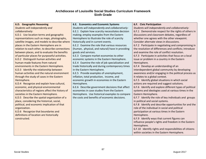| 6.D. Geographic Reasoning                        | 6.E. Economics and Economic Systems              | 6.F. Civic Participation                                |
|--------------------------------------------------|--------------------------------------------------|---------------------------------------------------------|
| Students will independently and                  | Students will independently and collaboratively: | Students will independently and collaboratively:        |
| collaboratively:                                 | 6.E.1 Explain how scarcity necessitates decision | 6.F.1 Demonstrate respect for the rights of others in   |
| 6.D.1 Use location terms and geographic          | making; employ examples from the Eastern         | discussions and classroom debates, regardless of        |
| representations such as maps, photographs,       | Hemisphere to illustrate the role of scarcity    | whether one agrees with the other viewpoint.            |
| satellite images, and models to describe where   | historically and in current events.              | Consider alternate views in discussions.                |
| places in the Eastern Hemisphere are in          | 6.E.2 Examine the role that various resources    | 6.F.2 Participate in negotiating and compromising in    |
| relation to each other, to describe connections  | (human, physical, and natural) have in providing | the resolution of differences and conflicts; introduce  |
| between places, and to evaluate the benefits     | goods and services.                              | and examine the role of conflict resolution.            |
| of particular places for purposeful activities.  | 6.E.3 Compare market economies to other          | 6.F.3 Participate in activities that focus on a local   |
| 6.D.2 Distinguish human activities and           | economic systems in the Eastern Hemisphere.      | issue or problem in a country in the Eastern            |
| human-made features from natural                 | 6.E.4 Examine the role of job specialization and | Hemisphere.                                             |
| environments in the Eastern Hemisphere.          | trade historically and during contemporary times | 6.F.4 Develop an understanding of an                    |
| 6.D.3 Identify the relationship between          | in the Eastern Hemisphere.                       | interdependent global community by developing           |
| human activities and the natural environment     | 6.E.5 Provide examples of unemployment,          | awareness and/or engaging in the political process as   |
| through the study of cases in the Eastern        | inflation, total production, income, and         | it relates to a global context.                         |
| Hemisphere.                                      | economic growth in economies in the Eastern      | 6.F.5 Identify global situations in which social        |
| 6.D.4 Recognize and explain how cultural,        | Hemisphere.                                      | actions are required and suggest solutions.             |
| economic, and physical-environmental             | 6.E.6 Describe government decisions that affect  | 6.F.6 Identify and explore different types of political |
| characteristics of regions affect the history of | economies in case studies from the Eastern       | systems and ideologies used at various times in the     |
| societies in the Eastern Hemisphere.             | Hemisphere. Use historical examples to compare   | Eastern Hemisphere.                                     |
| 6.D.5 Describe the spatial organization of a     | the costs and benefits of economic decisions.    | 6.F.7 Identify the role of key individuals and groups   |
| place, considering the historical, social,       |                                                  | in political and social systems.                        |
| political, and economic implication of that      |                                                  | 6.F.8 Identify and describe opportunities for and the   |
| organization.                                    |                                                  | role of the individual in social and political          |
| 6.D.6 Recognize that boundaries and              |                                                  | participation at various times in the Eastern           |
| definitions of location are historically         |                                                  | Hemisphere.                                             |
| constructed.                                     |                                                  | 6.F.9 Identify ways that current figures can            |
|                                                  |                                                  | influence people's rights and freedom in the Eastern    |
|                                                  |                                                  | Hemisphere.                                             |
|                                                  |                                                  | 6.F.10 Identify rights and responsibilities of citizens |
|                                                  |                                                  | within societies in the Eastern Hemisphere.             |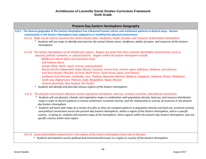|  | <b>Present-Day Eastern Hemisphere Geography</b>                                                                                                                                                                                                                                                                                                                                                                                                                                                                                                                                                                                                                                                                                                                                                                                                                                                                                                                                                                                  |
|--|----------------------------------------------------------------------------------------------------------------------------------------------------------------------------------------------------------------------------------------------------------------------------------------------------------------------------------------------------------------------------------------------------------------------------------------------------------------------------------------------------------------------------------------------------------------------------------------------------------------------------------------------------------------------------------------------------------------------------------------------------------------------------------------------------------------------------------------------------------------------------------------------------------------------------------------------------------------------------------------------------------------------------------|
|  | 6.G.1 The diverse geography of the Eastern Hemisphere has influenced human culture and settlement patterns in distinct ways. Human<br>communities in the Eastern Hemisphere have adapted to or modified the physical enviornment.<br>6.G.1a Maps can be used to represent the varied climate zones, landforms, bodies of water, and resources of the Eastern Hemisphere.<br>* Students will use maps to identify and examine the varied climate zones, landforms, bodies of water, and resources of the Eastern<br>Hemisphere.                                                                                                                                                                                                                                                                                                                                                                                                                                                                                                   |
|  | 6.G.1b The Eastern Hemisphere can be divided into regions. Regions are areas that share common identifiable characteristics, such as<br>physical, political, economic, or cultural features. Regions within the Eastern Hemisphere include:<br>- Middle East (North Africa and Southwest Asia)<br>- Sub-Saharan Africa<br>- Europe (West, North, South, Central, and Southeast)<br>- Russia and the Independent States (Russia, Caucasia, Central Asia, and the region of Belarus, Moldova, and Ukraine)<br>- East Asia (People's Republic of China, North Korea, South Korea, Japan, and Taiwan)<br>- Southeast Asia (Vietnam, Cambodia, Laos, Thailand, Myanmar [Burma], Malaysia, Singapore, Indonesia, Brunei, Phillipines)<br>- South Asia (Afghanistan, Pakistan, India, Bangladesh, Nepal, Bhutan)<br>- Oceania (Australia, New Zealand, the Pacific)<br>* Students will identify and describe various regions of the Eastern Hemisphere.                                                                                 |
|  | 6.G.1c The physical environment influences human population distribution, land use, economic activities, and political connections.<br>* Students will use physical, climate, and vegetation maps in combination with population density, land use, and resource distribution<br>maps in order to discern patterns in human settlement, economic activity, and the relationship to scarcity of resources in the present-<br>day Eastern Hemisphere.<br>* Students will work with maps at a variety of scales so they can compare patterns in population density and land use, economic activity,<br>and political connections across the present-day Eastern Hemisphere, within a region of the Eastern Hemisphere, and in a specific<br>country. In doing so, students will examine maps of the hemisphere, three regions within the present-day Eastern Hemisphere, and one<br>specific country within each region.<br>6.G.1d Issues and problems experienced in the regions of the Eastern Hemisphere have roots in the past. |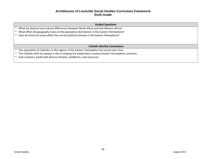#### **Guided Questions**

- \* What are physical and cultural differences between North Africa and Sub-Saharan Africa?
- \* What effect did geography have on the population distribution in the Eastern Hemisphere?
- \* How do historical issues affect the current political climate in the Eastern Hemisphere?

### **Catholic Identity Connections**

- \* The population of Catholics in the regions of the Eastern Hemisphere has varied over time.
- \* The Catholic faith has played a role in shaping the leadership in various Eastern Hemisphere countries.
- \* God created a world with diverse climates, landforms, and resources.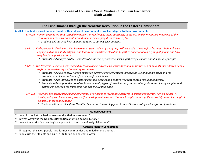| The First Humans through the Neolithic Revolution in the Eastern Hemisphere                                                                                                                                                                                                                                                                                                                                                                                                                                                                                                                                                                                                                                                                                                                                                     |
|---------------------------------------------------------------------------------------------------------------------------------------------------------------------------------------------------------------------------------------------------------------------------------------------------------------------------------------------------------------------------------------------------------------------------------------------------------------------------------------------------------------------------------------------------------------------------------------------------------------------------------------------------------------------------------------------------------------------------------------------------------------------------------------------------------------------------------|
| 6.NR.1 The first civilized humans modified their physical environment as well as adapted to their environment.<br>6.NR.1a Human populations that settled along rivers, in rainforests, along coastlines, in deserts, and in mountains made use of the<br>resources and the environment around them in developing distinct ways of life.<br>* Students will describe how humans adapted to various environments.                                                                                                                                                                                                                                                                                                                                                                                                                 |
| 6.NR.1b Early peoples in the Eastern Hemisphere are often studied by analyzing artifacts and archaeological features. Archaeologists<br>engage in digs and study artifacts and features in a particular location to gather evidence about a group of people and how<br>they lived at a particular time.<br>* Students will analyze artifacts and describe the role of archaeologists in gathering evidence about a group of people.                                                                                                                                                                                                                                                                                                                                                                                             |
| 6.NR.1c The Neolithic Revolution was marked by technological advances in agriculture and domestication of animals that allowed people<br>to form semi-sedentary and sedentary settlements.<br>Students will explore early human migration patterns and settlements through the use of multiple maps and the<br>examination of various forms of archaeological evidence.<br>Students will be introduced to pastoral nomadic peoples as a culture type that existed throughout history.<br>* Students will compare the use of tools and animals, types of dwellings, art, and social organizations of early peoples, and<br>distinguish between the Paleolithic Age and the Neolithic Age.<br>6.NR.1d Historians use archaeological and other types of evidence to investigate patterns in history and identify turning points. A |
| turning poing can be an event, era, and/or development in history that has brought about significant social, cultural, ecological,<br>political, or economic change.<br>* Students will determine if the Neolithic Revolution is a turning point in world history, using various forms of evidence.                                                                                                                                                                                                                                                                                                                                                                                                                                                                                                                             |
| <b>Guided Questions</b>                                                                                                                                                                                                                                                                                                                                                                                                                                                                                                                                                                                                                                                                                                                                                                                                         |
| How did the first civilized humans modify their environment?<br>$\ast$<br>In what ways was the Neolithic Revolution a turning point in history?<br>$\ast$<br>How is the work of archaeologists important to the study of early civilizations?                                                                                                                                                                                                                                                                                                                                                                                                                                                                                                                                                                                   |
| <b>Catholic Identity Connections</b>                                                                                                                                                                                                                                                                                                                                                                                                                                                                                                                                                                                                                                                                                                                                                                                            |
| Throughout the ages, people have formed communities and relied on one another.<br>$\ast$<br>People use their talents and skills in utilitarian and aesthetic ways.                                                                                                                                                                                                                                                                                                                                                                                                                                                                                                                                                                                                                                                              |

 $\blacksquare$ 

۰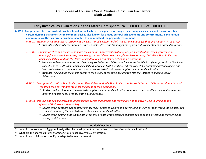|        | Early River Valley Civilizations in the Eastern Hemisphere (ca. 3500 B.C.E. - ca. 500 B.C.E.)                                                                                                                                                                                                                                                                                                                                                                                                                                                                                                                                                                                                                                                                                                                                                                                      |
|--------|------------------------------------------------------------------------------------------------------------------------------------------------------------------------------------------------------------------------------------------------------------------------------------------------------------------------------------------------------------------------------------------------------------------------------------------------------------------------------------------------------------------------------------------------------------------------------------------------------------------------------------------------------------------------------------------------------------------------------------------------------------------------------------------------------------------------------------------------------------------------------------|
| 6.RV.1 | Complex societies and civilizations developed in the Eastern Hemisphere. Although these complex societies and civilizations have<br>certain defining characteristics in common, each is also known for unique cultural achievements and contributions. Early human<br>communities in the Eastern Hemisphere adapted to and modified the physical environment.<br>6.RV.1a Humans living together in settlements develop shared customs, beliefs, ideas, and languages that give identity to the group.<br>* Students will identify the shared customs, beliefs, ideas, and languages that give a cultural identity to a particular group.                                                                                                                                                                                                                                           |
|        | 6.RV.1b Complex societies and civilizations share the common characteristics of religion, job specialization, cities, government,<br>language/record keeping system, technology, and social hierarchy. People in Mesopotamia, the Yellow River Valley, the<br>Indus River Valley, and the Nile River Valley developed complex societies and civilizations.<br>* Students will explore at least two river valley societies and civilizations (one in the Middle East [Mesopotamia or Nile River<br>Valley], one in South Asia [Indus River Valley], or one in East Asia [Yellow River Valley]) by examining archaeological and<br>historical evidence to compare and contrast characteristics of these complex societies and civilizations.<br>Students will examine the major events in the history of the Israelites and the role they played in shaping future<br>civilizations. |
|        | 6.RV.1c Mesopotamia, Yellow River Valley, Indus River Valley, and Nile River Valley complex societies and civilizations adapted to and<br>modified their environment to meet the needs of their population.<br>* Students will explore how the selected complex societies and civilizations adapted to and modified their environment to<br>meet their basic needs of food, clothing, and shelter.                                                                                                                                                                                                                                                                                                                                                                                                                                                                                 |
|        | 6.RV.1d Political and social hierarchies influenced the access that groups and individuals had to power, wealth, and jobs and<br>influenced their roles within society.<br>* Students will compare and contrast gender roles, access to wealth and power, and division of labor within the political and<br>social structures of the selected river valley societies and civilizations.<br>* Students will examine the unique achievements of each of the selected complex societies and civilizations that served as<br>lasting contributions.                                                                                                                                                                                                                                                                                                                                    |
|        | <b>Guided Questions</b>                                                                                                                                                                                                                                                                                                                                                                                                                                                                                                                                                                                                                                                                                                                                                                                                                                                            |
| $\ast$ | How did the isolation of Egypt uniquely affect its development in comparison to other river valley civilizations?<br>What are the shared cultural characteristics of each river valley civilization?<br>How did each civilization modify or adapt to its environments?                                                                                                                                                                                                                                                                                                                                                                                                                                                                                                                                                                                                             |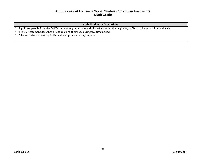### **Catholic Identity Connections**

- \* Significant people from the Old Testament (e.g., Abraham and Moses) impacted the beginning of Christianity in this time and place.
- \* The Old Testament describes the people and their lives during this time period.
- \* Gifts and talents shared by individuals can provide lasting impacts.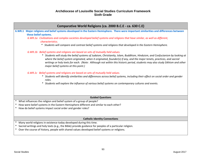| Comparative World Religions (ca. 2000 B.C.E - ca. 630 C.E)                                                                                                                                                                                                                                                                                                                                                                                                                                                        |
|-------------------------------------------------------------------------------------------------------------------------------------------------------------------------------------------------------------------------------------------------------------------------------------------------------------------------------------------------------------------------------------------------------------------------------------------------------------------------------------------------------------------|
| 6.WR.1 Major religions and belief systems developed in the Eastern Hemisphere. There were important similarities and differences between<br>these belief systems.                                                                                                                                                                                                                                                                                                                                                 |
| 6.WR.1a Civilizations and complex societies developed belief systems and religions that have similar, as well as different,<br>characteristics.                                                                                                                                                                                                                                                                                                                                                                   |
| * Students will compare and contrast belief systems and religions that developed in the Eastern Hemisphere.                                                                                                                                                                                                                                                                                                                                                                                                       |
| 6. WR.1b Belief systems and religions are based on sets of mutually held values.<br>* Students will study the belief systems of Judaism, Christianity, Islam, Buddhism, Hinduism, and Confucianism by looking at<br>where the belief system originated, when it originated, founder(s) if any, and the major tenets, practices, and sacred<br>writings or holy texts for each. (Note: Although not within this historic period, students may also study Sikhism and other<br>major belief systems at this point.) |
| 6. WR.1c Belief systems and religions are based on sets of mutually held values.<br>* Students will identify similarities and differences across belief systems, including their effect on social order and gender<br>roles.<br>Students will explore the influence of various belief systems on contemporary cultures and events.<br>$\ast$                                                                                                                                                                      |
|                                                                                                                                                                                                                                                                                                                                                                                                                                                                                                                   |
| <b>Guided Questions</b>                                                                                                                                                                                                                                                                                                                                                                                                                                                                                           |
| * What influences the religion and belief system of a group of people?                                                                                                                                                                                                                                                                                                                                                                                                                                            |
| How were belief systems in the Eastern Hemisphere different and similar to each other?<br>$\ast$                                                                                                                                                                                                                                                                                                                                                                                                                  |
| How do belief systems impact social order and gender roles?                                                                                                                                                                                                                                                                                                                                                                                                                                                       |
| <b>Catholic Identity Connections</b>                                                                                                                                                                                                                                                                                                                                                                                                                                                                              |
| Many world religions in existence today developed during this time.                                                                                                                                                                                                                                                                                                                                                                                                                                               |
| Sacred writings and holy texts (e.g., the Bible) provide guidance for peoples of a particular religion.                                                                                                                                                                                                                                                                                                                                                                                                           |
| Over the course of history, people with shared values developed belief systems or religions.<br>$\ast$                                                                                                                                                                                                                                                                                                                                                                                                            |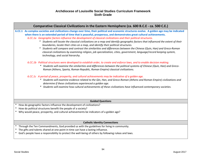| Comparative Classical Civilizations in the Eastern Hemisphere (ca. 600 B.C.E - ca. 500 C.E.)                                                                                                                                                                                                                                                                                                                                                                                                                                                                                                                                                                                                                                                                                                                                                                                                                 |
|--------------------------------------------------------------------------------------------------------------------------------------------------------------------------------------------------------------------------------------------------------------------------------------------------------------------------------------------------------------------------------------------------------------------------------------------------------------------------------------------------------------------------------------------------------------------------------------------------------------------------------------------------------------------------------------------------------------------------------------------------------------------------------------------------------------------------------------------------------------------------------------------------------------|
| 6.CC.1 As complex societies and civilizations change over time, their political and economic structures evolve. A golden age may be indicated<br>when there is an extended period of time that is peaceful, prosperous, and demonstrates great cultural achievements.<br>6.CC.1a Geographic factors influence the development of classical civilizations and their political structures.<br>* Students will locate the classical civilizations on a map and identify geographic factors that influenced the extent of their<br>boundaries, locate their cities on a map, and identify their political structures.<br>Students will compare and contrast the similarities and differences between the Chinese (Quin, Han) and Greco-Roman<br>∗<br>classical civilizations by examining religion, job specialization, cities, government, language/record keeping system,<br>technology, and social hierarchy. |
| 6.CC.1b Political structures were developed to establish order, to create and enforce laws, and to enable decision making.<br>* Students will examine the similarities and differences between the political systems of Chinese (Quin, Han) and Greco-<br>Roman (Athens, Sparta, Roman Republic, Roman Empire) classical civilizations.                                                                                                                                                                                                                                                                                                                                                                                                                                                                                                                                                                      |
| 6.CC.1c A period of peace, prosperity, and cultural achievements may be indicative of a golden age.<br>* Students will examine evidence related to the Qin, Han, and Greco-Roman (Athens and Roman Empire) civilizations and<br>determine if these civilizations experienced a golden age.<br>* Students will examine how cultural achievements of these civilizations have influenced contemporary societies.                                                                                                                                                                                                                                                                                                                                                                                                                                                                                               |
| <b>Guided Questions</b>                                                                                                                                                                                                                                                                                                                                                                                                                                                                                                                                                                                                                                                                                                                                                                                                                                                                                      |
| How do geographic factors influence the development of civilizations?<br>How do political structures benefit the people of a society?<br>Why would peace, prosperity, and cultural achievements be indicators of a golden age?                                                                                                                                                                                                                                                                                                                                                                                                                                                                                                                                                                                                                                                                               |
| <b>Catholic Identity Connections</b>                                                                                                                                                                                                                                                                                                                                                                                                                                                                                                                                                                                                                                                                                                                                                                                                                                                                         |
| * Through the Ten Commandments, God provided us with the guidelines for living in community.<br>* The gifts and talents shared at one point in time can have a lasting influence.<br>God's people have a responsibility to protect the well-being of others by following ruleas and laws.                                                                                                                                                                                                                                                                                                                                                                                                                                                                                                                                                                                                                    |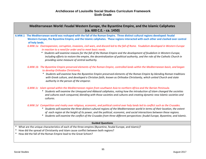| Mediterranean World: Feudal Western Europe, the Byzantine Empire, and the Islamic Caliphates<br>(ca. 600 C.E. - ca. 1450)                                                                                                                                                                                                                                                                                                                                                                                                                  |  |
|--------------------------------------------------------------------------------------------------------------------------------------------------------------------------------------------------------------------------------------------------------------------------------------------------------------------------------------------------------------------------------------------------------------------------------------------------------------------------------------------------------------------------------------------|--|
| 6.MW.1 The Mediterranean world was reshaped with the fall of the Roman Empire. Three distinct cultural regions developed: feudal<br>Western Europe, the Byzantine Empire, and the Islamic caliphates. These regions interacted with each other and clashed over control<br>of holy lands.                                                                                                                                                                                                                                                  |  |
| 6.MW.1a Overexpansion, corruption, invasions, civil wars, and discord led to the fall of Rome. Feudalism developed in Western Europe<br>in reaction to a need for order and to meet basic needs.                                                                                                                                                                                                                                                                                                                                           |  |
| * Students will examine reasons for the fall of the Roman Empire and the development of feudalism in Western Europe,<br>including efforts to restore the empire, the decentralization of political authority, and the role of the Catholic Church in<br>providing some measure of central authority.                                                                                                                                                                                                                                       |  |
| 6.MW.1b The Byzantine Empire preserved elements of the Roman Empire, controlled lands within the Mediterranean basin, and began<br>to develop Orthodox Christianity.                                                                                                                                                                                                                                                                                                                                                                       |  |
| * Students will examine how the Byzantine Empire preserved elements of the Roman Empire by blending Roman traditions<br>with Greek culture, and developed a Christian faith, known as Orthodox Christianity, which united Church and state<br>authority in the person of the emperor.                                                                                                                                                                                                                                                      |  |
| 6.MW.1c Islam spread within the Mediterranean region from southwest Asia to northern Africa and the Iberian Peninsula.<br>* Students will examine the Umayyad and Abbasid caliphates, noting how the introduction of Islam changed the societies<br>and cultures each conquered, blending with those societies and cultures and creating dynamic new Islamic societies and<br>cultures.                                                                                                                                                    |  |
| 6.MW.1d Competition and rivalry over religious, economic, and political control over holy lands led to conflict such as the Crusades.<br>* Students will examine the three distinct cultural regions of the Mediterranean world in terms of their location, the extent<br>of each region at the height of its power, and the political, economic, and social interactions between these regions.<br>Students will examine the conflict of the Crusades from three different perspectives: feudal Europe, Byzantine, and Islamic.<br>$\ast$ |  |
| <b>Guided Questions</b>                                                                                                                                                                                                                                                                                                                                                                                                                                                                                                                    |  |
| * What are the unique characteristics of each of the three empires (Byzantine, feudal Europe, and Islamic)?<br>How did the spread of Christianity and Islam cause conflict between both regions?<br>How did the fall of the Roman Empire lead to the Great Schism?                                                                                                                                                                                                                                                                         |  |
|                                                                                                                                                                                                                                                                                                                                                                                                                                                                                                                                            |  |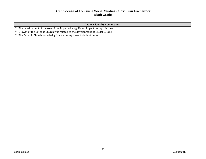#### **Catholic Identity Connections**

- \* The development of the role of the Pope had a significant impact during this time.
- \* Growth of the Catholic Church was related to the development of feudal Europe.
- \* The Catholic Church provided guidance during these turbulent times.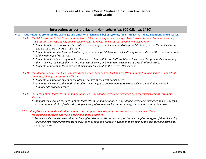| Interactions across the Eastern Hemisphere (ca. 600 C.E. - ca. 1450)                                                                                                                                                                                                                                                                                                                                                                                                                                                                                                                                                                                                                                                                                                                                                                                                                                                                                                                                                                                                 |
|----------------------------------------------------------------------------------------------------------------------------------------------------------------------------------------------------------------------------------------------------------------------------------------------------------------------------------------------------------------------------------------------------------------------------------------------------------------------------------------------------------------------------------------------------------------------------------------------------------------------------------------------------------------------------------------------------------------------------------------------------------------------------------------------------------------------------------------------------------------------------------------------------------------------------------------------------------------------------------------------------------------------------------------------------------------------|
| 6.1.1 Trade networks promoted the exchange and diffusion of language, belief systems, tools, intellectual ideas, inventions, and diseases.<br>6.1.1a The Silk Roads, the Indian Ocean, and the Trans-Saharan routes formed the major Afro-Eurasian trade networks connecting<br>the East and the West. Ideas, people, technologies, products, and diseases moved along these routes.<br>* Students will create maps that illustrate items exchanged and ideas spread along the Silk Roads, across the Indian Ocean,<br>and on the Trans-Saharan trade routes.<br>* Students will examine how the location of resources helped determine the location of trade routes and the economic impact<br>of the exchange of resources.<br>* Students will study interregional travelers such as Marco Polo, Ibn Battuta, Mansa Musa, and Zheng He and examine why<br>they traveled, the places they visited, what was learned, and what was exchanged as a result of their travel.<br>* Students will examine the influence of Alexander the Great on the Eastern Hemisphere. |
| 6.1.1b The Mongol conquests in Eurasia fostered connections between the East and the West, and the Mongols served as important<br>agents of change and cultural diffusion.<br>Students will map the extent of the Mongol Empire at the height of its power.<br>* Students will examine the methods used by the Mongols to enable them to rule over a diverse population, noting how<br>Mongol rule expanded trade.                                                                                                                                                                                                                                                                                                                                                                                                                                                                                                                                                                                                                                                   |
| 6.I.1c The spread of the Black Death (Bubonic Plague) was a result of interregional exchange between various regions within Afro-<br>Eurasia.<br>* Students will examine the spread of the Black Death (Bubonic Plague) as a result of interregional exchange and its effects on<br>various regions within Afro-Eurasia, using a variety of sources, such as maps, poetry, and primary source documents.                                                                                                                                                                                                                                                                                                                                                                                                                                                                                                                                                                                                                                                             |
| 6.1.1d Complex societies and civilizations adapted and designed technologies for transportation that allowed them to cross<br>challenging landscapes and move people and goods efficiently.<br>* Students will examine how various technologies affected trade and exchanges. Some examples are types of ships, including<br>junks and caravels; improvements to ships, such as sails and rudders; navigation tools, such as the compass and astrolabe;<br>and gunpowder.                                                                                                                                                                                                                                                                                                                                                                                                                                                                                                                                                                                            |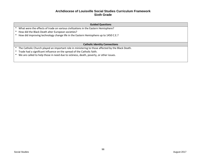|   | <b>Guided Questions</b>                                                                             |
|---|-----------------------------------------------------------------------------------------------------|
|   | * What were the effects of trade on various civilizations in the Eastern Hemisphere?                |
|   | How did the Black Death alter European societies?                                                   |
|   | How did improving technology change life in the Eastern Hemisphere up to 1450 C.E.?                 |
|   |                                                                                                     |
|   | <b>Catholic Identity Connections</b>                                                                |
|   | * The Catholic Church played an important role in ministering to those affected by the Black Death. |
|   | * Trade had a significant influence on the spread of the Catholic faith.                            |
| ∗ | We are called to help those in need due to sickness, death, poverty, or other issues.               |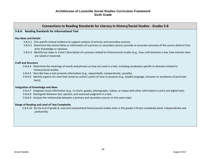### **Connections to Reading Standards for Literacy in History/Social Studies - Grades 5-8**

### **5-8.A. Reading Standards for Informational Text**

#### **Key Ideas and Details**

- 5-8.A.1 Cite specific textual evidence to support analysis of primary and secondary sources.
- 5-8.A.2 Determine the central ideas or information of a primary or secondary source; provide an accurate summary of the source distinct from prior knowledge or opinions.
- 5-8.A.3 Identify key steps in a text's description of a process related to history/social studies (e.g., how a bill becomes a law, how interest rates are raised or lowered).

### **Craft and Structure**

- 5-8.A.4 Determine the meanings of words and phrases as they are used in a text, including vocabulary specific to domains related to history/social studies.
- 5-8.A.5 Describe how a text presents information (e.g., sequentially, comparatively, causally).
- 5-8.A.6 Identify aspects of a text that reveal an author's point of view or purpose (e.g., loaded language, inclusion or avoidance of particular facts).

### **Integration of Knowledge and Ideas**

- 5-8.A.7 Integrate visual information (e.g., in charts, graphs, photographs, videos, or maps) with other information in print and digital texts.
- 5-8.A.8 Distinguish between fact, opinion, and reasoned judgment in a text.
- 5-8.A.9 Analyze the relationship between a primary and secondary source on the same topic.

### **Range of Reading and Level of Text Complexity**

 5-8.A.10 By the end of grade 8, read and comprehend history/social studies texts in the grades 5-8 text complexity band independently and proficiently.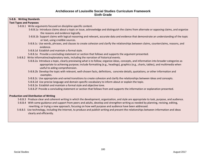### **5-8.B. Writing Standards**

### **Text Types and Purposes**

- 5-8.B.1 Write arguments focused on discipline-specific content.
	- 5-8.B.1a Introduce claims about a topic or issue, acknowledge and distinguish the claims from alternate or opposing claims, and organize the reasons and evidence logically.
	- 5-8.B.1b Support claims with logical reasoning and relevant, accurate data and evidence that demonstrate an understanding of the topic or text, using credible sources.
	- 5-8.B.1c Use words, phrases, and clauses to create cohesion and clarify the relationships between claims, counterclaims, reasons, and evidence.
	- 5-8.B.1d Establish and maintain a formal style.
	- 5-8.B.1e Provide a concluding statement or section that follows and supports the argument presented.
- 5-8.B.2 Write informative/explanatory texts, including the narration of historical events.
	- 5-8.B.2a Introduce a topic, clearly previewing what is to follow; organize ideas, concepts, and information into broader categories as appropriate to achieving purpose; include formatting (e.g., headings), graphics (e.g., charts, tables), and multimedia when useful to aiding comprehension.
	- 5-8.B.2b Develop the topic with relevant, well-chosen facts, definitions, concrete details, quotations, or other information and examples.
	- 5-8.B.2c Use appropriate and varied transitions to create cohesion and clarify the relationships between ideas and concepts.
	- 5-8.B.2d Use precise language and domain-specific vocabulary to inform about or explain the topic.
	- 5-8.B.2e Establish and maintain a formal style and objective tone.
	- 5-8.B.2f Provide a concluding statement or section that follows from and supports the information or explanation presented.

### **Production and Distribution of Writing**

- 5-8.B.3 Produce clear and coherent writing in which the development, organization, and style are appropriate to task, purpose, and audience.
- 5-8.B.4 With some guidance and support from peers and adults, develop and strengthen writing as needed by planning, revising, editing, rewriting, or trying a new approach, focusing on how well purpose and audience have been addressed.
- 5-8.B.5 Use technology, including the Internet, to produce and publish writing and present the relationships between information and ideas clearly and efficiently.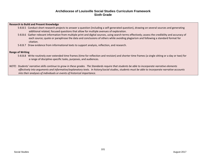#### **Research to Build and Present Knowledge**

- 5-8.B.5 Conduct short research projects to answer a question (including a self-generated question), drawing on several sources and generating additional related, focused questions that allow for multiple avenues of exploration.
- 5-8.B.6 Gather relevant information from multiple print and digital sources, using search terms effectively; assess the credibility and accuracy of each source; quote or paraphrase the data and conclusions of others while avoiding plagiarism and following a standard format for citation.
- 5-8.B.7 Draw evidence from informational texts to support analysis, reflection, and research.

### **Range of Writing**

- 5-8.B.8 Write routinely over extended time frames (time for reflection and revision) and shorter time frames (a single sitting or a day or two) for a range of discipline-specific tasks, purposes, and audiences.
- *NOTE: Students' narrative skills continue to grow in these grades. The Standards require that students be able to incorporate narrative elements effectively into arguments and informative/explanatory texts. In history/social studies, students must be able to incorporate narrative accounts into their analyses of individuals or events of historical importance.*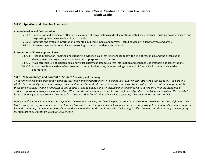### **5-8.C. Speaking and Listening Standards**

#### **Comprehension and Collaboration**

- 5-8.C.1 Prepare for and participate effectively in a range of conversations and collaborations with diverse partners, building on others' ideas and expressing their own clearly and persuasively.
- 5-8.C.2 Integrate and evaluate information presented in diverse media and formats, including visually, quantitatively, and orally.
- 5-8.C.3 Evaluate a speaker's point of view, reasoning, and use of evidence and rhetoric.

### **Presentation of Knowledge and Ideas**

- 5-8.C.4 Present information, findings, and supporting evidence such that listeners can follow the line of reasoning, and the organization, development, and style are appropriate to task, purpose, and audience.
- 5-8.C.5 Make strategic use of digital media and visual displays of data to express information and enhance understanding of presentations.
- 5-8.C.6 Adapt speech to a variety of contexts and communicative tasks, demonstrating command of formal English when indicated or appropriate.

### **5-8.C. Note on Range and Content of Student Speaking and Listening**

*To become college and career ready, students must have ample opportunities to take part in a variety of rich, structured conversations - as part of a whole class, in small groups, and with a partner - built around important content in various domains. They must be able to contribute appropriately to these conversations, to make comparisons and contrasts, and to analyze and synthesize a multitude of ideas in accordance with the standards of evidence appropriate to a particular discipline. Whatever the intended major or profession, high school graduates will depend heavily on their ability to listen attentively to others so that they are able to build on others' meritorious ideas while expressing their own clearly and persuasively.*

*New technologies have broadened and expanded the role that speaking and listening play in acquiring and sharing knowledge and have tightened their link to other forms of communication. The Internet has accelerated the speed at which connections between speaking, listening, reading, and writing can be made, requiring that students be ready to use these modalities nearly simultaneously. Technology itself is changing quickly, creating a new urgency for students to be adaptable in response to change.*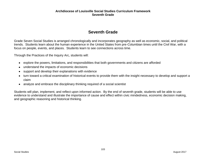# **Seventh Grade**

Grade Seven Social Studies is arranged chronologically and incorporates geography as well as economic, social, and political trends. Students learn about the human experience in the United States from pre-Columbian times until the Civil War, with a focus on people, events, and places. Students learn to see connections across time.

Through the Practices of the Inquiry Arc, students will:

- explore the powers, limitations, and responsibilities that both governments and citizens are afforded
- understand the impacts of economic decisions
- support and develop their explanations with evidence
- turn toward a critical examination of historical events to provide them with the insight necessary to develop and support a claim
- analyze and embrace the disciplinary thinking required of a social scientist

Students will plan, implement, and reflect upon informed action. By the end of seventh grade, students will be able to use evidence to understand and illustrate the importance of cause and effect within civic mindedness, economic decision making, and geographic reasoning and historical thinking.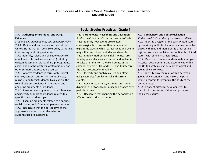| <b>Social Studies Practices - Grade 7</b>                                                                                                                                                                                                                                                                                                                                                                                                                                                                                                                                                                                    |                                                                                                                                                                                                                                                                                                                                                                                                                                                                       |                                                                                                                                                                                                                                                                                                                                                                                                                    |
|------------------------------------------------------------------------------------------------------------------------------------------------------------------------------------------------------------------------------------------------------------------------------------------------------------------------------------------------------------------------------------------------------------------------------------------------------------------------------------------------------------------------------------------------------------------------------------------------------------------------------|-----------------------------------------------------------------------------------------------------------------------------------------------------------------------------------------------------------------------------------------------------------------------------------------------------------------------------------------------------------------------------------------------------------------------------------------------------------------------|--------------------------------------------------------------------------------------------------------------------------------------------------------------------------------------------------------------------------------------------------------------------------------------------------------------------------------------------------------------------------------------------------------------------|
| 7.A. Gathering, Interpreting, and Using<br>Evidence<br>Students will independently and collaboratively:<br>7.A.1 Define and frame questions about the<br>United States that can be answered by gathering,<br>interpreting, and using evidence.<br>7.A.2 Identify, select, and evaluate evidence<br>about events from diverse sources (including                                                                                                                                                                                                                                                                              | 7.B. Chronological Reasoning and Causation<br>Students will independently and collaboratively:<br>7.B.1 Identify how events are related<br>chronologically to one another in time, and<br>explain the ways in which earlier ideas and events<br>may influence subsequent ideas and events.<br>7.B.2 Employ mathematical skills to measure<br>time by years, decades, centuries, and millennia;                                                                        | 7.C. Comparison and Contextualization<br>Students will independently and collaboratively:<br>7.C.1 Identify a region of the early United States<br>by describing multiple characteristics common to<br>places within it, and then identify other similar<br>regions (inside and outside the continental United<br>States) with similar characteristics.<br>7.C.2 Describe, compare, and evaluate multiple          |
| written documents, works of art, photographs,<br>charts and graphs, artifacts, oral traditions, and<br>other primary and secondary sources).<br>7.A.3 Analyze evidence in terms of historical<br>context, content, authorship, point of view,<br>purpose, and format; identify bias; explain the<br>role of bias and audience in presenting and<br>analyzing arguments or evidence.<br>7.A.4 Recognize an argument, make inferences,<br>and identify supporting evidence related to a<br>specific social studies topic.<br>7.A.5 Examine arguments related to a specific<br>social studies topic from multiple perspectives. | to calculate time from the fixed points of the<br>calendar system (B.C.E and C.E.); and to interpret<br>the data presented in timelines.<br>7.B.3 Identify and analyze causes and effects,<br>using examples from historical and current<br>events.<br>7.B.4 Recognize, analyze, evaluate, and model<br>dynamics of historical continuity and change over<br>periods of time.<br>7.B.5 Recognize that changing the periodization<br>affects the historical narrative. | historical developments and experiences within<br>the United States in various chronological and<br>geographical contexts.<br>7.C.3 Identify how the relationship between<br>geography, economics, and history helps to<br>define a context for events in the study of the<br>United States.<br>7.C.4 Connect historical developments to<br>specific circumstances of time and place and to<br>the bigger picture. |
| 7.A.6 Recognize that the perspective of the<br>argument's author shapes the selection of<br>evidence used to support it.                                                                                                                                                                                                                                                                                                                                                                                                                                                                                                     |                                                                                                                                                                                                                                                                                                                                                                                                                                                                       |                                                                                                                                                                                                                                                                                                                                                                                                                    |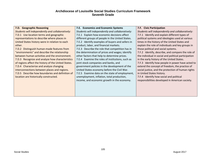| 7.D. Geographic Reasoning                           | 7.E. Economics and Economic Systems              | 7.F. Civic Participation                             |
|-----------------------------------------------------|--------------------------------------------------|------------------------------------------------------|
| Students will independently and collaboratively:    | Students will independently and collaboratively: | Students will independently and collaboratively:     |
| 7.D.1 Use location terms and geographic             | 7.E.1 Explain how economic decisions affect      | 7.F.1 Identify and explain different types of        |
| representations to describe where places in         | different groups of people in the United States. | political systems and ideologies used at various     |
| United States history were in relation to each      | 7.E.2 Identify examples of buyers and sellers in | times in the history of the United States and        |
| other.                                              | product, labor, and financial markets.           | explain the role of individuals and key groups in    |
| 7.D.2 Distinguish human-made features from          | 7.E.3 Describe the role that competition has in  | those political and social systems.                  |
| "environments" and describe the relationship        | the determination of prices and wages; identify  | 7.F.2 Identify, describe, and compare the role of    |
| between human activities and the environment.       | other factors that help to determine prices.     | the individual in social and political participation |
| 7.D.3 Recognize and analyze how characteristics     | 7.E.4 Examine the roles of institutions, such as | in the early history of the United States.           |
| of regions affect the history of the United States. | joint stock companies and banks, and             | 7.F.3 Identify how people in power have acted to     |
| 7.D.4 Characterize and analyze changing             | government policies in the development of the    | extend the concept of freedom, the practice of       |
| interconnections between places and regions.        | United States economy before the Civil War.      | social justice, and the protection of human rights   |
| 7.D.5 Describe how boundaries and definition of     | 7.E.5 Examine data on the state of employment,   | in United States history.                            |
| location are historically constructed.              | unemployment, inflation, total production,       | 7.F.4 Identify how social and political              |
|                                                     | income, and economic growth in the economy.      | responsibilities developed in American society.      |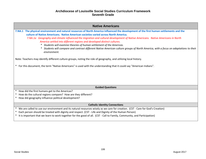| <b>Native Americans</b>                                                                                                                                                                                   |  |
|-----------------------------------------------------------------------------------------------------------------------------------------------------------------------------------------------------------|--|
| 7.NA.1 The physical environment and natural resources of North America influenced the development of the first human settlements and the                                                                  |  |
| culture of Native Americans. Native American societies varied across North America.                                                                                                                       |  |
| 7.NA.1a Geography and climate influenced the migration and cultural development of Native Americans. Native Americans in North<br>America settled into different regions and developed distinct cultures. |  |
| * Students will examine theories of human settlement of the Americas.                                                                                                                                     |  |
| * Students will compare and contrast different Native American culture groups of North America, with a focus on adaptations to their<br>environment.                                                      |  |
| Note: Teachers may identify different culture groups, noting the role of geography, and utilizing local history.                                                                                          |  |
| * For this document, the term "Native Americans" is used with the understanding that it could say "American Indians".                                                                                     |  |
| <b>Guided Questions</b>                                                                                                                                                                                   |  |
| How did the first humans get to the Americas?                                                                                                                                                             |  |
| How do the cultural regions compare? How are they different?<br>$\ast$                                                                                                                                    |  |
| How did geography influence political development?                                                                                                                                                        |  |
| <b>Catholic Identity Connections</b>                                                                                                                                                                      |  |
| We are called to use our environment and its natural resources wisely as we care for creation. (CST - Care for God's Creation)<br>$\ast$                                                                  |  |
| Each person should be treated with dignity and respect. (CST - Life and Dignity of the Human Person)                                                                                                      |  |
| It is important that we learn to work together for the good of all. (CST - Call to Family, Community, and Participation)                                                                                  |  |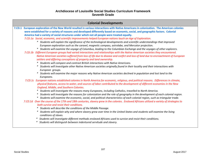| <b>Colonial Developments</b>                                                                                                                                                                                                                                                                                                               |  |
|--------------------------------------------------------------------------------------------------------------------------------------------------------------------------------------------------------------------------------------------------------------------------------------------------------------------------------------------|--|
| 7.CD.1 European exploration of the New World resulted in various interactions with Native Americans in colonization. The American colonies<br>were established for a variety of reasons and developed differently based on economic, social, and geographic factors. Colonial                                                              |  |
| America had a variety of social structures under which not all people were treated equally.                                                                                                                                                                                                                                                |  |
| 7.CD.1a Social, economic, and scientific improvements helped European nations lauch an Age of Exploration.                                                                                                                                                                                                                                 |  |
| * Students will explain the significance of the technological developments and scientific understandings that improved<br>European exploration such as the caravel, magnetic compass, astrolabe, and Mercator projection.                                                                                                                  |  |
| * Students will examine the voyage of Columbus, leading to the Columbian Exchange and the voyages of other explorers.                                                                                                                                                                                                                      |  |
| 7.CD.1b Different European groups had varied interactions and relationships with the Native American societies they encountered.<br>Native American societies suffered from loss of life due to disease and conflct and loss of land due to encroachment of European<br>settlers and differing conceptions of property and land ownership. |  |
| * Students will compare and contrast British interactions with Native Americans.                                                                                                                                                                                                                                                           |  |
| Students will investigate other Native American societies originally found in their locality and their interactions with<br>European groups.                                                                                                                                                                                               |  |
| Students will examine the major reasons why Native American societies declined in population and lost land to the<br>Europeans.                                                                                                                                                                                                            |  |
| 7.CD.1c European nations established colonies in North America for economic, religious, and political reasons. Differences in climate,                                                                                                                                                                                                     |  |
| physical features, access to water, and sources of labor contributed to the development of different economies in the New<br>England, Middle, and Southern Colonies.                                                                                                                                                                       |  |
| * Students will investigate the reasons many Europeans, including Catholics, travelled to North America.                                                                                                                                                                                                                                   |  |
| * Students will investigate the reasons for colonization and the role of geography in the development of each colonial region.<br>* Students will examine the economic, social, and political characteristics of each colonial region, such as triangular trade.                                                                           |  |
| 7.CD.1d Over the course of the 17th and 18th centuries, slavery grew in the colonies. Enslaved Africans utilized a variety of strategies to<br>both survive and resist their conditions.                                                                                                                                                   |  |
| * Students will describe the conditions of the Middle Passage.                                                                                                                                                                                                                                                                             |  |
| Students will explain why and where slavery grew over time in the United States and students will examine the living<br>conditions of slaves.                                                                                                                                                                                              |  |
| Students will investigate different methods enslaved Africans used to survive and resist their conditions.<br>$\ast$                                                                                                                                                                                                                       |  |
| * Students will distinguish between indentured servitude and slavery.                                                                                                                                                                                                                                                                      |  |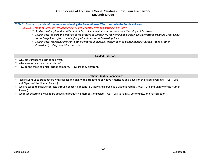| 7.CD. 2 Groups of people left the colonies following the Revolutionary War to settle in the South and West.                                                                    |
|--------------------------------------------------------------------------------------------------------------------------------------------------------------------------------|
| 7.CD.1d Groups of Catholics left Maryland in search of better lives and settled in Kentucky.                                                                                   |
| * Students will explore the settlement of Catholics in Kentucky in the areas near the village of Bardstown.                                                                    |
| Students will explore the creation of the Diocese of Bardstown, the first inland diocese, which stretched from the Great Lakes<br>$^{\ast}$                                    |
| to the Deep South, from the Allegheny Mountains to the Mississippi River.                                                                                                      |
| Students will research significant Catholic figures in Kentucky history, such as Bishop Benedict Joseph Flaget, Mother                                                         |
| Catherine Spalding, and John Lancaster.                                                                                                                                        |
|                                                                                                                                                                                |
|                                                                                                                                                                                |
| <b>Guided Questions</b>                                                                                                                                                        |
| * Why did Europeans begin to sail west?                                                                                                                                        |
| Why were Africans chosen as slaves?                                                                                                                                            |
| How do the three colonial regions compare? How are they different?                                                                                                             |
|                                                                                                                                                                                |
|                                                                                                                                                                                |
| <b>Catholic Identity Connections</b>                                                                                                                                           |
| Jesus taught us to treat others with respect and dignity (ex. treatment of Native Americans and slaves on the Middle Passage). (CST - Life<br>and Dignity of the Human Person) |
| We are called to resolve conflicts through peacerful means (ex. Maryland served as a Catholic refuge). (CST - Life and Dignity of the Human<br>Person)                         |
| We must determine ways to be active and productive members of society. (CST - Call to Family, Community, and Participation)                                                    |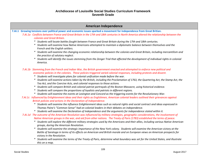| <b>American Independence</b>                                                                                                                                                                                                                                                                                                                                                                                                                       |  |
|----------------------------------------------------------------------------------------------------------------------------------------------------------------------------------------------------------------------------------------------------------------------------------------------------------------------------------------------------------------------------------------------------------------------------------------------------|--|
| 7.AI.1 Growing tensions over political power and economic issues sparked a movement for independence from Great Britian.<br>7.Al.1a Conflicts between France and Great Britain in the 17th and 18th centuries in North America altered the relationship between the<br>colonies and Great Britain.                                                                                                                                                 |  |
| * Students will locate battles fought between France and Great Britain during the 17th and 18th centuries.<br>* Students will examine how Native Americans attempted to maintain a diplomatic balance between themselves and the<br>French and the English settlers.                                                                                                                                                                               |  |
| * Students will examine the changing economic relationship between the colonies and Great Britain, including mercantilism and<br>the practice of salutary neglect.<br>* Students will identify the issues stemming from the Zenger Trial that affected the development of individual rights in colonial                                                                                                                                            |  |
| America.                                                                                                                                                                                                                                                                                                                                                                                                                                           |  |
| 7.AI.1b Stemming from the French and Indian War, the British government enacted and attempted to enforce new political and<br>economic policies in the colonies. These policies triggered varied colonial responses, including protests and dissent.<br>* Students will investigate plans for colonial unification made before the war.                                                                                                            |  |
| * Students will examine actions taken by the British, including the Proclamation of 1763, the Quartering Act, the Stamp Act, the<br>Tea Act, and the Coercive Acts, and colonial responses to those actions.<br>* Students will compare British and colonial patriot portrayals of the Boston Massacre, using historical evidence.                                                                                                                 |  |
| * Students will compare the proportions of loyalists and patriots in different regions.<br>* Students will examine the events at Lexington and Concord as the triggering events for the Revolutionary War.                                                                                                                                                                                                                                         |  |
| 7.AI.1c Influenced by Enlightenment ideas and their rights as Englishmen, American colonial leaders outlined their grievances against<br>British policies and actions in the Declaration of Independence.<br>* Students will examine the influence Enlightenment ideas such as natural rights and social contract and ideas expressed in                                                                                                           |  |
| Thomas Paine's "Common Sense" had on colonial leaders in their debates on independence.<br>* Students will examine the Declaration of Independence and the arguments for independence stated within it.                                                                                                                                                                                                                                            |  |
| 7.AI.1d The outcome of the American Revolution was influenced by military strategies, geographic considerations, the involvement of<br>Native American groups in the war, and aid from other nations. The Treaty of Paris (1783) established the terms of peace.<br>* Students will explore the different military strategies used by the Americans and their allies, including various Native American<br>groups, during the American Revolution. |  |
| * Students will examine the strategic importance of the New York colony. Students will examine the American victory at the<br>Battle of Saratoga in terms of its effects on American and British morale and on European views on American prospects for<br>victory in the Revolution.                                                                                                                                                              |  |
| * Students will examine the terms of the Treaty of Paris, determine what boundary was set for the United States, and illustrate<br>this on a map.                                                                                                                                                                                                                                                                                                  |  |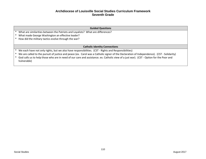|   | <b>Guided Questions</b>                                                                                                                    |
|---|--------------------------------------------------------------------------------------------------------------------------------------------|
|   | What are similarities between the Patriots and Loyalists? What are differences?                                                            |
| ∗ | What made George Washington an effective leader?                                                                                           |
|   | How did the military tactics evolve through the war?                                                                                       |
|   |                                                                                                                                            |
|   | <b>Catholic Identity Connections</b>                                                                                                       |
|   | We each have not only rights, but we also have responsibilities. (CST - Rights and Responsibilities)                                       |
|   | We are called to the pursuit of justice and peace (ex. Carol was a Catholic signer of the Declaration of Independence). (CST - Solidarity) |
|   | God calls us to help those who are in need of our care and assistance. ex. Catholic view of a just war). (CST - Option for the Poor and    |
|   | Vulnerable)                                                                                                                                |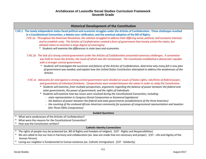| <b>Historical Development of the Constitution</b>                                                                                                                                                                                                                                                                                                                                                    |
|------------------------------------------------------------------------------------------------------------------------------------------------------------------------------------------------------------------------------------------------------------------------------------------------------------------------------------------------------------------------------------------------------|
| 7.HC.1 The newly independent states faced political and economic struggles under the Articles of Confederation. These challenges resulted<br>in a Constitutional Convention, a debate over ratification, and the eventual adoption of the Bill of Rights.<br>7.HC.1a Throughout the American Revolution, the colonies struggled to address their differing social, political, and economic interests |
| and to establish unity. The Articles of Confederation created a form of government that loosely united the states, but<br>allowed states to maintain a large degree of sovereignty.<br>* Students will examine the differences in state laws and economies.                                                                                                                                          |
| 7.HC.1b The lack of a strong central government under the Articles of Confederation presented numerous challenges. A convention<br>was held to revise the Articles, the result of which was the Constitution. The Constitution established a democratic republic<br>with a stronger central government.                                                                                              |
| * Students will investigate the successes and failures of the Articles of Confederation, determine why many felt a new plan<br>of government was needed, and explain how the United States Constitution attempted to address the weaknesses of the<br>Articles.                                                                                                                                      |
| 7.HC.1c Advocates for and against a strong central government were divided on issues of States rights, role/limits of federal power,<br>and guarantees of individual freedoms. Compromises were needed between the states in order to ratify the Constitution.<br>* Students will examine, from multiple perspectives, arguments regarding the balance of power between the federal and              |
| state governments, the power of government, and the rights of individuals.<br>* Students will examine how key issues were resolved during the Constitutional Convention, including:                                                                                                                                                                                                                  |
| - state representation in Congress (Great Compromise or bicameral legislature)<br>- the balance of power between the federal and state governments (establishment of the three branches)                                                                                                                                                                                                             |
| - the counting of the enslaved African American community for purposes of congressional representation and taxation<br>(the Three-Fifths Compromise)                                                                                                                                                                                                                                                 |
| <b>Guided Questions</b>                                                                                                                                                                                                                                                                                                                                                                              |
| What were weaknesses of the Articles of Confederation?<br>What were the reasons for the Constitutional Convention?                                                                                                                                                                                                                                                                                   |
| How was the Constitution written?                                                                                                                                                                                                                                                                                                                                                                    |
| <b>Catholic Identity Connections</b>                                                                                                                                                                                                                                                                                                                                                                 |
| * The rights of people mus be protected (ex. Bill of Rights and freedom of religion). (CST - Rights and Responsibilities)                                                                                                                                                                                                                                                                            |
| * We are called to live our lives in harmony and collaboration (ex. laws are made that are necessary and proper). (CST - Life and Dignity of the<br>Human Person)                                                                                                                                                                                                                                    |
| Loving our neighbor is fundamental to human existence (ex. Catholic immigration). (CST - Solidarity)                                                                                                                                                                                                                                                                                                 |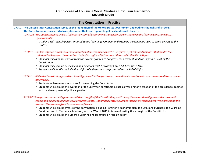| 7.CP.1 The United States Constitution serves as the foundation of the United States government and outlines the rights of citizens.<br>The Constitution is considered a living document that can respond to political and social changes.<br>7.CP.1a The Constitution outlined a federalist system of government that shares powers between the federal, state, and local<br>governments.<br>Students will identify powers granted to the federal government and examine the language used to grant powers to the<br>states.<br>7.CP.1b The Constitution established three branches of government as well as a system of checks and balances that guides the<br>relationship between the branches. Individual rights of citizens are addressed in the Bill of Rights.<br>* Students will compare and contrast the powers granted to Congress, the president, and the Supreme Court by the<br>Constitution.<br>* Students will examine how checks and balances work by tracing how a bill becomes a law.<br>* Students will identify the individual rights of citizens that are protected by the Bill of Rights.<br>7.CP.1c While the Constitution provides a formal process for change through amendments, the Constitution can respond to change in<br>other ways.<br>* Students will examine the process for amending the Constitution.<br>* Students will examine the evolution of the unwritten constitution, such as Washington's creation of the presidential cabinet<br>and the development of political parties.<br>7.CP.1d Foreign and domestic disputes tested the strength of the Constitution, particularly the separation of powers, the system of<br>checks and balances, and the issue of states' rights. The United States sought to implement isolationism while protecting the<br>Western Hemisphere from European interference.<br>* Students will examine events of the early nation including Hamilton's economic plan, the Louisiana Purchase, the Supreme<br>Court decision in Marbury v. Madison, and the War of 1812 in terms of testing the strength of the Constitution.<br>* Students will examine the Monroe Doctrine and its effects on foreign policy. |  | <b>The Constitution in Practice</b> |  |
|---------------------------------------------------------------------------------------------------------------------------------------------------------------------------------------------------------------------------------------------------------------------------------------------------------------------------------------------------------------------------------------------------------------------------------------------------------------------------------------------------------------------------------------------------------------------------------------------------------------------------------------------------------------------------------------------------------------------------------------------------------------------------------------------------------------------------------------------------------------------------------------------------------------------------------------------------------------------------------------------------------------------------------------------------------------------------------------------------------------------------------------------------------------------------------------------------------------------------------------------------------------------------------------------------------------------------------------------------------------------------------------------------------------------------------------------------------------------------------------------------------------------------------------------------------------------------------------------------------------------------------------------------------------------------------------------------------------------------------------------------------------------------------------------------------------------------------------------------------------------------------------------------------------------------------------------------------------------------------------------------------------------------------------------------------------------------------------------------------------------------------------------------------------------------------------|--|-------------------------------------|--|
|                                                                                                                                                                                                                                                                                                                                                                                                                                                                                                                                                                                                                                                                                                                                                                                                                                                                                                                                                                                                                                                                                                                                                                                                                                                                                                                                                                                                                                                                                                                                                                                                                                                                                                                                                                                                                                                                                                                                                                                                                                                                                                                                                                                       |  |                                     |  |
|                                                                                                                                                                                                                                                                                                                                                                                                                                                                                                                                                                                                                                                                                                                                                                                                                                                                                                                                                                                                                                                                                                                                                                                                                                                                                                                                                                                                                                                                                                                                                                                                                                                                                                                                                                                                                                                                                                                                                                                                                                                                                                                                                                                       |  |                                     |  |
|                                                                                                                                                                                                                                                                                                                                                                                                                                                                                                                                                                                                                                                                                                                                                                                                                                                                                                                                                                                                                                                                                                                                                                                                                                                                                                                                                                                                                                                                                                                                                                                                                                                                                                                                                                                                                                                                                                                                                                                                                                                                                                                                                                                       |  |                                     |  |
|                                                                                                                                                                                                                                                                                                                                                                                                                                                                                                                                                                                                                                                                                                                                                                                                                                                                                                                                                                                                                                                                                                                                                                                                                                                                                                                                                                                                                                                                                                                                                                                                                                                                                                                                                                                                                                                                                                                                                                                                                                                                                                                                                                                       |  |                                     |  |
|                                                                                                                                                                                                                                                                                                                                                                                                                                                                                                                                                                                                                                                                                                                                                                                                                                                                                                                                                                                                                                                                                                                                                                                                                                                                                                                                                                                                                                                                                                                                                                                                                                                                                                                                                                                                                                                                                                                                                                                                                                                                                                                                                                                       |  |                                     |  |
|                                                                                                                                                                                                                                                                                                                                                                                                                                                                                                                                                                                                                                                                                                                                                                                                                                                                                                                                                                                                                                                                                                                                                                                                                                                                                                                                                                                                                                                                                                                                                                                                                                                                                                                                                                                                                                                                                                                                                                                                                                                                                                                                                                                       |  |                                     |  |
|                                                                                                                                                                                                                                                                                                                                                                                                                                                                                                                                                                                                                                                                                                                                                                                                                                                                                                                                                                                                                                                                                                                                                                                                                                                                                                                                                                                                                                                                                                                                                                                                                                                                                                                                                                                                                                                                                                                                                                                                                                                                                                                                                                                       |  |                                     |  |
|                                                                                                                                                                                                                                                                                                                                                                                                                                                                                                                                                                                                                                                                                                                                                                                                                                                                                                                                                                                                                                                                                                                                                                                                                                                                                                                                                                                                                                                                                                                                                                                                                                                                                                                                                                                                                                                                                                                                                                                                                                                                                                                                                                                       |  |                                     |  |
|                                                                                                                                                                                                                                                                                                                                                                                                                                                                                                                                                                                                                                                                                                                                                                                                                                                                                                                                                                                                                                                                                                                                                                                                                                                                                                                                                                                                                                                                                                                                                                                                                                                                                                                                                                                                                                                                                                                                                                                                                                                                                                                                                                                       |  |                                     |  |
|                                                                                                                                                                                                                                                                                                                                                                                                                                                                                                                                                                                                                                                                                                                                                                                                                                                                                                                                                                                                                                                                                                                                                                                                                                                                                                                                                                                                                                                                                                                                                                                                                                                                                                                                                                                                                                                                                                                                                                                                                                                                                                                                                                                       |  |                                     |  |
|                                                                                                                                                                                                                                                                                                                                                                                                                                                                                                                                                                                                                                                                                                                                                                                                                                                                                                                                                                                                                                                                                                                                                                                                                                                                                                                                                                                                                                                                                                                                                                                                                                                                                                                                                                                                                                                                                                                                                                                                                                                                                                                                                                                       |  |                                     |  |
|                                                                                                                                                                                                                                                                                                                                                                                                                                                                                                                                                                                                                                                                                                                                                                                                                                                                                                                                                                                                                                                                                                                                                                                                                                                                                                                                                                                                                                                                                                                                                                                                                                                                                                                                                                                                                                                                                                                                                                                                                                                                                                                                                                                       |  |                                     |  |
|                                                                                                                                                                                                                                                                                                                                                                                                                                                                                                                                                                                                                                                                                                                                                                                                                                                                                                                                                                                                                                                                                                                                                                                                                                                                                                                                                                                                                                                                                                                                                                                                                                                                                                                                                                                                                                                                                                                                                                                                                                                                                                                                                                                       |  |                                     |  |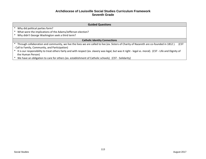| <b>Guided Questions</b>                                                                                                                                    |  |  |
|------------------------------------------------------------------------------------------------------------------------------------------------------------|--|--|
| * Why did political parties form?                                                                                                                          |  |  |
| What were the implications of the Adams/Jefferson election?<br>$\ast$                                                                                      |  |  |
| * Why didn't George Washington seek a third term?                                                                                                          |  |  |
| <b>Catholic Identity Connections</b>                                                                                                                       |  |  |
| * Through collaboration and community, we live the lives we are called to live (ex. Sisters of Charity of Nazareth are co-founded in 1812).<br>(CST        |  |  |
| - Call to Family, Community, and Participation)                                                                                                            |  |  |
| * It is our responsibility to treat others fairly and with respect (ex. slavery was legal, but was it right - legal vs. moral). (CST - Life and Dignity of |  |  |
| the Human Person)                                                                                                                                          |  |  |
| * We have an obligation to care for others (ex. establishment of Catholic schools). (CST - Solidarity)                                                     |  |  |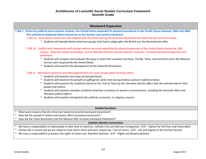| <b>Westward Expansion</b>                                                                                                                                                                                                                    |
|----------------------------------------------------------------------------------------------------------------------------------------------------------------------------------------------------------------------------------------------|
| Driven by political and economic motives, the United States expanded its physical boundaries to the Pacific Ocean between 1800 and 1860.<br><b>7.WE.1</b><br>This settlement displaced Native Americans as the frontier was pushed westward. |
| 7.WE.1a Some Native Americans who aligned with the British during the American Revolution lost land and were forced to move.                                                                                                                 |
| * Students will identify Native American groups that had to adapt after the British lost the Revolutionary War.                                                                                                                              |
| 7.WE.1b Conflict and compromise with foreign nations occurred regarding the physical expansion of the United States during the 19th                                                                                                          |
| century. American values and beliefs, such as Manifest Destiny and the need for resources, increased westward expansion and<br>settlement.                                                                                                   |
| * Students will compare and evaluate the ways in which the Louisiana Purchase, Florida, Texas, and territories from the Mexican<br>Cession were acquired by the United States.                                                               |
| Students will examine the development of the Industrial Revolution.<br>∗                                                                                                                                                                     |
| 7.WE.1c Westward expansion provided opportunities for some groups while harming others.                                                                                                                                                      |
| * Students will examine new ways of transportation.                                                                                                                                                                                          |
| * Students will examine the growth of suffrage for white men during Andrew Jackson's administration.                                                                                                                                         |
| * Students will examine the conditions faced on the Trail of Tears by the Cherokee and the effect that the removal had on their<br>people and culture.                                                                                       |
| Students will examine examples of Native American resistance to western encroachment, including the Seminole Wars and<br>$\ast$<br>Cherokee judicial efforts.                                                                                |
| Students will examine immigration for political, economic, or religious reasons.<br>∗                                                                                                                                                        |
|                                                                                                                                                                                                                                              |
| <b>Guided Questions</b>                                                                                                                                                                                                                      |
| * What were reasons that the American System promoted westward movement?                                                                                                                                                                     |
| How did the spread of cotton and slavery affect westward movement?                                                                                                                                                                           |
| How did the Texas Revolution and the Mexican War increase westward movement?                                                                                                                                                                 |
| <b>Catholic Identity Connections</b>                                                                                                                                                                                                         |
| We have a responsibility to help people in their time of need (ex. Catholic Irish and German immigrants). (CST - Option for the Poor and Vulnerable)                                                                                         |
| Human life is sacred and we are called to treat others fairly and with respect (ex. Trail of Tears). (CST - Life and Dignity of the Human Person)                                                                                            |
| We have a responsibility to protect the rights of others (ex. Manifest Destiny). (CST - Rights and Responsibilities)                                                                                                                         |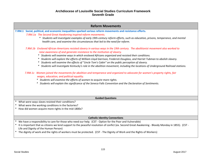| <b>Reform Movements</b>                                                                                                                                                                                                      |  |
|------------------------------------------------------------------------------------------------------------------------------------------------------------------------------------------------------------------------------|--|
| 7.RM.1 Social, political, and economic inequalities sparked various reform movements and resistance efforts.                                                                                                                 |  |
| 7.RM.1a The Second Great Awakening inspired reform movements.                                                                                                                                                                |  |
| * Students will investigate examples of early 19th-century reform efforts, such as education, prisons, temperance, and mental<br>health care, and examine the circumstances that led to the need for reform.                 |  |
| 7.RM.1b Enslaved African Americans resisted slavery in various ways in the 19th century. The abolitionist movement also worked to<br>raise awareness of and generate resistance to the institution of slavery.               |  |
| * Students will examine ways in which enslaved Africans organized and resisted their conditions.                                                                                                                             |  |
| * Students will explore the efforts of William Lloyd Garrison, Frederick Douglass, and Harriet Tubman to abolish slavery.<br>* Students will examine the effects of "Uncle Tom's Cabin" on the public perception of slavery. |  |
| * Students will investigate Kentucky's role in the abolition movement, including the locations of Underground Railroad stations.                                                                                             |  |
| 7.RM.1c Women joined the movements for abolition and temperance and organized to advocate for women's property rights, fair<br>wages, education, and political equality.                                                     |  |
| * Students will examine the efforts of women to acquire more rights.                                                                                                                                                         |  |
| * Students will explain the significance of the Seneca Falls Convention and the Declaration of Sentiments.                                                                                                                   |  |
| <b>Guided Questions</b>                                                                                                                                                                                                      |  |
|                                                                                                                                                                                                                              |  |
| What were ways slaves resisted their conditions?<br>What were the working conditions in the factories?                                                                                                                       |  |
| How did women acquire more rights in the mid-1800s?                                                                                                                                                                          |  |
|                                                                                                                                                                                                                              |  |
| <b>Catholic Identity Connections</b>                                                                                                                                                                                         |  |
| * We have a responsibility to care for those who need our help. (CST - Option for the Poor and Vulnerable)                                                                                                                   |  |
| * It is important that as citizens we lend support to the peaceful resolution of confict (ex. Second Great Awakening - Bloody Monday in 1855). (CST -<br>Life and Dignity of the Human Person)                               |  |
| The dignity of work and the rights of workers must be protected. (CST - The Dignity of Work and the Rights of Workers)                                                                                                       |  |
|                                                                                                                                                                                                                              |  |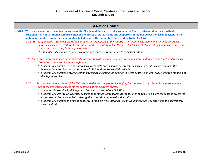| <b>A Nation Divided</b>                                                                                                                                                                                                                                                                                                                                                                                                                                                                                                                                                                                                                                                                                               |
|-----------------------------------------------------------------------------------------------------------------------------------------------------------------------------------------------------------------------------------------------------------------------------------------------------------------------------------------------------------------------------------------------------------------------------------------------------------------------------------------------------------------------------------------------------------------------------------------------------------------------------------------------------------------------------------------------------------------------|
| 7.ND.1 Westward expansion, the industrialization of the North, and the increase of slavery in the South contributed to the growth of<br>sectionalism. Constitutional conflicts between advocates of states' rights and supporters of federal power increased tensions in the<br>nation; attempts to compromise ultimately failed to keep the nation together, leading to the Civil War.<br>7.ND.1a Early United States industrialization affected different parts of the country in different ways. Regional economic differences<br>and values, as well as different conceptions of the Constitution, laid the basis for tensions between states' rights advocates and<br>supporters of a strong federal government. |
| * Students will examine regional economic differences as they related to industrialization.                                                                                                                                                                                                                                                                                                                                                                                                                                                                                                                                                                                                                           |
| 7.ND.1b As the nation expanded geographically, the question of slavery in new territories and states led to increased sectional tensions.<br>Attempts at compromise ended in failure.<br>Students will examine attempts at resolving conflicts over whether new territories would permit slavery, including the<br>∗<br>Missouri Compromise, the Compromise of 1850, and the Kansas-Nebraska Act.<br>Students will examine growing sectional tensions, including the decision in "Dred Scott v. Sanford" (1857) and the founding of                                                                                                                                                                                   |
| the Republican Party.                                                                                                                                                                                                                                                                                                                                                                                                                                                                                                                                                                                                                                                                                                 |
| 7.ND.1c Perspectives on the causes of the Civil War varied based on geographic region, but the election of a Republican president was<br>one of the immediate causes for the secession of the Southern states.<br>* Students will examine both long- and short-term causes of the Civil War.                                                                                                                                                                                                                                                                                                                                                                                                                          |
| Students will identify which states seceded to form the Confederate States of America and will explore the reasons presented<br>∗<br>for secession. Students will also identify the states that remained in the Union.                                                                                                                                                                                                                                                                                                                                                                                                                                                                                                |
| Students will examine the role of Kentucky in the Civil War, including its contributions to the war effort and the controversy<br>over the draft.                                                                                                                                                                                                                                                                                                                                                                                                                                                                                                                                                                     |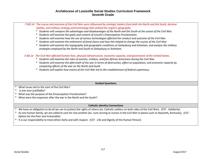| $\ast$<br>$^{\ast}$                          | 7.ND.1d The course and outcome of the Civil War were influenced by strategic leaders from both the North and the South, decisive<br>battles, and military strategy and technology that utilized the region's geography.<br>* Students will compare the advantages and disadvantages of the North and the South at the outset of the Civil War.<br>* Students will examine the goals and content of Lincoln's Emancipation Proclamation.<br>Students will examine how the use of various technologies affected the conduct and outcome of the Civil War.<br>Students will examine the enlistment of freed slaves and how this helped to change the course of the Civil War.<br>* Students will examine the topography and geographic conditions at Gettysburg and Antietam, and analyze the military<br>strategies employed by the North and South at Gettysburg or Antietam.<br>7.ND.1e The Civil War affected human lives, physical infrastructure, economic capacity, and governance of the United States.<br>* Students will examine the roles of women, civilians, and free African Americans during the Civil War.<br>* Students will examine the aftermath of the war in terms of destruction, effect on population, and economic capacity by<br>comparing effects of the war on the North and South<br>* Students will explain how events of the Civil War led to the establishment of federal supremacy. |
|----------------------------------------------|------------------------------------------------------------------------------------------------------------------------------------------------------------------------------------------------------------------------------------------------------------------------------------------------------------------------------------------------------------------------------------------------------------------------------------------------------------------------------------------------------------------------------------------------------------------------------------------------------------------------------------------------------------------------------------------------------------------------------------------------------------------------------------------------------------------------------------------------------------------------------------------------------------------------------------------------------------------------------------------------------------------------------------------------------------------------------------------------------------------------------------------------------------------------------------------------------------------------------------------------------------------------------------------------------------------------------------------------------------------------------------------------------------------|
|                                              |                                                                                                                                                                                                                                                                                                                                                                                                                                                                                                                                                                                                                                                                                                                                                                                                                                                                                                                                                                                                                                                                                                                                                                                                                                                                                                                                                                                                                  |
|                                              | <b>Guided Questions</b>                                                                                                                                                                                                                                                                                                                                                                                                                                                                                                                                                                                                                                                                                                                                                                                                                                                                                                                                                                                                                                                                                                                                                                                                                                                                                                                                                                                          |
| Is war ever justifiable?<br>$\ast$<br>$\ast$ | * What issues led to the start of the Civil War?<br>What was the purpose of the Emancipation Proclamation?<br>What were the responses after the war in the North and the South?                                                                                                                                                                                                                                                                                                                                                                                                                                                                                                                                                                                                                                                                                                                                                                                                                                                                                                                                                                                                                                                                                                                                                                                                                                  |
|                                              | <b>Catholic Identity Connections</b>                                                                                                                                                                                                                                                                                                                                                                                                                                                                                                                                                                                                                                                                                                                                                                                                                                                                                                                                                                                                                                                                                                                                                                                                                                                                                                                                                                             |
| Option for the Poor and Vulnerable)          | * We have an obligation to do all we can to protect the rights of others (ex. Catholic soldiers on both sides of the Civil War). (CST - Solidarity)<br>* As one human family, we are called to care for one another (ex. nuns serving as nurses in the Civil War in places such as Nazareth, Kentucky). (CST -<br>* It is our responsibility to treat others fairly and with respect. (CST - Life and Dignity of the Human Person)                                                                                                                                                                                                                                                                                                                                                                                                                                                                                                                                                                                                                                                                                                                                                                                                                                                                                                                                                                               |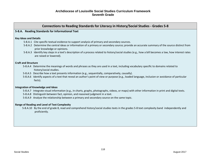# **Connections to Reading Standards for Literacy in History/Social Studies - Grades 5-8**

### **5-8.A. Reading Standards for Informational Text**

#### **Key Ideas and Details**

- 5-8.A.1 Cite specific textual evidence to support analysis of primary and secondary sources.
- 5-8.A.2 Determine the central ideas or information of a primary or secondary source; provide an accurate summary of the source distinct from prior knowledge or opinions.
- 5-8.A.3 Identify key steps in a text's description of a process related to history/social studies (e.g., how a bill becomes a law, how interest rates are raised or lowered).

### **Craft and Structure**

- 5-8.A.4 Determine the meanings of words and phrases as they are used in a text, including vocabulary specific to domains related to history/social studies.
- 5-8.A.5 Describe how a text presents information (e.g., sequentially, comparatively, causally).
- 5-8.A.6 Identify aspects of a text that reveal an author's point of view or purpose (e.g., loaded language, inclusion or avoidance of particular facts).

### **Integration of Knowledge and Ideas**

- 5-8.A.7 Integrate visual information (e.g., in charts, graphs, photographs, videos, or maps) with other information in print and digital texts.
- 5-8.A.8 Distinguish between fact, opinion, and reasoned judgment in a text.
- 5-8.A.9 Analyze the relationship between a primary and secondary source on the same topic.

### **Range of Reading and Level of Text Complexity**

5-8.A.10 By the end of grade 8, read and comprehend history/social studies texts in the grades 5-8 text complexity band independently and proficiently.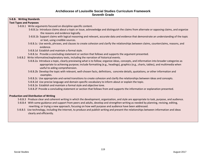### **5-8.B. Writing Standards**

### **Text Types and Purposes**

- 5-8.B.1 Write arguments focused on discipline-specific content.
	- 5-8.B.1a Introduce claims about a topic or issue, acknowledge and distinguish the claims from alternate or opposing claims, and organize the reasons and evidence logically.
	- 5-8.B.1b Support claims with logical reasoning and relevant, accurate data and evidence that demonstrate an understanding of the topic or text, using credible sources.
	- 5-8.B.1c Use words, phrases, and clauses to create cohesion and clarify the relationships between claims, counterclaims, reasons, and evidence.
	- 5-8.B.1d Establish and maintain a formal style.
	- 5-8.B.1e Provide a concluding statement or section that follows and supports the argument presented.
- 5-8.B.2 Write informative/explanatory texts, including the narration of historical events.
	- 5-8.B.2a Introduce a topic, clearly previewing what is to follow; organize ideas, concepts, and information into broader categories as appropriate to achieving purpose; include formatting (e.g., headings), graphics (e.g., charts, tables), and multimedia when useful to aiding comprehension.
	- 5-8.B.2b Develop the topic with relevant, well-chosen facts, definitions, concrete details, quotations, or other information and examples.
	- 5-8.B.2c Use appropriate and varied transitions to create cohesion and clarify the relationships between ideas and concepts.
	- 5-8.B.2d Use precise language and domain-specific vocabulary to inform about or explain the topic.
	- 5-8.B.2e Establish and maintain a formal style and objective tone.
	- 5-8.B.2f Provide a concluding statement or section that follows from and supports the information or explanation presented.

### **Production and Distribution of Writing**

- 5-8.B.3 Produce clear and coherent writing in which the development, organization, and style are appropriate to task, purpose, and audience.
- 5-8.B.4 With some guidance and support from peers and adults, develop and strengthen writing as needed by planning, revising, editing, rewriting, or trying a new approach, focusing on how well purpose and audience have been addressed.
- 5-8.B.5 Use technology, including the Internet, to produce and publish writing and present the relationships between information and ideas clearly and efficiently.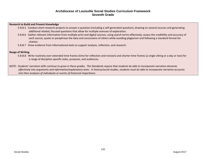#### **Research to Build and Present Knowledge**

- 5-8.B.5 Conduct short research projects to answer a question (including a self-generated question), drawing on several sources and generating additional related, focused questions that allow for multiple avenues of exploration.
- 5-8.B.6 Gather relevant information from multiple print and digital sources, using search terms effectively; assess the credibility and accuracy of each source; quote or paraphrase the data and conclusions of others while avoiding plagiarism and following a standard format for citation.
- 5-8.B.7 Draw evidence from informational texts to support analysis, reflection, and research.

### **Range of Writing**

- 5-8.B.8 Write routinely over extended time frames (time for reflection and revision) and shorter time frames (a single sitting or a day or two) for a range of discipline-specific tasks, purposes, and audiences.
- *NOTE: Students' narrative skills continue to grow in these grades. The Standards require that students be able to incorporate narrative elements effectively into arguments and informative/explanatory texts. In history/social studies, students must be able to incorporate narrative accounts into their analyses of individuals or events of historical importance.*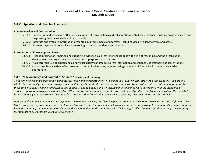### **5-8.C. Speaking and Listening Standards**

#### **Comprehension and Collaboration**

- 5-8.C.1 Prepare for and participate effectively in a range of conversations and collaborations with diverse partners, building on others' ideas and expressing their own clearly and persuasively.
- 5-8.C.2 Integrate and evaluate information presented in diverse media and formats, including visually, quantitatively, and orally.
- 5-8.C.3 Evaluate a speaker's point of view, reasoning, and use of evidence and rhetoric.

### **Presentation of Knowledge and Ideas**

- 5-8.C.4 Present information, findings, and supporting evidence such that listeners can follow the line of reasoning, and the organization, development, and style are appropriate to task, purpose, and audience.
- 5-8.C.5 Make strategic use of digital media and visual displays of data to express information and enhance understanding of presentations.
- 5-8.C.6 Adapt speech to a variety of contexts and communicative tasks, demonstrating command of formal English when indicated or appropriate.

### **5-8.C. Note on Range and Content of Student Speaking and Listening**

*To become college and career ready, students must have ample opportunities to take part in a variety of rich, structured conversations - as part of a whole class, in small groups, and with a partner - built around important content in various domains. They must be able to contribute appropriately to these conversations, to make comparisons and contrasts, and to analyze and synthesize a multitude of ideas in accordance with the standards of evidence appropriate to a particular discipline. Whatever the intended major or profession, high school graduates will depend heavily on their ability to listen attentively to others so that they are able to build on others' meritorious ideas while expressing their own clearly and persuasively.*

*New technologies have broadened and expanded the role that speaking and listening play in acquiring and sharing knowledge and have tightened their link to other forms of communication. The Internet has accelerated the speed at which connections between speaking, listening, reading, and writing can be made, requiring that students be ready to use these modalities nearly simultaneously. Technology itself is changing quickly, creating a new urgency for students to be adaptable in response to change.*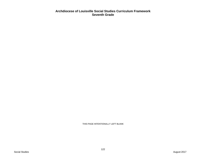THIS PAGE INTENTIONALLY LEFT BLANK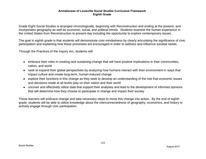Grade Eight Social Studies is arranged chronologically, beginning with Reconstruction and ending at the present, and incorporates geography as well as economic, social, and political trends. Students examine the human experience in the United States from Reconstruction to present day including the opportunity to explore contemporary issues.

The goal in eighth grade is that students will demonstrate civic-mindedness by clearly articulating the significance of civic participation and explaining how these processes are encouraged in order to address and influence societal needs.

Through the Practices of the Inquiry Arc, students will:

- embrace their roles in creating and sustaining change that will have positive implications in their communities, nation, and world
- seek to expand their global perspectives by analyzing how humans interact with their environment in ways that impact culture and create long-term, human-induced change
- explore their functions in this change as they seek to develop an understanding of the role that economic issues and decisions made at all levels play on their nation and their world
- uncover and effectively utilize data that support their analyses and lead to the development of informed opinions that will determine how they choose to participate in change and impact their society

These learners will embrace change and take necessary steps to move this change into action. By the end of eighth grade, students will be able to utilize knowledge about the interconnectedness of geography, economics, and history to actively engage through civic participation.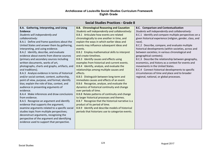| <b>Social Studies Practices - Grade 8</b>                                                                                                                                                                                                                                                                                                                                                                                                                                                                                                                                                                                                                                                                                                                                                                                                                                                                                                                                                                                                                                                                                                 |                                                                                                                                                                                                                                                                                                                                                                                                                                                                                                                                                                                                                                                                                                                                                                                                                                                                                                                                                                                                                                                                                          |                                                                                                                                                                                                                                                                                                                                                                                                                                                                                                                                                                                                                                                                                                                      |
|-------------------------------------------------------------------------------------------------------------------------------------------------------------------------------------------------------------------------------------------------------------------------------------------------------------------------------------------------------------------------------------------------------------------------------------------------------------------------------------------------------------------------------------------------------------------------------------------------------------------------------------------------------------------------------------------------------------------------------------------------------------------------------------------------------------------------------------------------------------------------------------------------------------------------------------------------------------------------------------------------------------------------------------------------------------------------------------------------------------------------------------------|------------------------------------------------------------------------------------------------------------------------------------------------------------------------------------------------------------------------------------------------------------------------------------------------------------------------------------------------------------------------------------------------------------------------------------------------------------------------------------------------------------------------------------------------------------------------------------------------------------------------------------------------------------------------------------------------------------------------------------------------------------------------------------------------------------------------------------------------------------------------------------------------------------------------------------------------------------------------------------------------------------------------------------------------------------------------------------------|----------------------------------------------------------------------------------------------------------------------------------------------------------------------------------------------------------------------------------------------------------------------------------------------------------------------------------------------------------------------------------------------------------------------------------------------------------------------------------------------------------------------------------------------------------------------------------------------------------------------------------------------------------------------------------------------------------------------|
| 8.A. Gathering, Interpreting, and Using<br>Evidence<br>Students will independently and<br>collaboratively:<br>8.A.1 Define and frame questions about the<br>United States and answer them by gathering,<br>interpreting, and using evidence.<br>8.A.2 Identify, describe, and evaluate<br>evidence about events from diverse sources<br>(primary and secondary sources including<br>written documents, works of art,<br>photographs, charts and graphs, artifacts, and<br>oral traditions).<br>8.A.3 Analyze evidence in terms of historical<br>and/or social context, content, authorship,<br>point of view, purpose, and format; identify<br>bias; explain the role of bias, context, and<br>audience in presenting arguments of<br>evidence.<br>8.A.4 Make inferences and draw conclusions<br>from evidence.<br>8.A.5 Recognize an argument and identify<br>evidence that supports the argument;<br>examine arguments related to a specific social<br>studies topic from multiple perspectives;<br>deconstruct arguments, recognizing the<br>perspective of the argument and identifying<br>evidence used to support that perspective. | 8.B. Chronological Reasoning and Causation<br>Students will independently and collaboratively:<br>8.B.1 Articulate how events are related<br>chronologically to one another in time, and<br>explain the ways in which earlier ideas and<br>events may influence subsequent ideas and<br>events.<br>8.B.2 Employ mathematical skills to interpret<br>and create timelines.<br>8.B.3 Identify causes and effects using<br>examples from historical and current events.<br>8.B.4 Identify, analyze, and evaluate the<br>relationships among multiple causes and<br>effects.<br>8.B.5 Distinguish between long-term and<br>immediate causes and effects of an event.<br>8.B.6 Recognize, analyze, and evaluate the<br>dynamics of historical continuity and change<br>over periods of time.<br>8.B.8 Relate patterns of continuity and change<br>to larger historical processes and themes.<br>8.B.7 Recognize that the historical narrative is a<br>product of its period of time.<br>8.B.9 Identify and describe models of historical<br>periods that historians use to categorize events. | 8.C. Comparison and Contextualization<br>Students will independently and collaboratively:<br>8.C.1 Identify and compare multiple perspectives on a<br>given historical experience (religion, gender, class, and<br>race).<br>8.C.2 Describe, compare, and evaluate multiple<br>historical developments (within societies, across and<br>between societies; in various chronological and<br>geographical contexts).<br>8.C.3 Describe the relationship between geography,<br>economics, and history as a context for events and<br>movements in the United States.<br>8.C.4 Connect historical developments to specific<br>circumstances of time and place and to broader<br>regional, national, or global processes. |
|                                                                                                                                                                                                                                                                                                                                                                                                                                                                                                                                                                                                                                                                                                                                                                                                                                                                                                                                                                                                                                                                                                                                           |                                                                                                                                                                                                                                                                                                                                                                                                                                                                                                                                                                                                                                                                                                                                                                                                                                                                                                                                                                                                                                                                                          |                                                                                                                                                                                                                                                                                                                                                                                                                                                                                                                                                                                                                                                                                                                      |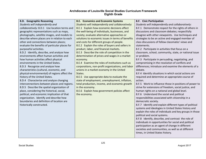| 8.D. Geographic Reasoning                      | 8.E. Economics and Economic Systems               | 8.F. Civic Participation                                                               |
|------------------------------------------------|---------------------------------------------------|----------------------------------------------------------------------------------------|
| Students will independently and                | Students will independently and collaboratively:  | Students will independently and collaboratively:                                       |
| collaboratively: 8.D.1 Use location terms and  | 8.E.1 Explain how economic decisions affect       | 8.F.1 Demonstrate respect for the rights of others in                                  |
| geographic representations such as maps,       | the well-being of individuals, businesses, and    | discussions and classroom debates; respectfully                                        |
| photographs, satellite images, and models to   | society; evaluate alternative approaches or       | disagree with other viewpoints. Use techniques and                                     |
| describe where places are in relation to each  | solutions to economic issues in terms of benefits | strategies to be an active and engaged member of                                       |
| other and connections between places;          | and costs for different groups of people.         | class discussions of fellow classmates' views and                                      |
| evaluate the benefits of particular places for | 8.E.2 Explain the roles of buyers and sellers in  | statements.                                                                            |
| purposeful activities.                         | product, labor, and financial markets.            | 8.F.2 Participate in activities that focus on a                                        |
| 8.D.2 Identify, describe, and analyze how      | 8.E.3 Describe the role of competition in the     | classroom, school, community, state, or national issue                                 |
| environments affect human activities and       | determination of prices and wages in a market     | or problem.                                                                            |
| how human activities affect physical           | economy.                                          | 8.F.3 Participate in persuading, negotiating, and                                      |
| environments in the United States.             | 8.E.4 Examine the roles of institutions such as   | compromising in the resolution of conflicts and                                        |
| 8.D.3 Recognize and analyze how                | corporations, non-profit organizations, and labor | differences; introduce and examine the elements of a                                   |
| characteristics (cultural, economic, and       | unions in a market economy in the United          | debate.                                                                                |
| physical-environmental) of regions affect the  | States.                                           | 8.F.4 Identify situations in which social actions are                                  |
| history of the United States.                  | 8.E.5 Use appropriate data to evaluate the        | required and determine an appropriate course of                                        |
| 8.D.4 Characterize and analyze changing        | state of employment, unemployment, inflation,     | action.                                                                                |
| interconnections between places and regions.   | total production, income, and economic growth     | 8.F.5 Work to influence those in positions of power to                                 |
| 8.D.5 Describe the spatial organization of     | in the economy.                                   | strive for extensions of freedom, social justice, and                                  |
| place, considering the historical, social,     | 8.E.6 Explain how government policies affect      | human rights on a national and global level.                                           |
| political, and economic implication of that    | the economy.                                      | 8.F.6 Understand the social and political                                              |
| organization. Identify and describe how        |                                                   | responsibilities associated with citizenship in a                                      |
| boundaries and definition of location are      |                                                   | democratic society.                                                                    |
| historically constructed.                      |                                                   | 8.F.7 Identify and explain different types of political                                |
|                                                |                                                   | systems and ideologies in United States history and                                    |
|                                                |                                                   | explain the roles of individuals and key groups in those                               |
|                                                |                                                   | political and social systems.                                                          |
|                                                |                                                   | 8.F.8 Identify, describe, and contrast the role of                                     |
|                                                |                                                   | individuals in opportunities for social and political                                  |
|                                                |                                                   | participation as an agent of change in different                                       |
|                                                |                                                   |                                                                                        |
|                                                |                                                   |                                                                                        |
|                                                |                                                   | societies and communities, as well as at different<br>times, in United States history. |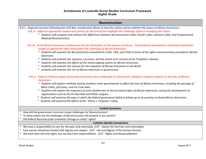|        | Reconstruction                                                                                                                                                                                                                                                                                                                                                                                                                                                                                                                                                                                                                                                                                                                                                                                                                                                                                                                                                                                                                                                                                                                                                                                                                                                                                                                                                                                                                                                                                                                                                        |  |  |
|--------|-----------------------------------------------------------------------------------------------------------------------------------------------------------------------------------------------------------------------------------------------------------------------------------------------------------------------------------------------------------------------------------------------------------------------------------------------------------------------------------------------------------------------------------------------------------------------------------------------------------------------------------------------------------------------------------------------------------------------------------------------------------------------------------------------------------------------------------------------------------------------------------------------------------------------------------------------------------------------------------------------------------------------------------------------------------------------------------------------------------------------------------------------------------------------------------------------------------------------------------------------------------------------------------------------------------------------------------------------------------------------------------------------------------------------------------------------------------------------------------------------------------------------------------------------------------------------|--|--|
|        | 8.R.1 Regional tensions following the Civil War complicated efforts to heal the nation and to redefine the status of African Americans.<br>8.R.1a Different approaches toward and policies for Reconstruction highlight the challenges faced in reunifying the nation.<br>* Students will compare and contrast the differences between Reconstruction under Lincoln's plan, Johnson's plan, and Congressional<br>(Radical) Reconstruction.                                                                                                                                                                                                                                                                                                                                                                                                                                                                                                                                                                                                                                                                                                                                                                                                                                                                                                                                                                                                                                                                                                                            |  |  |
|        | 8.R.1b Freed African Americans created new lives for themselves in the absence of slavery. Constitutional amendments and federal legislation<br>sought to expand the rights and protect the citizenship of African Americans.<br>Students will examine the Reconstruction amendments (13th, 14th, and 15th) in terms of the rights and protections provided to African<br>Americans.<br>Students will examine the purpose, successes, and the extent of its success of the Freedmen's Bureau.<br>∗<br>Students will examine the effects of the sharecropping system on African Americans.<br>∗<br>Students will examine the reasons for the migration of African Americans to the North.<br>∗<br>Students will examine the rise of African Americans in government.<br>∗<br>8.R.1c Federal initiatives begun during Reconstruction were challenged on many levels, leading to negative impacts on the lives of African<br>Americans.<br>Students will explore methods used by Southern state governments to affect the lives of African Americans, including the passage of<br>$\ast$<br>Black Codes, poll taxes, and Jim Crow laws.<br>Students will explore the responses of some Southerners to the increased rights of African Americans, noting the development of<br>$\ast$<br>organizations such as the Ku Klux Klan and White Leagues.<br>* Students will examine the ways in which the federal government failed to follow up on its promises to freed African Americans.<br>Students will examine the effects of the "Plessy v. Ferguson" ruling.<br>$\ast$ |  |  |
|        | <b>Guided Questions</b>                                                                                                                                                                                                                                                                                                                                                                                                                                                                                                                                                                                                                                                                                                                                                                                                                                                                                                                                                                                                                                                                                                                                                                                                                                                                                                                                                                                                                                                                                                                                               |  |  |
| $\ast$ | How did the government structure create challenges for Reconstruction?                                                                                                                                                                                                                                                                                                                                                                                                                                                                                                                                                                                                                                                                                                                                                                                                                                                                                                                                                                                                                                                                                                                                                                                                                                                                                                                                                                                                                                                                                                |  |  |
|        | * To what extent are the challenges of Reconstruction still present in our society?                                                                                                                                                                                                                                                                                                                                                                                                                                                                                                                                                                                                                                                                                                                                                                                                                                                                                                                                                                                                                                                                                                                                                                                                                                                                                                                                                                                                                                                                                   |  |  |
| $\ast$ | Did federal Reconstruction initiatives infringe on states' rights?                                                                                                                                                                                                                                                                                                                                                                                                                                                                                                                                                                                                                                                                                                                                                                                                                                                                                                                                                                                                                                                                                                                                                                                                                                                                                                                                                                                                                                                                                                    |  |  |
|        | <b>Catholic Identity Connections</b>                                                                                                                                                                                                                                                                                                                                                                                                                                                                                                                                                                                                                                                                                                                                                                                                                                                                                                                                                                                                                                                                                                                                                                                                                                                                                                                                                                                                                                                                                                                                  |  |  |
| $\ast$ | We have a responsibility to care for the poor and vulnerable. (CST - Option for the Poor and Vulnerable)                                                                                                                                                                                                                                                                                                                                                                                                                                                                                                                                                                                                                                                                                                                                                                                                                                                                                                                                                                                                                                                                                                                                                                                                                                                                                                                                                                                                                                                              |  |  |
| $\ast$ | Each person should be treated with dignity and respect. (CST - Life and Dignity of the Human Person)                                                                                                                                                                                                                                                                                                                                                                                                                                                                                                                                                                                                                                                                                                                                                                                                                                                                                                                                                                                                                                                                                                                                                                                                                                                                                                                                                                                                                                                                  |  |  |
|        | * We each have not only rights, but we also have responsibilities. (CST - Rights and Responsibilities)                                                                                                                                                                                                                                                                                                                                                                                                                                                                                                                                                                                                                                                                                                                                                                                                                                                                                                                                                                                                                                                                                                                                                                                                                                                                                                                                                                                                                                                                |  |  |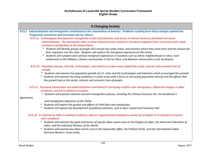|            | <b>A Changing Society</b>                                                                                                                                                                               |  |
|------------|---------------------------------------------------------------------------------------------------------------------------------------------------------------------------------------------------------|--|
|            | 8.CS.1 Industrialization and immigration contributed to the urbanization of America. Problems resulting from these changes sparked the                                                                  |  |
|            | Progressive movement and increased calls for reform.                                                                                                                                                    |  |
|            | 8.CS.1a Technological developments changed the modes of production, and access to natrual resources facilitated increased                                                                               |  |
|            | industialization. The demand for labor in urban industrial areas resulted in increased migration from rural areas and a rapid<br>increase in immigration to the United States.                          |  |
|            | Students will identify groups of people who moved into urban areas, and examine where they came from and the reasons for                                                                                |  |
|            | their migration into the cities. Students will explore the immigrant experience at Ellis Island.                                                                                                        |  |
|            | * Students will compare and contrast immigrant experiences in locations such as ethnic neighborhoods in cities, rural                                                                                   |  |
|            | settlements in the Midwest, Chinese communities in the Far West, and Mexican communities in the Southwest.                                                                                              |  |
|            | 8.CS.1b Population density, diversity, technologies, and industry in urban areas shaped the social, cultural, and economic lives of<br>people.                                                          |  |
|            | * Students will examine the population growth of U.S. cities and the technologies and industires which eccouraged this growth.                                                                          |  |
|            | Students will examine the living conditions in urban areas with a focus on increasing population density and the effects that<br>this growth had on the social, cultural, and economic lives of people. |  |
|            | 8.CS.1c Increased urbanization and industrialization contributed to increasing conflicts over immigration, influenced changes in labor<br>conditions, and led to political corruption.                  |  |
|            | * Students will examine nativism and anti-immigration policies, including the Chinese Exclusion Act, the Gentlemen's                                                                                    |  |
| Agreement, |                                                                                                                                                                                                         |  |
|            | and immigration legislation of the 1920s.                                                                                                                                                               |  |
|            | * Students will explore the growth and effects of child labor and sweatshops.                                                                                                                           |  |
|            | Students will explore the development of political machines, such as Boss Tweed and Tammany Hall.                                                                                                       |  |
|            | 8.CS.1d In response to shifts in working conditions, laborers organized and employed a variety of strategies in an attempt to improve<br>their conditions.                                              |  |
|            | * Students will examine the goals and tactics of specific labor unions such as the Knights of Labor, the American Federation of<br>Labor, and the Industrial Workers of the World.                      |  |
|            | Students will examine key labor events such as the Haymarket affair, the Pullman Strike, and the International Ladies<br>$\ast$<br>Garment Workers' Union strike.                                       |  |
|            |                                                                                                                                                                                                         |  |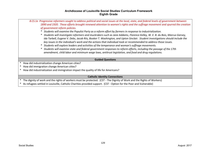| 8.CS.1e Progressive reformers sought to address political and social issues at the local, state, and federal levels of government between<br>1890 and 1920. These efforts brought renewed attention to women's rights and the suffrage movement and spurred the creation<br>of government reform policies.<br>Students will examine the Populist Party as a reform effort by farmers in response to industrialization.<br>* Students will investigate reformers and muckrakers such as Jane Addams, Florence Kelley, W. E. B. du Bois, Marcus Garvey,<br>Ida Tarbell, Eugene V. Debs, Jacob Riis, Booker T. Washington, and Upton Sinclair. Student investigations should include the<br>key issues in the individual's work and the actions that individual took or recommended to address those issues.<br>Students will explore leaders and activities of the temperance and woman's suffrage movements.<br>Students will examine state and federal government responses to reform efforts, including the passage of the 17th<br>amendment, child labor and minimum wage laws, antitrust legislation, and food and drug regulations. |
|-----------------------------------------------------------------------------------------------------------------------------------------------------------------------------------------------------------------------------------------------------------------------------------------------------------------------------------------------------------------------------------------------------------------------------------------------------------------------------------------------------------------------------------------------------------------------------------------------------------------------------------------------------------------------------------------------------------------------------------------------------------------------------------------------------------------------------------------------------------------------------------------------------------------------------------------------------------------------------------------------------------------------------------------------------------------------------------------------------------------------------------------|
| <b>Guided Questions</b>                                                                                                                                                                                                                                                                                                                                                                                                                                                                                                                                                                                                                                                                                                                                                                                                                                                                                                                                                                                                                                                                                                                 |
| How did industrialization change American cities?                                                                                                                                                                                                                                                                                                                                                                                                                                                                                                                                                                                                                                                                                                                                                                                                                                                                                                                                                                                                                                                                                       |
| How did immigration change American cities?                                                                                                                                                                                                                                                                                                                                                                                                                                                                                                                                                                                                                                                                                                                                                                                                                                                                                                                                                                                                                                                                                             |
| How did industrialization and immigration impact the quality of life for Americans?                                                                                                                                                                                                                                                                                                                                                                                                                                                                                                                                                                                                                                                                                                                                                                                                                                                                                                                                                                                                                                                     |
| <b>Catholic Identity Connections</b>                                                                                                                                                                                                                                                                                                                                                                                                                                                                                                                                                                                                                                                                                                                                                                                                                                                                                                                                                                                                                                                                                                    |
| The dignity of work and the rights of workers must be protected. (CST - The Dignity of Work and the Rights of Workers)                                                                                                                                                                                                                                                                                                                                                                                                                                                                                                                                                                                                                                                                                                                                                                                                                                                                                                                                                                                                                  |
| As refugees settled in Louisville, Catholic Charities provided support. (CST - Option for the Poor and Vulnerable)                                                                                                                                                                                                                                                                                                                                                                                                                                                                                                                                                                                                                                                                                                                                                                                                                                                                                                                                                                                                                      |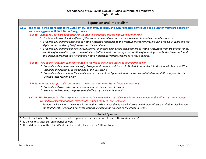| <b>Expansion and Imperialism</b>                                                                                                                                                                                              |
|-------------------------------------------------------------------------------------------------------------------------------------------------------------------------------------------------------------------------------|
| 8.EI.1 Beginning in the second half of the 19th century, economic, political, and cultural factors contributed to a push for westward expansion                                                                               |
| and more aggressive United States foreign policy.                                                                                                                                                                             |
| 8.El.1a Continued westward expansion contributed to increased conflicts with Native Americans.                                                                                                                                |
| * Students will examine the effects of the transcontinental railroad on the movement toward westward expansion.                                                                                                               |
| * Students will examine examples of Native American resistance to the western encroachment, including the Sioux Wars and the<br>flight and surrender of Chief Joseph and the Nez Perce.                                       |
| * Students will examine policies toward Native Americans, such as the displacement of Native Americans from traditional lands,                                                                                                |
| creation of reservations, efforts to assimilate Native Americans through the creation of boarding schools, the Dawes Act, and<br>the Indian Reorganization Act and the Native Americans' various responses to these policies. |
| 8.EI.1b The Spanish-American War contributed to the rise of the United States as an imperial power.                                                                                                                           |
| * Students will examine examples of yellow journalism that contributed to United States entry into the Spanish-American War,                                                                                                  |
| including the portrayal of the sinking of the USS Maine.                                                                                                                                                                      |
| * Students will explain how the events and outcomes of the Spanish-American War contributed to the shift to imperialism in                                                                                                    |
| United States foreign policy.                                                                                                                                                                                                 |
| 8.El.1c Interest in Pacific trade contributed to an increase in United States foreign interactions.                                                                                                                           |
| * Students will assess the events surrounding the annexation of Hawaii.                                                                                                                                                       |
| * Students will examine the purpose and effects of the Open Door Policy.                                                                                                                                                      |
| 8.EI.1d The Roosevelt Corollary expanded the Monroe Doctrine and increased United States involvement in the affairs of Latin America.                                                                                         |
| This led to resentment of the United States among many in Latin America.                                                                                                                                                      |
| * Students will evaluate the United States actions taken under the Roosevelt Corollary and their effects on relationships between                                                                                             |
| the United States and Latin American nations, including the building of the Panama Canal.                                                                                                                                     |
| <b>Guided Questions</b>                                                                                                                                                                                                       |
| Should the United States continue to make reparations for their actions towards Native Americans?                                                                                                                             |
| Is the Unites States still an imperial power?                                                                                                                                                                                 |
| How did the role of the United States in the world change in the 19th century?                                                                                                                                                |
|                                                                                                                                                                                                                               |
|                                                                                                                                                                                                                               |
|                                                                                                                                                                                                                               |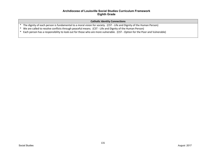### **Catholic Identity Connections**

- \* The dignity of each person is fundamental to a moral vision for society. (CST Life and Dignity of the Human Person)
- \* We are called to resolve conflicts through peaceful means. (CST Life and Dignity of the Human Person)
- \* Each person has a responsibility to look out for those who are more vulnerable. (CST Option for the Poor and Vulnerable)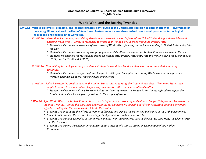| <b>World War I and the Roaring Twenties</b>                                                                                                                                                                                                                                                                                      |
|----------------------------------------------------------------------------------------------------------------------------------------------------------------------------------------------------------------------------------------------------------------------------------------------------------------------------------|
| 8. WWI.1 Various diplomatic, economic, and ideological factors contributed to the United States decision to enter World War I. Involvement in<br>the war significantly altered the lives of Americans. Postwar America was characterized by economic prosperity, technological<br>innovations, and changes in the workplace.     |
| 8. WWI.1a International, economic, and military developments swayed opinion in favor of the United States siding with the Allies and<br>entering World War I. Domestic responses to World War I limited civil liberties within the United States.                                                                                |
| * Students will examine an overview of the causes of World War I, focusing on the factors leading to United States entry into<br>the war.                                                                                                                                                                                        |
| * Students will examine examples of war propaganda and its effects on support for United States involvement in the war.<br>* Students will examine the restrictions placed on citizens after United States entry into the war, including the Espionage Act<br>(1917) and the Sedition Act (1918).                                |
| 8. WWI.1b New military technologies changed military strategy in World War I and resulted in an unprecendented number of<br>casualties.                                                                                                                                                                                          |
| * Students will examine the effects of the changes in military technologies used during World War I, including trench<br>warfare, chemical weapons, machine guns, and aircraft.                                                                                                                                                  |
| 8. WWI.1c Following extensive political debate, the United States refused to ratify the Treaty of Versailles. The United States then<br>sought to return to prewar policies by focusing on domestic rather than international matters.                                                                                           |
| * Students will examine Wilson's Fourteen Points and investigate why the United States Senate refused to support the<br>Treaty of Versailles, focusing on opposition to the League of Nations.                                                                                                                                   |
| 8.WW.1d After World War I, the United States entered a period of economic prosperity and cultural change. This period is known as the<br>Roaring Twenties. During this time, new opportunities for women were gained, and African Americans engaged in various<br>efforts to distinguish themselves and celebrate their culture. |
| * Students will investigate the efforts of women suffragists and explain the historical significance of the 19th amendment.<br>* Students will examine the reasons for and effects of prohibition on American society.                                                                                                           |
| * Students will examine examples of World War I and postwar race relations, such as the East St. Louis riots, the Silent March,<br>and the Tulsa riots.                                                                                                                                                                          |
| Students will explore the changes in American culture after World War I, such as an examination of the Harlem<br>Renaissance.                                                                                                                                                                                                    |
|                                                                                                                                                                                                                                                                                                                                  |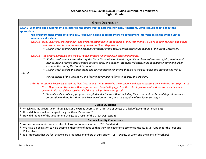| <b>Great Depression</b>                                                                                                                                                                                                                                                                                                                                                                                                                                                                                                                                                                                                                                                                                                                                                                                                                                                                                                                                                                                                                                                                                                                                                                                           |  |
|-------------------------------------------------------------------------------------------------------------------------------------------------------------------------------------------------------------------------------------------------------------------------------------------------------------------------------------------------------------------------------------------------------------------------------------------------------------------------------------------------------------------------------------------------------------------------------------------------------------------------------------------------------------------------------------------------------------------------------------------------------------------------------------------------------------------------------------------------------------------------------------------------------------------------------------------------------------------------------------------------------------------------------------------------------------------------------------------------------------------------------------------------------------------------------------------------------------------|--|
| 8.GD.1 Economic and environmental disasters in the 1930s created hardships for many Americans. Amidst much debate about the                                                                                                                                                                                                                                                                                                                                                                                                                                                                                                                                                                                                                                                                                                                                                                                                                                                                                                                                                                                                                                                                                       |  |
| appropriate<br>role of government, President Franklin D. Roosevelt helped to create intensive government interventions in the United States<br>economy and society.                                                                                                                                                                                                                                                                                                                                                                                                                                                                                                                                                                                                                                                                                                                                                                                                                                                                                                                                                                                                                                               |  |
| 8.GD.1a Risky investing, protectionism, and overproduction led to the collapse of the stock market, a wave of bank failures, and a long<br>and severe downturn in the economy called the Great Depression.<br>* Students will examine how the economic practices of the 1920s contributed to the coming of the Great Depression.                                                                                                                                                                                                                                                                                                                                                                                                                                                                                                                                                                                                                                                                                                                                                                                                                                                                                  |  |
| 8.GD.1b The Great Depression and the Dust Bowl affected American businesses and families.<br>* Students will examine the effects of the Great Depression on American families in terms of the loss of jobs, wealth, and<br>homes, noting varying effects based on class, race, and gender. Students will explore the conditions in rural and urban<br>communities during the Great Depression.<br>* Students will explore the man-made and environmental conditions that led to the Dust Bowl, the economic as well as<br>cultural<br>consequences of the Dust Bowl, and federal government efforts to address the problem.<br>8.GD.1c President Roosevelt issued the New Deal in an attempt to revive the economy and help Americans deal with the hardships of the<br>Great Depression. These New Deal reforms had a long-lasting effect on the role of government in American society and its<br>economic life, but did not resolve all of the hardships Americans faced.<br>* Students will identify key programs adopted under the New Deal, including the creation of the Federal Deposit Insurance<br>Corporation and the Securities and Exchange Commission, and the adoption of the Social Security Act. |  |
| <b>Guided Questions</b>                                                                                                                                                                                                                                                                                                                                                                                                                                                                                                                                                                                                                                                                                                                                                                                                                                                                                                                                                                                                                                                                                                                                                                                           |  |
| Which was the greatest contributing factor the Great Depression: a lifestyle of excess or a lack of government oversight?<br>$\ast$                                                                                                                                                                                                                                                                                                                                                                                                                                                                                                                                                                                                                                                                                                                                                                                                                                                                                                                                                                                                                                                                               |  |
| How did American life change during the Great Depression?                                                                                                                                                                                                                                                                                                                                                                                                                                                                                                                                                                                                                                                                                                                                                                                                                                                                                                                                                                                                                                                                                                                                                         |  |
| How did the role of the government change as a result of the Great Depression?<br>$\ast$                                                                                                                                                                                                                                                                                                                                                                                                                                                                                                                                                                                                                                                                                                                                                                                                                                                                                                                                                                                                                                                                                                                          |  |
| <b>Catholic Identity Connections</b>                                                                                                                                                                                                                                                                                                                                                                                                                                                                                                                                                                                                                                                                                                                                                                                                                                                                                                                                                                                                                                                                                                                                                                              |  |
| As one human family, we are called to look out for one another. (CST - Solidarity)<br>* We have an obligation to help people in their time of need so that they can experience economic justice. (CST - Option for the Poor and<br>Vulnerable)                                                                                                                                                                                                                                                                                                                                                                                                                                                                                                                                                                                                                                                                                                                                                                                                                                                                                                                                                                    |  |
| It is important that we feel that we are productive members of our society. (CST - Dignity of Work and the Rights of Workers)                                                                                                                                                                                                                                                                                                                                                                                                                                                                                                                                                                                                                                                                                                                                                                                                                                                                                                                                                                                                                                                                                     |  |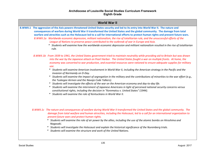| World War II                                                                                                                                                                                                                                                                                                                                                                                                                                                                                                                                                                                                                                                                                                                                                                                                                                                                                                                                                                                                                                                                                                                             |
|------------------------------------------------------------------------------------------------------------------------------------------------------------------------------------------------------------------------------------------------------------------------------------------------------------------------------------------------------------------------------------------------------------------------------------------------------------------------------------------------------------------------------------------------------------------------------------------------------------------------------------------------------------------------------------------------------------------------------------------------------------------------------------------------------------------------------------------------------------------------------------------------------------------------------------------------------------------------------------------------------------------------------------------------------------------------------------------------------------------------------------------|
| 8. WWII.1 The aggression of the Axis powers threatened United States security and led to its entry into World War II. The nature and<br>consequences of warfare during World War II transformed the United States and the global community. The damage from total<br>warfare and atrocities such as the Holocaust led to a call for international efforts to protect human rights and prevent future wars.<br>8. WWII.1a Worldwide economic depression, militant nationalism, the rise of totalitarian rule, and the unsuccessful efforts of the<br>League of Nations to preserve peace contributed to the outbreak of war in Europe and Asia.<br>* Students will examine how the worldwide economic depression and militant nationalism resulted in the rise of totalitarian<br>rule.                                                                                                                                                                                                                                                                                                                                                   |
| 8. WWII.1b From 1939 to 1941, the United States government tried to maintain neutrality while providing aid to Britain but was drawn<br>into the war by the Japanese attack on Pearl Harbor. The United States fought a war on multiple fronts. At home, the<br>economy was converted to war production, and essential resources were rationed to ensure adequate supplies for military<br>use.<br>* Students will examine American involvement in World War II, including the American strategy in the Pacific and the<br>invasion of Normandy on D-Day.<br>* Students will examine the impact of segregation in the military and the contributions of minorities to the war effort (e.g.,<br>the Tuskegee Airmen and the Navajo Code Talkers).<br>* Students will investigate the effects of the war on the American economy and day-to-day life.<br>* Students will examine the internment of Japanese Americans in light of perceived national security concerns versus<br>constitutional rights, including the decision in "Korematsu v. United States" (1944).<br>* Students will examine the role of Kentuckians in World War II. |
| 8. WWII.1c The nature and consequences of warfare during World War II transformed the United States and the global community. The<br>damage from total warfare and human atrocities, including the Holocaust, led to a call for an international organization to<br>prevent future wars and protect human rights.<br>* Students will examine the role of air power by the allies, including the use of the atomic bombs on Hiroshima and<br>Nagasaki.<br>* Students will investigate the Holocaust and explain the historical significance of the Nuremberg trials.<br>Students will examine the structure and work of the United Nations.<br>*                                                                                                                                                                                                                                                                                                                                                                                                                                                                                          |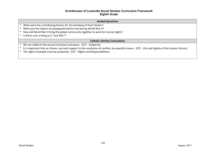| <b>Guided Questions</b>                                                                                                                          |
|--------------------------------------------------------------------------------------------------------------------------------------------------|
| What were the contributing factors for the bombing of Pearl Harbor?<br>∗                                                                         |
| What was the impact of propaganda before and during World War II?<br>∗                                                                           |
| How did World War II bring the global community together to work for human rights?<br>∗                                                          |
| Is there such a thing as a "Just War"?<br>∗                                                                                                      |
| <b>Catholic Identity Connections</b>                                                                                                             |
| We are called to the pursuit of justice and peace. (CST - Solidarity)<br>$\ast$                                                                  |
| It is important that as citizens, we lend support to the resolution of conflicts by peaceful means. (CST - Life and Dignity of the Human Person) |
| The rights of people must be protected. (CST - Rights and Responsibilities)<br>∗                                                                 |
|                                                                                                                                                  |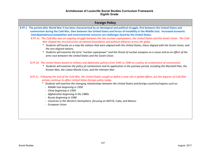|        | <b>Foreign Policy</b>                                                                                                                                                                                                                                                                                                                                                                                                                                                                                                                                                                                                                                                                                                                                                                                                                                                                                                                                                    |
|--------|--------------------------------------------------------------------------------------------------------------------------------------------------------------------------------------------------------------------------------------------------------------------------------------------------------------------------------------------------------------------------------------------------------------------------------------------------------------------------------------------------------------------------------------------------------------------------------------------------------------------------------------------------------------------------------------------------------------------------------------------------------------------------------------------------------------------------------------------------------------------------------------------------------------------------------------------------------------------------|
| 8.FP.1 | The period after World War II has been characterized by an ideological and political struggle, first between the United States and<br>communism during the Cold War, then between the United States and forces of instability in the Middle East. Increased economic<br>interdependence/competition and environmental concerns are challenges faced by the United States.<br>8.FP.1a The Cold War was an ongoing struggle between the two nuclear superpowers, the United States and the Soviet Union. The Cold<br>War shaped the reconstruction of national boundaries and political alliances across the globe.<br>* Students will locate on a map the nations that were aligned with the United States, those aligned with the Soviet Union, and<br>the non-aligned nations.<br>Students will examine the term "nuclear superpower" and the threat of nuclear weapons as a cause and as an effect of the<br>arms race between the United States and the Soviet Union. |
|        | 8.FP.1b The United States based its military and diplomatic policies from 1945 to 1990 on a policy of containment of communism.<br>Students will examine the policy of containment and its application in the postwar period, including the Marshall Plan, the<br>Korean War, the Cuban Missile Crisis, and the Vietnam War.                                                                                                                                                                                                                                                                                                                                                                                                                                                                                                                                                                                                                                             |
|        | 8.FP.1c Following the end of the Cold War, the United States sought to define a new role in global affairs, but the legacies of Cold War<br>actions continue to affect United States foreign policy today.<br>* Students will examine the changing relationships between the United States and foreign countries/regions such as:<br>- Middle East beginning in 1950<br>- China beginning in 1950<br>- Afghanistan beginning in the 1980s<br>- Russia beginning in 1990<br>- Countries in the Western Hemisphere, focusing on NAFTA, Cuba, and Mexico<br>- European Union                                                                                                                                                                                                                                                                                                                                                                                                |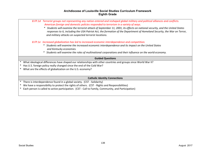| 8.FP.1d<br>and military attacks on suspected terrorist locations.                                              | Terrorist groups not representing any nation entered and reshaped global military and political alliances and conflicts.<br>American foreign and domestic policies responded to terrorism in a variety of ways.<br>* Students will examine the terrorist attack of September 11, 2001, its effects on national security, and the United States<br>responses to it, including the USA Patriot Act, the formation of the Department of Homeland Security, the War on Terror, |
|----------------------------------------------------------------------------------------------------------------|----------------------------------------------------------------------------------------------------------------------------------------------------------------------------------------------------------------------------------------------------------------------------------------------------------------------------------------------------------------------------------------------------------------------------------------------------------------------------|
| 8.FP.1e Increased globalization has led to increased economic interdependence and competition.                 |                                                                                                                                                                                                                                                                                                                                                                                                                                                                            |
| and Kentucky economies.                                                                                        | Students will examine the increased economic interdependence and its impact on the United States                                                                                                                                                                                                                                                                                                                                                                           |
|                                                                                                                | Students will examine the roles of multinational corporations and their influence on the world economy.                                                                                                                                                                                                                                                                                                                                                                    |
| <b>Guided Questions</b>                                                                                        |                                                                                                                                                                                                                                                                                                                                                                                                                                                                            |
| What ideological differences have shaped our relationships with other countries and groups since World War II? |                                                                                                                                                                                                                                                                                                                                                                                                                                                                            |
| Has U.S. foreign policy really changed since the end of the Cold War?                                          |                                                                                                                                                                                                                                                                                                                                                                                                                                                                            |
| What are the effects of globalization on the U.S. economy?                                                     |                                                                                                                                                                                                                                                                                                                                                                                                                                                                            |
|                                                                                                                |                                                                                                                                                                                                                                                                                                                                                                                                                                                                            |
|                                                                                                                | <b>Catholic Identity Connections</b>                                                                                                                                                                                                                                                                                                                                                                                                                                       |
| * There is interdependence found in a global society. (CST - Solidarity)                                       |                                                                                                                                                                                                                                                                                                                                                                                                                                                                            |
| We have a responsibility to protect the rights of others. (CST - Rights and Responsibilities)                  |                                                                                                                                                                                                                                                                                                                                                                                                                                                                            |
| Each person is called to active participation. (CST - Call to Family, Community, and Participation)            |                                                                                                                                                                                                                                                                                                                                                                                                                                                                            |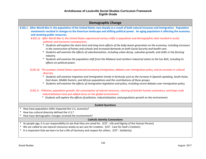| <b>Demographic Change</b>                                                                                                                                                                                                                                                                                                                                                                                                                                                                                     |  |
|---------------------------------------------------------------------------------------------------------------------------------------------------------------------------------------------------------------------------------------------------------------------------------------------------------------------------------------------------------------------------------------------------------------------------------------------------------------------------------------------------------------|--|
| 8.DG.1 After World War II, the population of the United States rose sharply as a result of both natural increases and immigration. Population<br>movements resulted in changes to the American landscape and shifting political power. An aging population is affecting the economy<br>and straining public resources.<br>8.DG.1a After World War II, the United States experienced various shifts in population and demographics that resulted in social,<br>political, and economic consequences.           |  |
| * Students will explore the short-term and long-term effects of the baby boom generation on the economy, including increases<br>in the construction of homes and schools and increased demands on both Social Security and health care.<br>* Students will examine the effects of suburbanization, including urban decay, suburban growth, and shifts in the farming<br>industry.                                                                                                                             |  |
| * Students will examine the population shift from the Midwest and northern industrial states to the Sun Belt, including its<br>effects on political power.                                                                                                                                                                                                                                                                                                                                                    |  |
| 8.DG.1b The postwar United States experienced increasing immigration, debates over immigration policy, and an increase in cultural<br>diversity.<br>* Students will examine migration and immigration trends in Kentucky such as the increase in Spanish-speaking, South Asian,<br>East Asian, Middle Eastern, and African populations and the contributions of these groups.<br>* Students will examine the effects of immigration legislation and policy, including recent debates over immigration policy. |  |
| 8.DG.1c Pollution, population growth, the consumption of natural resources, clearing of land for human sustenance, and large-scale<br>industrialization have put added stress on the global environment.<br>* Students will explore the effects of pollution, industrialization, and population growth on the environment.                                                                                                                                                                                    |  |
| <b>Guided Questions</b>                                                                                                                                                                                                                                                                                                                                                                                                                                                                                       |  |
| How have population shifts impacted the U.S. economy?<br>How has cultural diversity defined the U.S.?<br>How have demographic changes strained the environment?                                                                                                                                                                                                                                                                                                                                               |  |
| <b>Catholic Identity Connections</b>                                                                                                                                                                                                                                                                                                                                                                                                                                                                          |  |
| As people age, it is our responsibility to see that they are cared for. (CST - Life and Dignity of the Human Person)<br>$\ast$<br>We are called to use natural resources wisely as we care for creation. (CST - Care for God's Creation)<br>It is important that we learn to live a life of harmony and respect for others. (CST - Solidarity)                                                                                                                                                                |  |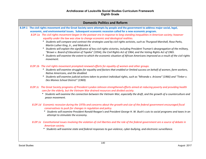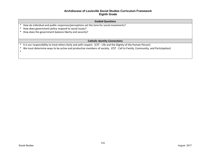| <b>Guided Questions</b>                                                                                                     |
|-----------------------------------------------------------------------------------------------------------------------------|
| How do individual and public responses/perceptions set the tone for social movements?                                       |
| How does government policy respond to social issues?                                                                        |
| How does the government balance liberty and security?                                                                       |
|                                                                                                                             |
| <b>Catholic Identity Connections</b>                                                                                        |
| * It is our responsibility to treat others fairly and with respect. (CST - Life and the Dignity of the Human Person)        |
| We must determine ways to be active and productive members of society. (CST - Call to Family, Community, and Participation) |
|                                                                                                                             |
|                                                                                                                             |
|                                                                                                                             |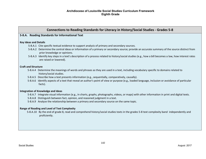# **Connections to Reading Standards for Literacy in History/Social Studies - Grades 5-8**

### **5-8.A. Reading Standards for Informational Text**

#### **Key Ideas and Details**

- 5-8.A.1 Cite specific textual evidence to support analysis of primary and secondary sources.
- 5-8.A.2 Determine the central ideas or information of a primary or secondary source; provide an accurate summary of the source distinct from prior knowledge or opinions.
- 5-8.A.3 Identify key steps in a text's description of a process related to history/social studies (e.g., how a bill becomes a law, how interest rates are raised or lowered).

### **Craft and Structure**

- 5-8.A.4 Determine the meanings of words and phrases as they are used in a text, including vocabulary specific to domains related to history/social studies.
- 5-8.A.5 Describe how a text presents information (e.g., sequentially, comparatively, causally).
- 5-8.A.6 Identify aspects of a text that reveal an author's point of view or purpose (e.g., loaded language, inclusion or avoidance of particular facts).

### **Integration of Knowledge and Ideas**

- 5-8.A.7 Integrate visual information (e.g., in charts, graphs, photographs, videos, or maps) with other information in print and digital texts.
- 5-8.A.8 Distinguish between fact, opinion, and reasoned judgment in a text.
- 5-8.A.9 Analyze the relationship between a primary and secondary source on the same topic.

### **Range of Reading and Level of Text Complexity**

5-8.A.10 By the end of grade 8, read and comprehend history/social studies texts in the grades 5-8 text complexity band independently and proficiently.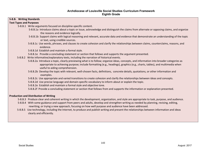#### **5-8.B. Writing Standards**

### **Text Types and Purposes**

- 5-8.B.1 Write arguments focused on discipline-specific content.
	- 5-8.B.1a Introduce claims about a topic or issue, acknowledge and distinguish the claims from alternate or opposing claims, and organize the reasons and evidence logically.
	- 5-8.B.1b Support claims with logical reasoning and relevant, accurate data and evidence that demonstrate an understanding of the topic or text, using credible sources.
	- 5-8.B.1c Use words, phrases, and clauses to create cohesion and clarify the relationships between claims, counterclaims, reasons, and evidence.
	- 5-8.B.1d Establish and maintain a formal style.
	- 5-8.B.1e Provide a concluding statement or section that follows and supports the argument presented.
- 5-8.B.2 Write informative/explanatory texts, including the narration of historical events.
	- 5-8.B.2a Introduce a topic, clearly previewing what is to follow; organize ideas, concepts, and information into broader categories as appropriate to achieving purpose; include formatting (e.g., headings), graphics (e.g., charts, tables), and multimedia when useful to aiding comprehension.
	- 5-8.B.2b Develop the topic with relevant, well-chosen facts, definitions, concrete details, quotations, or other information and examples.
	- 5-8.B.2c Use appropriate and varied transitions to create cohesion and clarify the relationships between ideas and concepts.
	- 5-8.B.2d Use precise language and domain-specific vocabulary to inform about or explain the topic.
	- 5-8.B.2e Establish and maintain a formal style and objective tone.
	- 5-8.B.2f Provide a concluding statement or section that follows from and supports the information or explanation presented.

### **Production and Distribution of Writing**

- 5-8.B.3 Produce clear and coherent writing in which the development, organization, and style are appropriate to task, purpose, and audience.
- 5-8.B.4 With some guidance and support from peers and adults, develop and strengthen writing as needed by planning, revising, editing, rewriting, or trying a new approach, focusing on how well purpose and audience have been addressed.
- 5-8.B.5 Use technology, including the Internet, to produce and publish writing and present the relationships between information and ideas clearly and efficiently.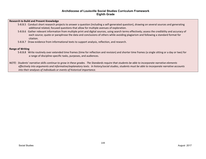| <b>Research to Build and Present Knowledge</b>                                                                                                                                                                                                                                                        |
|-------------------------------------------------------------------------------------------------------------------------------------------------------------------------------------------------------------------------------------------------------------------------------------------------------|
| 5-8.B.5 Conduct short research projects to answer a question (including a self-generated question), drawing on several sources and generating<br>additional related, focused questions that allow for multiple avenues of exploration.                                                                |
|                                                                                                                                                                                                                                                                                                       |
| 5-8.B.6 Gather relevant information from multiple print and digital sources, using search terms effectively; assess the credibility and accuracy of<br>each source; quote or paraphrase the data and conclusions of others while avoiding plagiarism and following a standard format for<br>citation. |
| Draw evidence from informational texts to support analysis, reflection, and research.<br>$5 - 8.8.7$                                                                                                                                                                                                  |
|                                                                                                                                                                                                                                                                                                       |
| <b>Range of Writing</b>                                                                                                                                                                                                                                                                               |
| 5-8.B.8 Write routinely over extended time frames (time for reflection and revision) and shorter time frames (a single sitting or a day or two) for<br>a range of discipline-specific tasks, purposes, and audiences.                                                                                 |
|                                                                                                                                                                                                                                                                                                       |
| NOTE: Students' narrative skills continue to grow in these grades. The Standards require that students be able to incorporate narrative elements<br>effectively into arguments and informative/explanatory texts. In history/social studies, students must be able to incorporate narrative accounts  |

 *into their analyses of individuals or events of historical importance.*